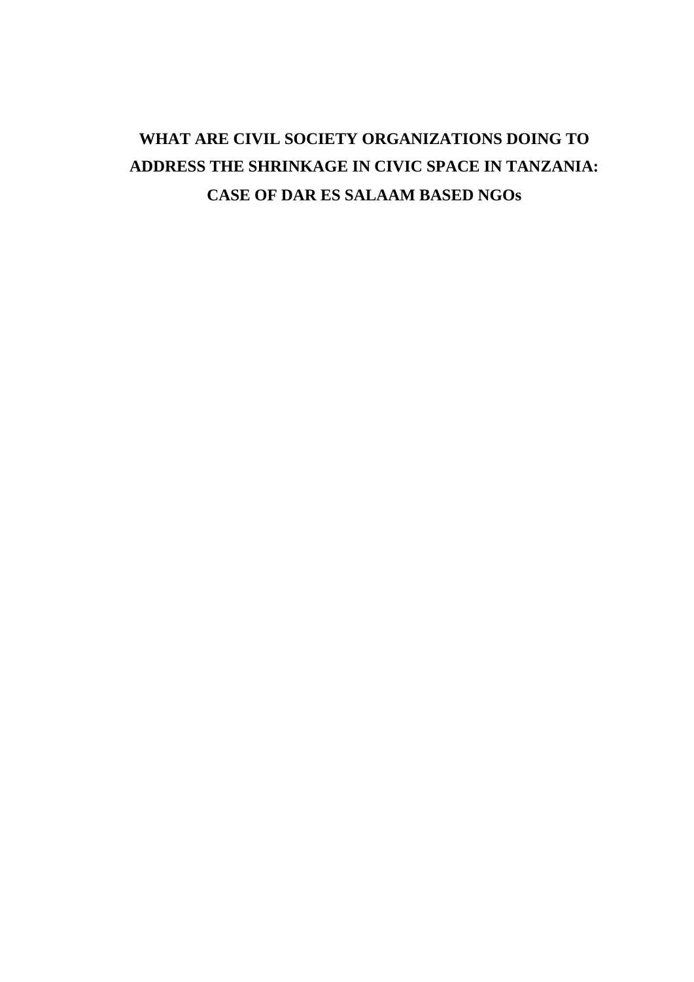# **WHAT ARE CIVIL SOCIETY ORGANIZATIONS DOING TO ADDRESS THE SHRINKAGE IN CIVIC SPACE IN TANZANIA: CASE OF DAR ES SALAAM BASED NGOs**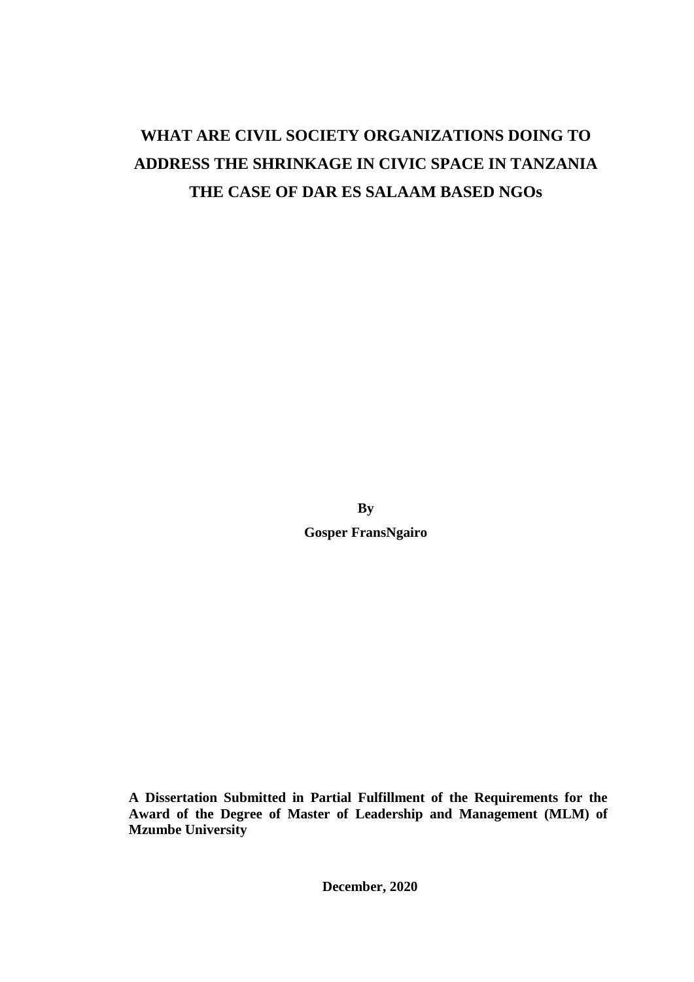# **WHAT ARE CIVIL SOCIETY ORGANIZATIONS DOING TO ADDRESS THE SHRINKAGE IN CIVIC SPACE IN TANZANIA THE CASE OF DAR ES SALAAM BASED NGOs**

**By Gosper FransNgairo**

**A Dissertation Submitted in Partial Fulfillment of the Requirements for the Award of the Degree of Master of Leadership and Management (MLM) of Mzumbe University**

**December, 2020**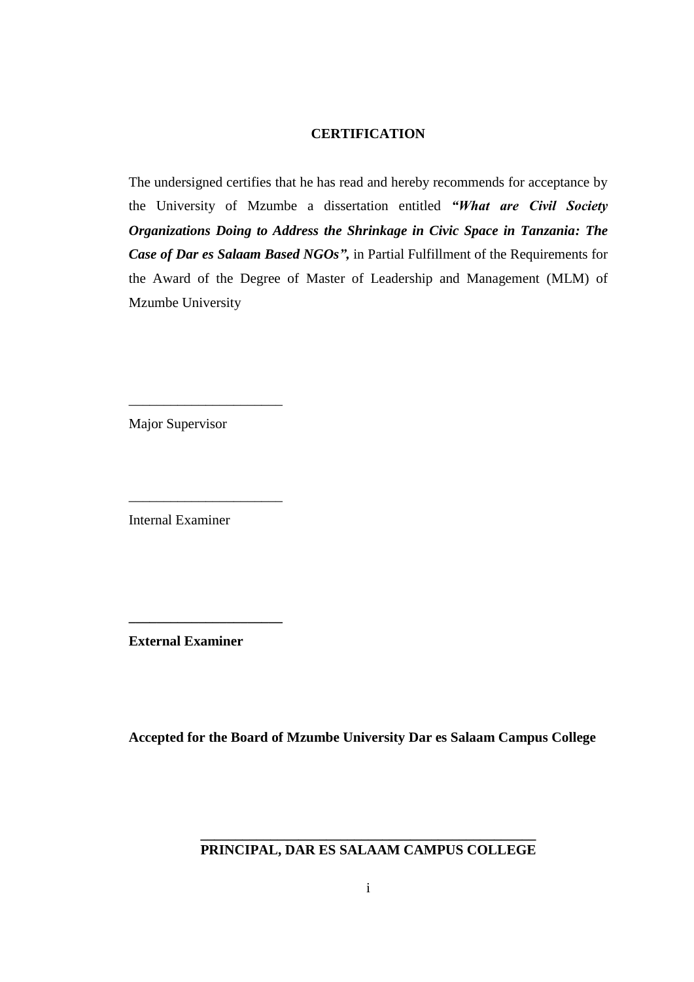# **CERTIFICATION**

The undersigned certifies that he has read and hereby recommends for acceptance by the University of Mzumbe a dissertation entitled *"What are Civil Society Organizations Doing to Address the Shrinkage in Civic Space in Tanzania: The Case of Dar es Salaam Based NGOs",* in Partial Fulfillment of the Requirements for the Award of the Degree of Master of Leadership and Management (MLM) of Mzumbe University

Major Supervisor

\_\_\_\_\_\_\_\_\_\_\_\_\_\_\_\_\_\_\_\_\_\_

\_\_\_\_\_\_\_\_\_\_\_\_\_\_\_\_\_\_\_\_\_\_

Internal Examiner

**External Examiner**

**\_\_\_\_\_\_\_\_\_\_\_\_\_\_\_\_\_\_\_\_\_\_**

**Accepted for the Board of Mzumbe University Dar es Salaam Campus College**

**\_\_\_\_\_\_\_\_\_\_\_\_\_\_\_\_\_\_\_\_\_\_\_\_\_\_\_\_\_\_\_\_\_\_\_\_\_\_\_\_\_\_\_\_\_\_\_\_ PRINCIPAL, DAR ES SALAAM CAMPUS COLLEGE**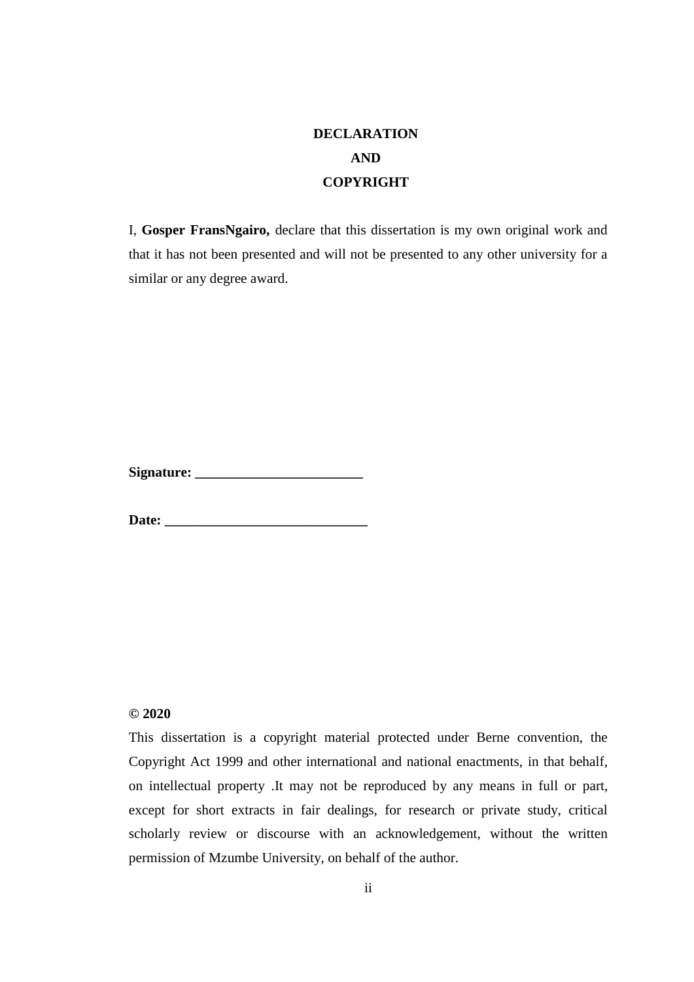# **DECLARATION AND COPYRIGHT**

I, **Gosper FransNgairo,** declare that this dissertation is my own original work and that it has not been presented and will not be presented to any other university for a similar or any degree award.

**Signature: \_\_\_\_\_\_\_\_\_\_\_\_\_\_\_\_\_\_\_\_\_\_\_\_**

**Date:** *Date:* 

# **© 2020**

This dissertation is a copyright material protected under Berne convention, the Copyright Act 1999 and other international and national enactments, in that behalf, on intellectual property .It may not be reproduced by any means in full or part, except for short extracts in fair dealings, for research or private study, critical scholarly review or discourse with an acknowledgement, without the written permission of Mzumbe University, on behalf of the author.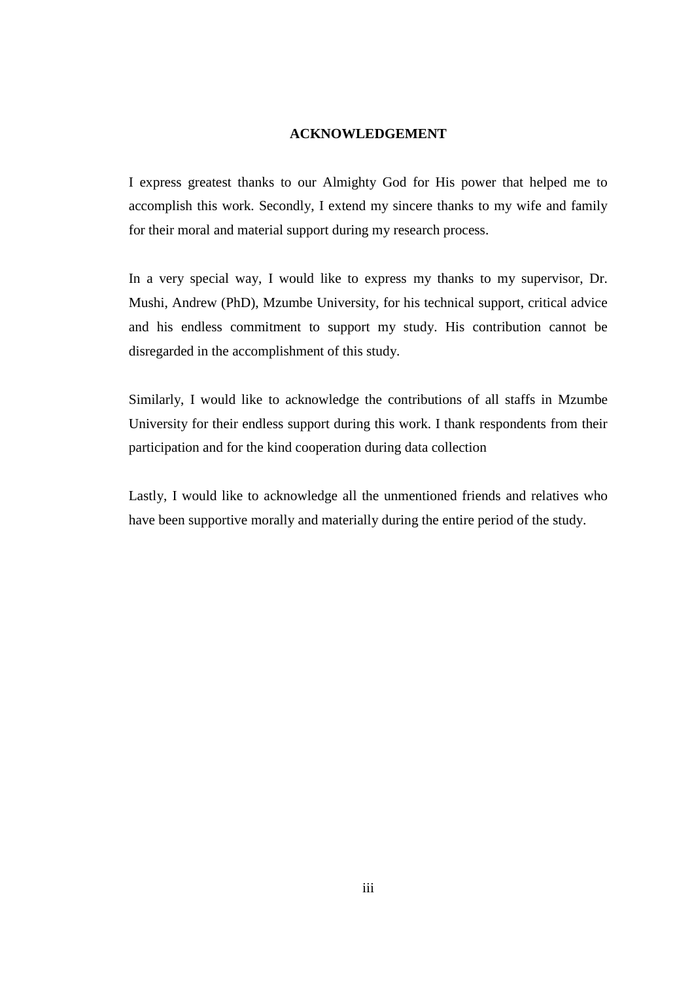### **ACKNOWLEDGEMENT**

I express greatest thanks to our Almighty God for His power that helped me to accomplish this work. Secondly, I extend my sincere thanks to my wife and family for their moral and material support during my research process.

In a very special way, I would like to express my thanks to my supervisor, Dr. Mushi, Andrew (PhD), Mzumbe University, for his technical support, critical advice and his endless commitment to support my study. His contribution cannot be disregarded in the accomplishment of this study.

Similarly, I would like to acknowledge the contributions of all staffs in Mzumbe University for their endless support during this work. I thank respondents from their participation and for the kind cooperation during data collection

Lastly, I would like to acknowledge all the unmentioned friends and relatives who have been supportive morally and materially during the entire period of the study.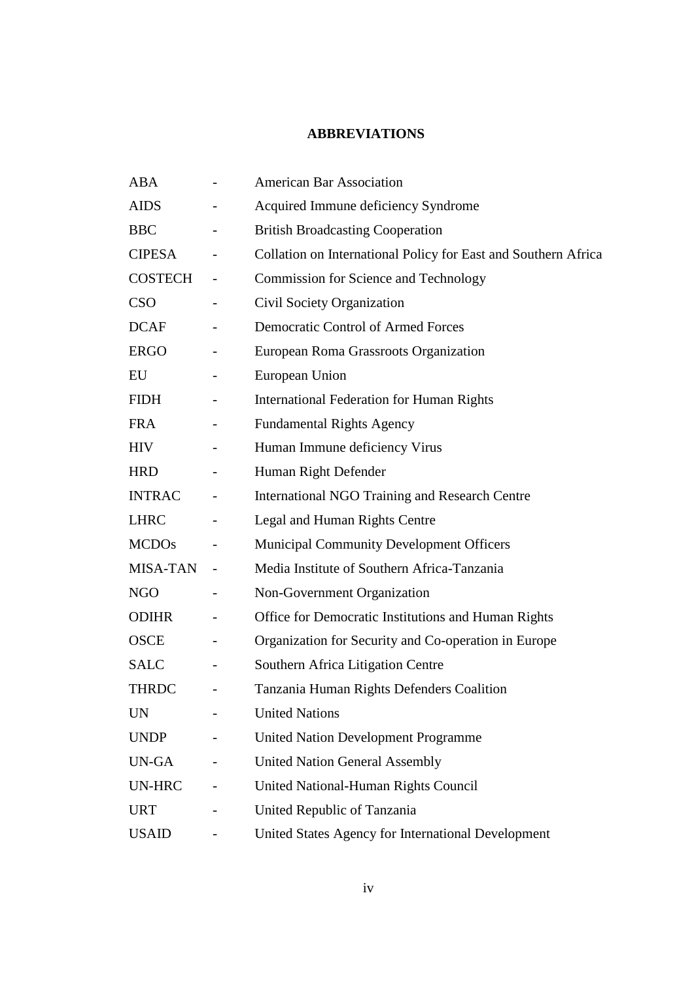# **ABBREVIATIONS**

| <b>ABA</b>    |                          | <b>American Bar Association</b>                                |
|---------------|--------------------------|----------------------------------------------------------------|
| <b>AIDS</b>   |                          | Acquired Immune deficiency Syndrome                            |
| <b>BBC</b>    |                          | <b>British Broadcasting Cooperation</b>                        |
| <b>CIPESA</b> | $\qquad \qquad -$        | Collation on International Policy for East and Southern Africa |
| COSTECH       |                          | <b>Commission for Science and Technology</b>                   |
| <b>CSO</b>    |                          | Civil Society Organization                                     |
| <b>DCAF</b>   |                          | <b>Democratic Control of Armed Forces</b>                      |
| <b>ERGO</b>   |                          | European Roma Grassroots Organization                          |
| EU            |                          | European Union                                                 |
| <b>FIDH</b>   |                          | International Federation for Human Rights                      |
| <b>FRA</b>    |                          | <b>Fundamental Rights Agency</b>                               |
| <b>HIV</b>    |                          | Human Immune deficiency Virus                                  |
| <b>HRD</b>    |                          | Human Right Defender                                           |
| <b>INTRAC</b> |                          | <b>International NGO Training and Research Centre</b>          |
| <b>LHRC</b>   | $\qquad \qquad -$        | Legal and Human Rights Centre                                  |
| <b>MCDOs</b>  |                          | <b>Municipal Community Development Officers</b>                |
| MISA-TAN      |                          | Media Institute of Southern Africa-Tanzania                    |
| <b>NGO</b>    |                          | Non-Government Organization                                    |
| <b>ODIHR</b>  |                          | Office for Democratic Institutions and Human Rights            |
| <b>OSCE</b>   |                          | Organization for Security and Co-operation in Europe           |
| <b>SALC</b>   |                          | Southern Africa Litigation Centre                              |
| <b>THRDC</b>  |                          | Tanzania Human Rights Defenders Coalition                      |
| <b>UN</b>     |                          | <b>United Nations</b>                                          |
| <b>UNDP</b>   | $\overline{\phantom{0}}$ | <b>United Nation Development Programme</b>                     |
| UN-GA         |                          | <b>United Nation General Assembly</b>                          |
| UN-HRC        |                          | United National-Human Rights Council                           |
| <b>URT</b>    |                          | United Republic of Tanzania                                    |
| <b>USAID</b>  | $\qquad \qquad -$        | United States Agency for International Development             |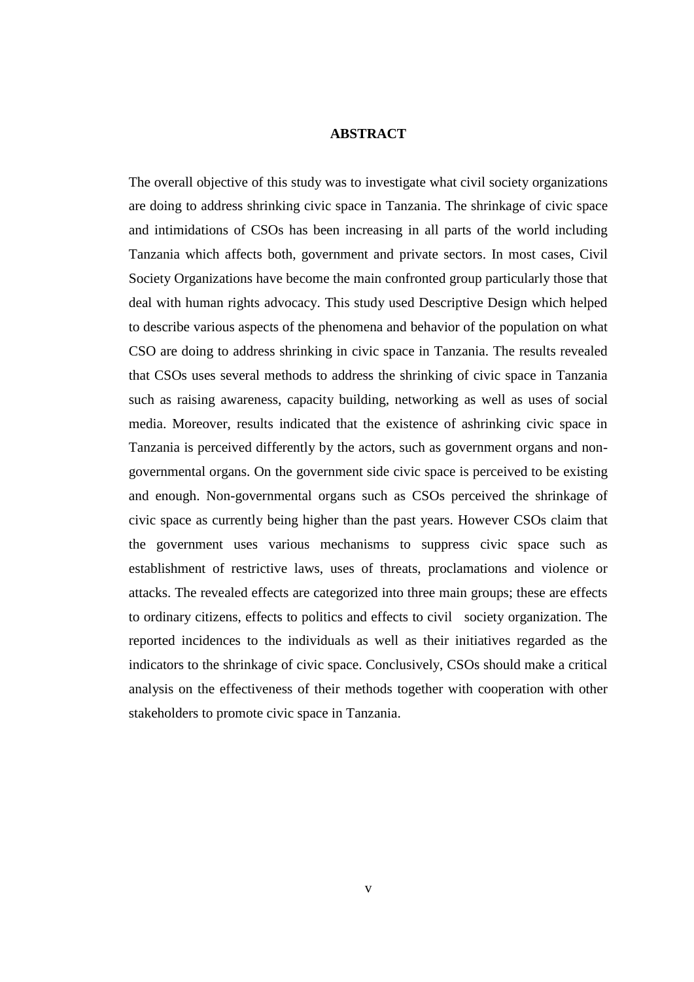### **ABSTRACT**

The overall objective of this study was to investigate what civil society organizations are doing to address shrinking civic space in Tanzania. The shrinkage of civic space and intimidations of CSOs has been increasing in all parts of the world including Tanzania which affects both, government and private sectors. In most cases, Civil Society Organizations have become the main confronted group particularly those that deal with human rights advocacy. This study used Descriptive Design which helped to describe various aspects of the phenomena and behavior of the population on what CSO are doing to address shrinking in civic space in Tanzania. The results revealed that CSOs uses several methods to address the shrinking of civic space in Tanzania such as raising awareness, capacity building, networking as well as uses of social media. Moreover, results indicated that the existence of ashrinking civic space in Tanzania is perceived differently by the actors, such as government organs and nongovernmental organs. On the government side civic space is perceived to be existing and enough. Non-governmental organs such as CSOs perceived the shrinkage of civic space as currently being higher than the past years. However CSOs claim that the government uses various mechanisms to suppress civic space such as establishment of restrictive laws, uses of threats, proclamations and violence or attacks. The revealed effects are categorized into three main groups; these are effects to ordinary citizens, effects to politics and effects to civil society organization. The reported incidences to the individuals as well as their initiatives regarded as the indicators to the shrinkage of civic space. Conclusively, CSOs should make a critical analysis on the effectiveness of their methods together with cooperation with other stakeholders to promote civic space in Tanzania.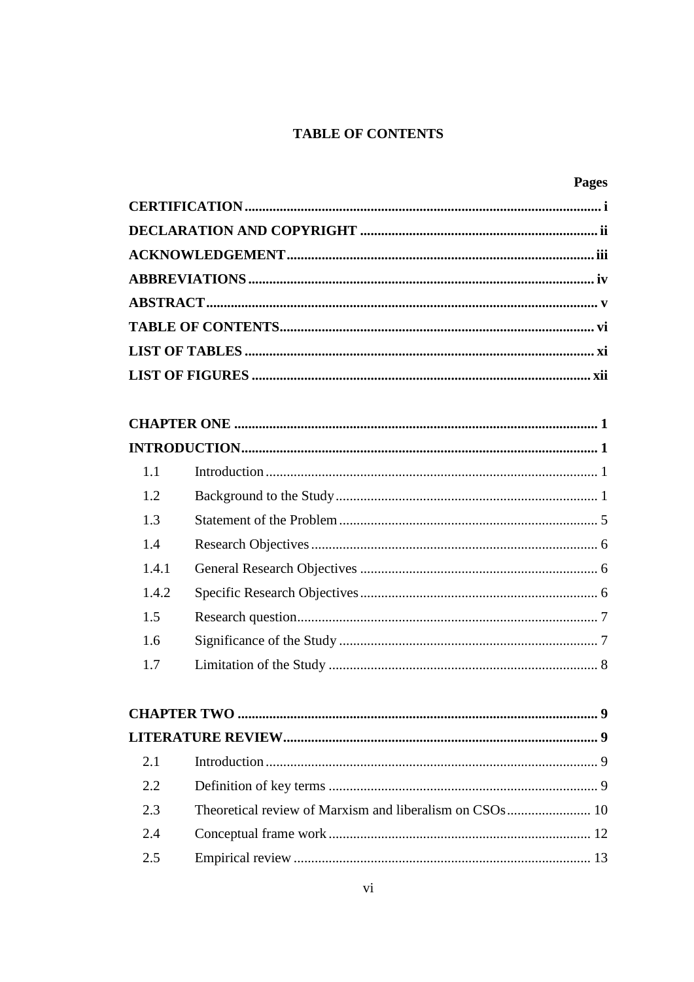# **TABLE OF CONTENTS**

|       | <b>Pages</b> |
|-------|--------------|
|       |              |
|       |              |
|       |              |
|       |              |
|       |              |
|       |              |
|       |              |
|       |              |
|       |              |
|       |              |
|       |              |
| 1.1   |              |
| 1.2   |              |
| 1.3   |              |
| 1.4   |              |
| 1.4.1 |              |
| 1.4.2 |              |
| 1.5   |              |
| 1.6   |              |
| 1.7   |              |
|       |              |
|       |              |
|       |              |
| 2.1   |              |
| 2.2   |              |
| 2.3   |              |
| 2.4   |              |
| 2.5   |              |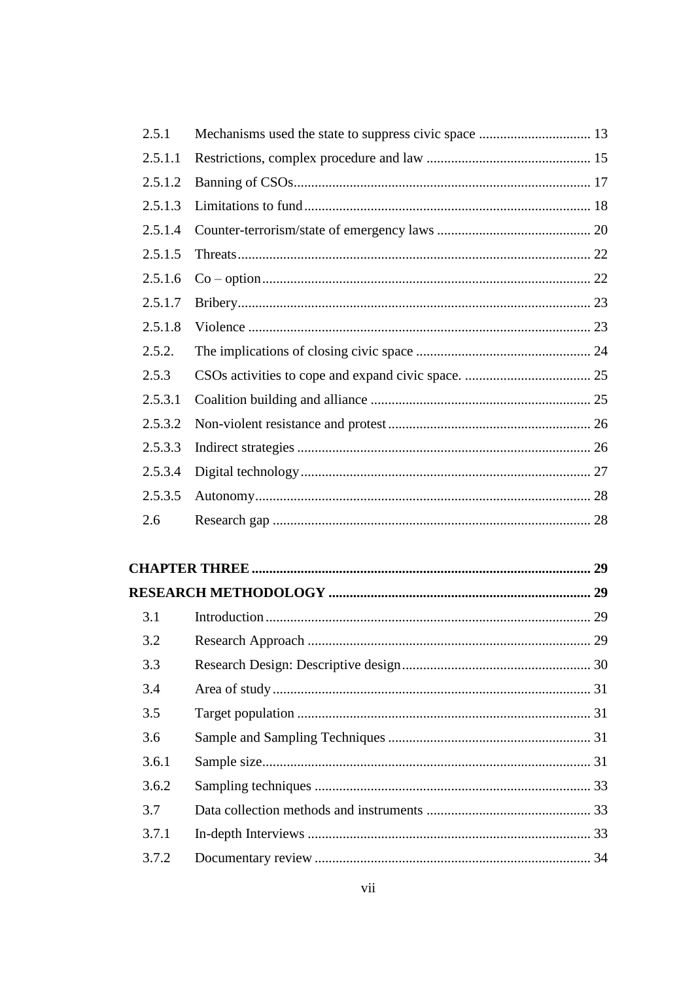| 2.5.1   |                        |    |
|---------|------------------------|----|
| 2.5.1.1 |                        |    |
| 2.5.1.2 |                        |    |
| 2.5.1.3 |                        |    |
| 2.5.1.4 |                        |    |
| 2.5.1.5 |                        |    |
| 2.5.1.6 |                        |    |
| 2.5.1.7 |                        |    |
| 2.5.1.8 |                        |    |
| 2.5.2.  |                        |    |
| 2.5.3   |                        |    |
| 2.5.3.1 |                        |    |
| 2.5.3.2 |                        |    |
| 2.5.3.3 |                        |    |
| 2.5.3.4 |                        |    |
| 2.5.3.5 |                        |    |
| 2.6     |                        |    |
|         |                        |    |
|         |                        |    |
|         |                        |    |
| 3.1     |                        |    |
| 3.2     |                        |    |
| 3.3     |                        |    |
| 3.4     |                        |    |
| 3.5     |                        |    |
| 3.6     |                        |    |
| 3.6.1   |                        |    |
|         | $Somn$ ling toobniques | つつ |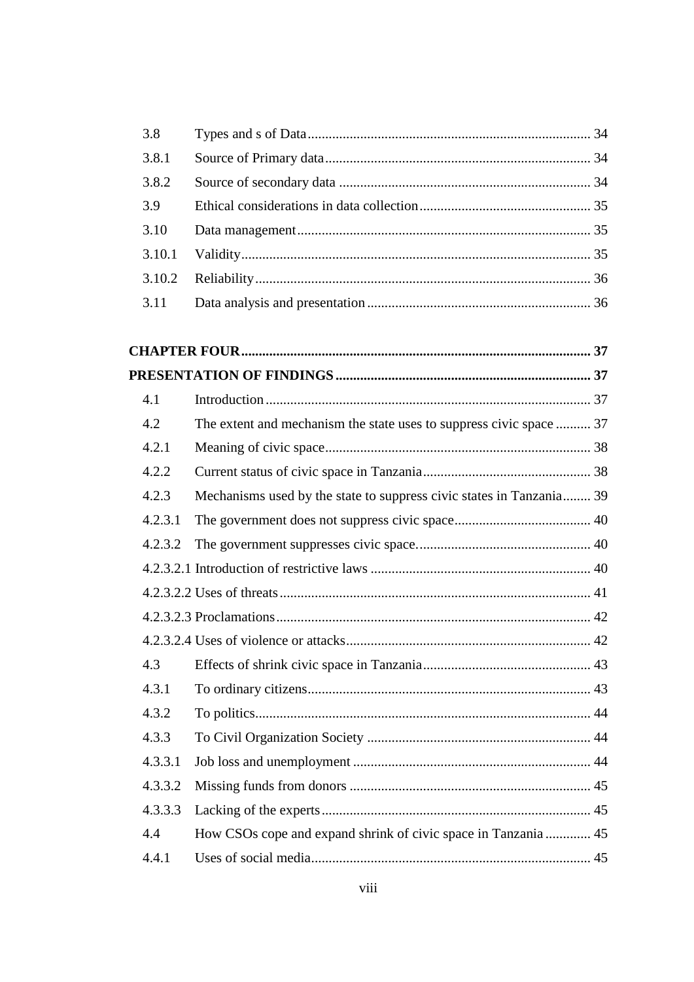| 3.8    |  |
|--------|--|
| 3.8.1  |  |
| 3.8.2  |  |
| 3.9    |  |
| 3.10   |  |
| 3.10.1 |  |
| 3.10.2 |  |
| 3.11   |  |

| 4.1     |                                                                      |  |
|---------|----------------------------------------------------------------------|--|
| 4.2     | The extent and mechanism the state uses to suppress civic space  37  |  |
| 4.2.1   |                                                                      |  |
| 4.2.2   |                                                                      |  |
| 4.2.3   | Mechanisms used by the state to suppress civic states in Tanzania 39 |  |
| 4.2.3.1 |                                                                      |  |
| 4.2.3.2 |                                                                      |  |
|         |                                                                      |  |
|         |                                                                      |  |
|         |                                                                      |  |
|         |                                                                      |  |
| 4.3     |                                                                      |  |
| 4.3.1   |                                                                      |  |
| 4.3.2   |                                                                      |  |
| 4.3.3   |                                                                      |  |
| 4.3.3.1 |                                                                      |  |
| 4.3.3.2 |                                                                      |  |
| 4.3.3.3 |                                                                      |  |
| 4.4     | How CSOs cope and expand shrink of civic space in Tanzania  45       |  |
| 4.4.1   |                                                                      |  |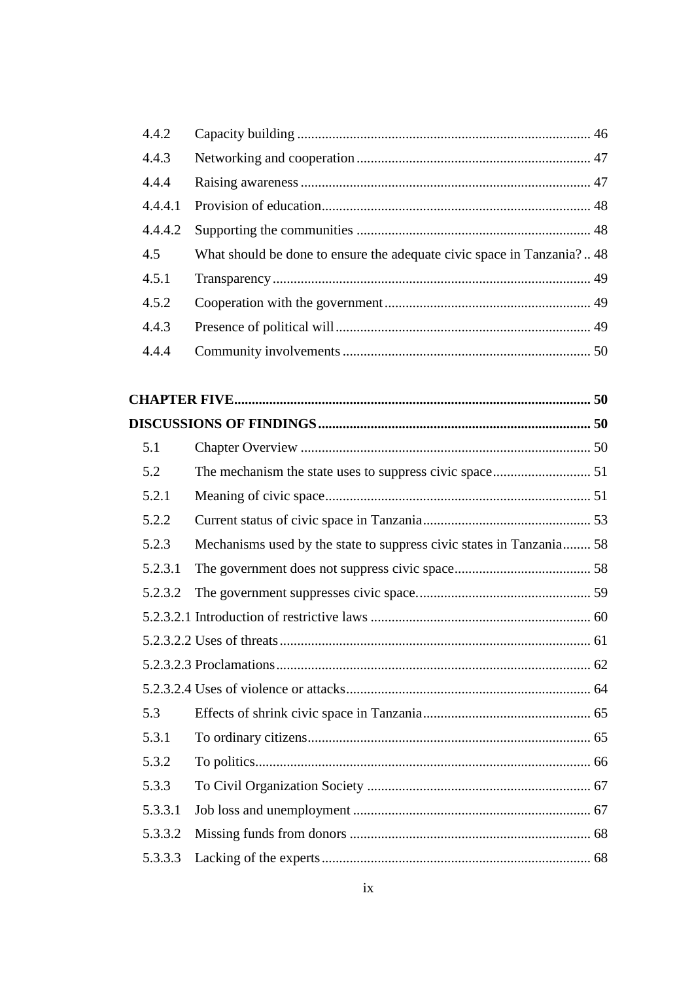| 4.4.2   |                                                                        |  |
|---------|------------------------------------------------------------------------|--|
| 4.4.3   |                                                                        |  |
| 4.4.4   |                                                                        |  |
| 4.4.4.1 |                                                                        |  |
| 4.4.4.2 |                                                                        |  |
| 4.5     | What should be done to ensure the adequate civic space in Tanzania? 48 |  |
| 4.5.1   |                                                                        |  |
| 4.5.2   |                                                                        |  |
| 4.4.3   |                                                                        |  |
| 4.4.4   |                                                                        |  |
|         |                                                                        |  |
|         |                                                                        |  |
|         |                                                                        |  |
| 5.1     |                                                                        |  |
| 5.2     |                                                                        |  |
| 5.2.1   |                                                                        |  |
| 5.2.2   |                                                                        |  |
| 5.2.3   | Mechanisms used by the state to suppress civic states in Tanzania 58   |  |
| 5.2.3.1 |                                                                        |  |
| 5.2.3.2 |                                                                        |  |
|         |                                                                        |  |
|         |                                                                        |  |
|         |                                                                        |  |
|         |                                                                        |  |
| 5.3     |                                                                        |  |
| 5.3.1   |                                                                        |  |
| 5.3.2   |                                                                        |  |
| 5.3.3   |                                                                        |  |
| 5.3.3.1 |                                                                        |  |
| 5.3.3.2 |                                                                        |  |
| 5.3.3.3 |                                                                        |  |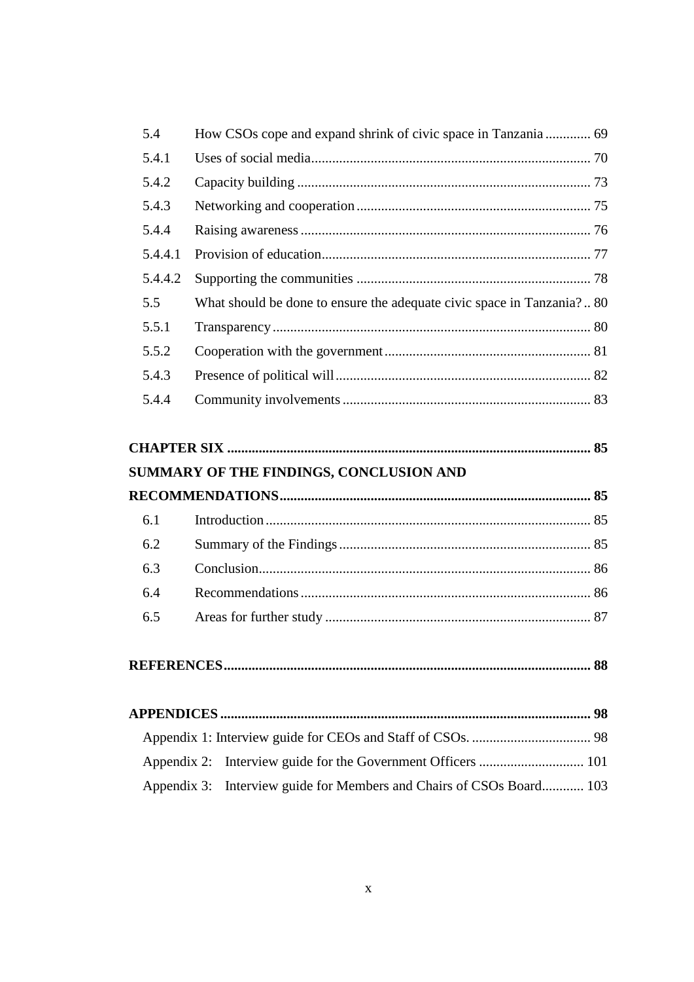| 5.4     |                                                                       |  |
|---------|-----------------------------------------------------------------------|--|
| 5.4.1   |                                                                       |  |
| 5.4.2   |                                                                       |  |
| 5.4.3   |                                                                       |  |
| 5.4.4   |                                                                       |  |
| 5.4.4.1 |                                                                       |  |
| 5.4.4.2 |                                                                       |  |
| 5.5     | What should be done to ensure the adequate civic space in Tanzania?80 |  |
| 5.5.1   |                                                                       |  |
| 5.5.2   |                                                                       |  |
| 5.4.3   |                                                                       |  |
| 5.4.4   |                                                                       |  |
|         |                                                                       |  |

| SUMMARY OF THE FINDINGS, CONCLUSION AND |
|-----------------------------------------|

| 6.1 |  |  |
|-----|--|--|
| 6.2 |  |  |
| 6.3 |  |  |
| 6.4 |  |  |
|     |  |  |

|--|

| Appendix 3: Interview guide for Members and Chairs of CSOs Board 103 |  |
|----------------------------------------------------------------------|--|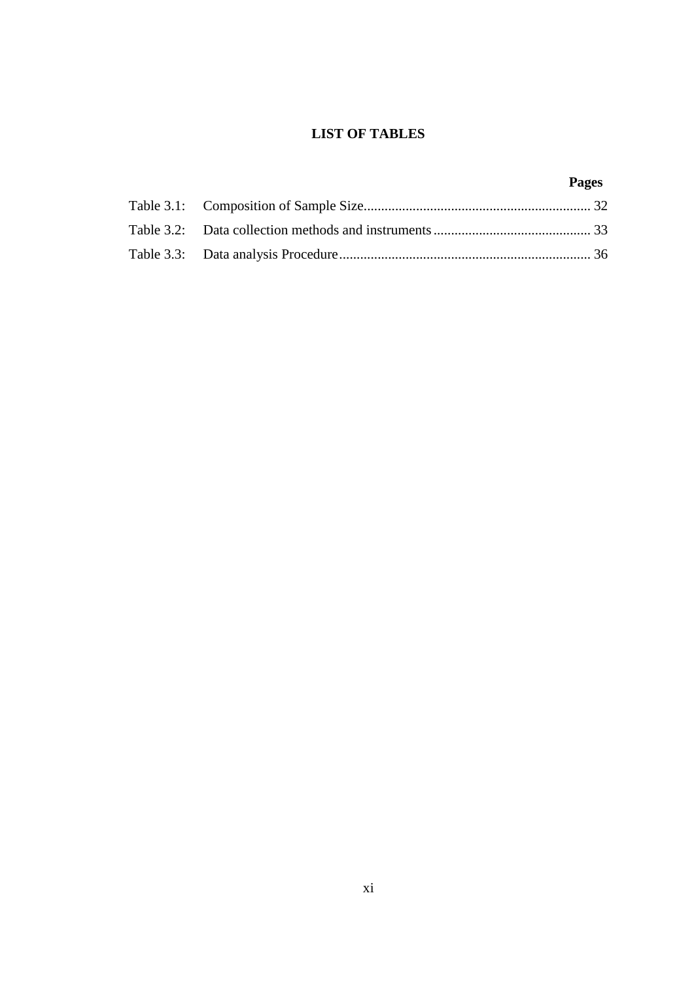# **LIST OF TABLES**

# **Pages**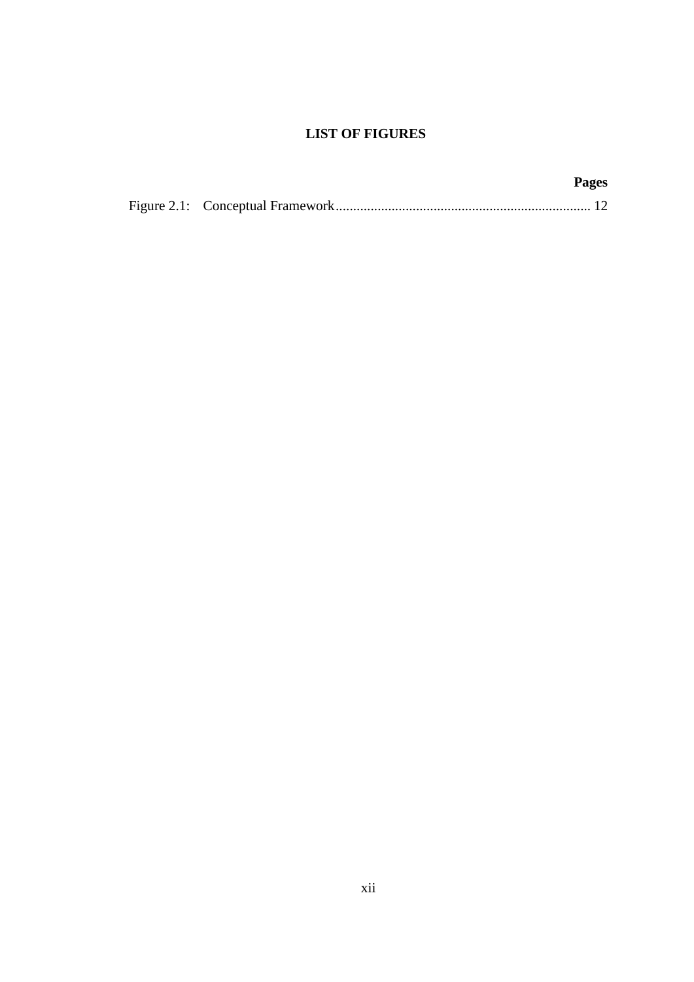# **LIST OF FIGURES**

|  | <b>Pages</b> |
|--|--------------|
|  |              |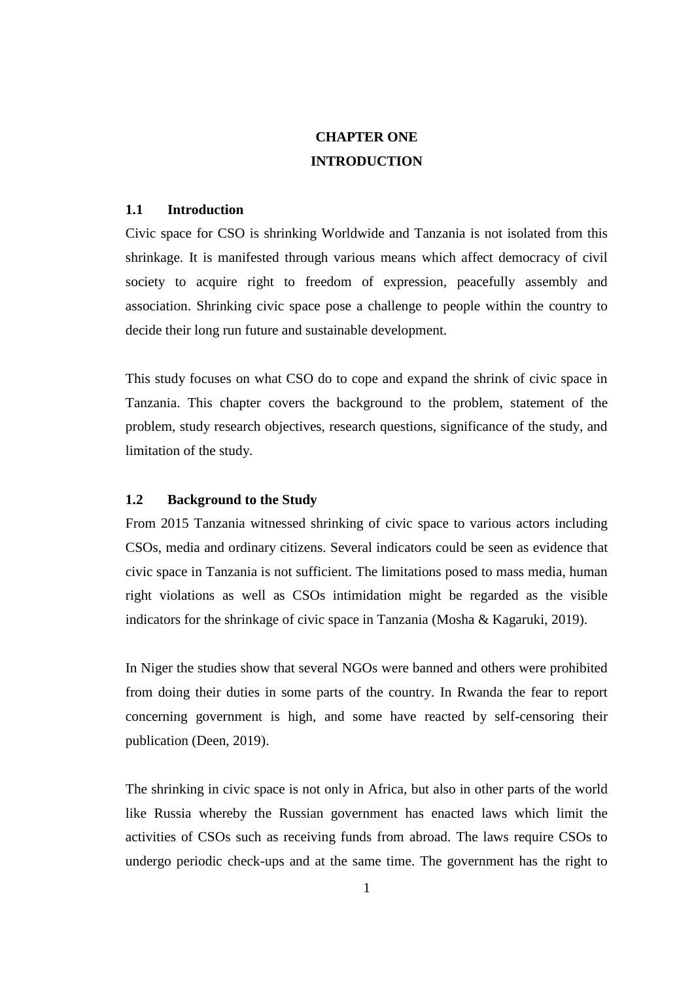# **CHAPTER ONE INTRODUCTION**

### **1.1 Introduction**

Civic space for CSO is shrinking Worldwide and Tanzania is not isolated from this shrinkage. It is manifested through various means which affect democracy of civil society to acquire right to freedom of expression, peacefully assembly and association. Shrinking civic space pose a challenge to people within the country to decide their long run future and sustainable development.

This study focuses on what CSO do to cope and expand the shrink of civic space in Tanzania. This chapter covers the background to the problem, statement of the problem, study research objectives, research questions, significance of the study, and limitation of the study.

#### **1.2 Background to the Study**

From 2015 Tanzania witnessed shrinking of civic space to various actors including CSOs, media and ordinary citizens. Several indicators could be seen as evidence that civic space in Tanzania is not sufficient. The limitations posed to mass media, human right violations as well as CSOs intimidation might be regarded as the visible indicators for the shrinkage of civic space in Tanzania (Mosha & Kagaruki, 2019).

In Niger the studies show that several NGOs were banned and others were prohibited from doing their duties in some parts of the country. In Rwanda the fear to report concerning government is high, and some have reacted by self-censoring their publication (Deen, 2019).

The shrinking in civic space is not only in Africa, but also in other parts of the world like Russia whereby the Russian government has enacted laws which limit the activities of CSOs such as receiving funds from abroad. The laws require CSOs to undergo periodic check-ups and at the same time. The government has the right to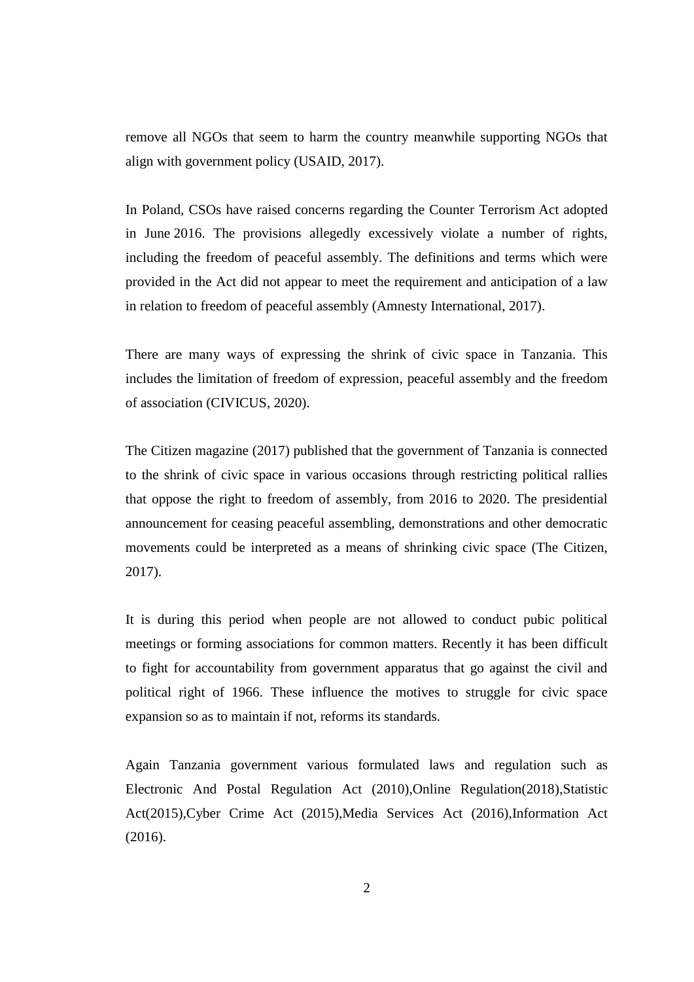remove all NGOs that seem to harm the country meanwhile supporting NGOs that align with government policy (USAID, 2017).

In Poland, CSOs have raised concerns regarding the Counter Terrorism Act adopted in June 2016. The provisions allegedly excessively violate a number of rights, including the freedom of peaceful assembly. The definitions and terms which were provided in the Act did not appear to meet the requirement and anticipation of a law in relation to freedom of peaceful assembly (Amnesty International, 2017).

There are many ways of expressing the shrink of civic space in Tanzania. This includes the limitation of freedom of expression, peaceful assembly and the freedom of association (CIVICUS, 2020).

The Citizen magazine (2017) published that the government of Tanzania is connected to the shrink of civic space in various occasions through restricting political rallies that oppose the right to freedom of assembly, from 2016 to 2020. The presidential announcement for ceasing peaceful assembling, demonstrations and other democratic movements could be interpreted as a means of shrinking civic space (The Citizen, 2017).

It is during this period when people are not allowed to conduct pubic political meetings or forming associations for common matters. Recently it has been difficult to fight for accountability from government apparatus that go against the civil and political right of 1966. These influence the motives to struggle for civic space expansion so as to maintain if not, reforms its standards.

Again Tanzania government various formulated laws and regulation such as Electronic And Postal Regulation Act (2010),Online Regulation(2018),Statistic Act(2015),Cyber Crime Act (2015),Media Services Act (2016),Information Act (2016).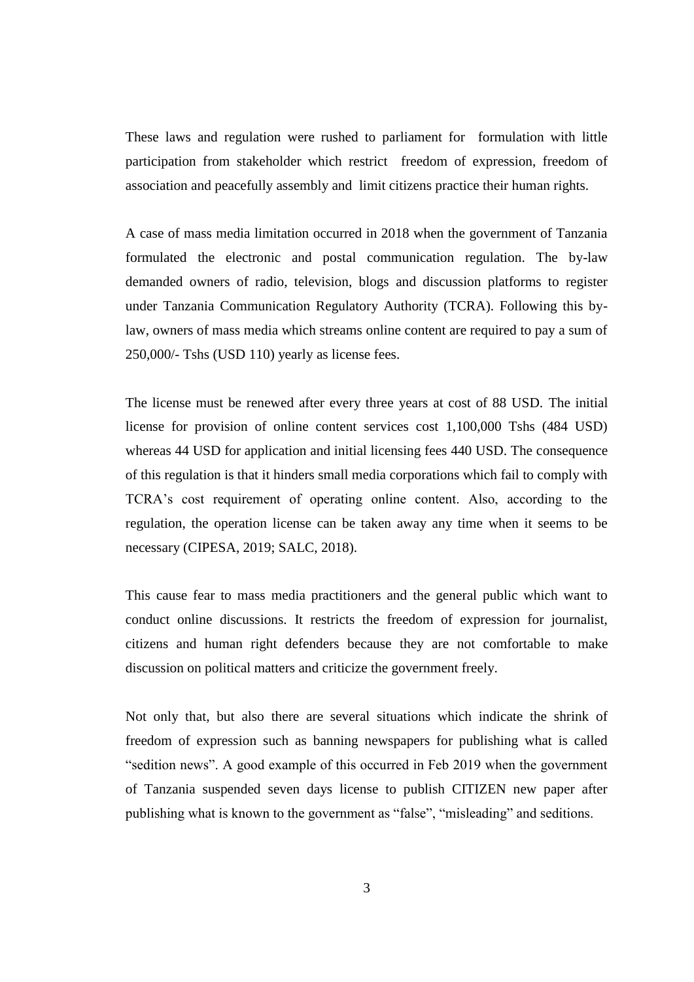These laws and regulation were rushed to parliament for formulation with little participation from stakeholder which restrict freedom of expression, freedom of association and peacefully assembly and limit citizens practice their human rights.

A case of mass media limitation occurred in 2018 when the government of Tanzania formulated the electronic and postal communication regulation. The by-law demanded owners of radio, television, blogs and discussion platforms to register under Tanzania Communication Regulatory Authority (TCRA). Following this bylaw, owners of mass media which streams online content are required to pay a sum of 250,000/- Tshs (USD 110) yearly as license fees.

The license must be renewed after every three years at cost of 88 USD. The initial license for provision of online content services cost 1,100,000 Tshs (484 USD) whereas 44 USD for application and initial licensing fees 440 USD. The consequence of this regulation is that it hinders small media corporations which fail to comply with TCRA's cost requirement of operating online content. Also, according to the regulation, the operation license can be taken away any time when it seems to be necessary (CIPESA, 2019; SALC, 2018).

This cause fear to mass media practitioners and the general public which want to conduct online discussions. It restricts the freedom of expression for journalist, citizens and human right defenders because they are not comfortable to make discussion on political matters and criticize the government freely.

Not only that, but also there are several situations which indicate the shrink of freedom of expression such as banning newspapers for publishing what is called "sedition news". A good example of this occurred in Feb 2019 when the government of Tanzania suspended seven days license to publish CITIZEN new paper after publishing what is known to the government as "false", "misleading" and seditions.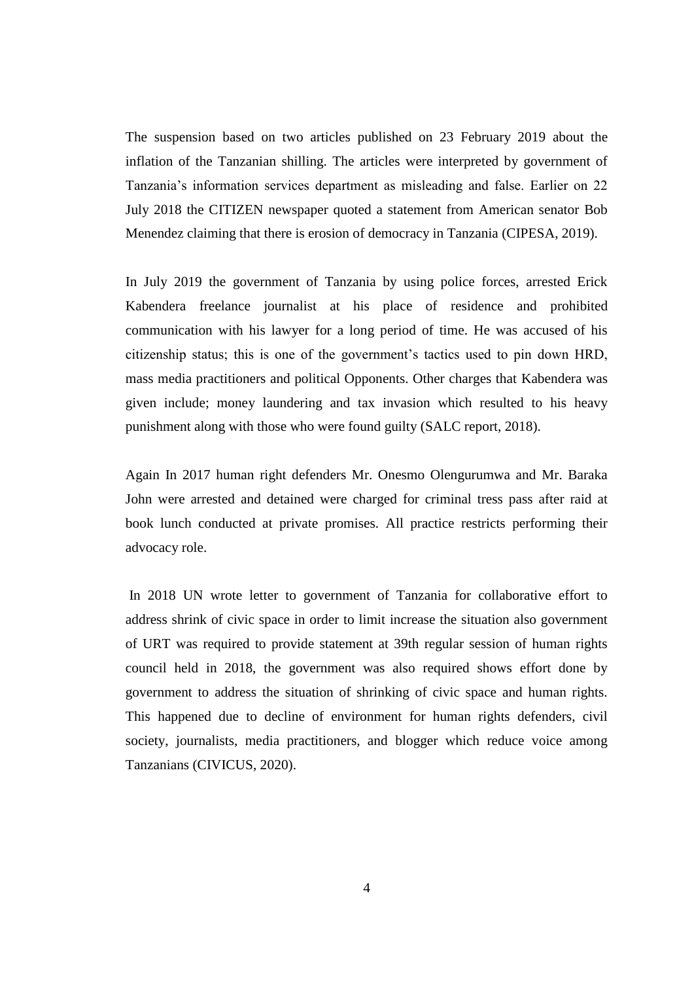The suspension based on two articles published on 23 February 2019 about the inflation of the Tanzanian shilling. The articles were interpreted by government of Tanzania's information services department as misleading and false. Earlier on 22 July 2018 the CITIZEN newspaper quoted a statement from American senator Bob Menendez claiming that there is erosion of democracy in Tanzania (CIPESA, 2019).

In July 2019 the government of Tanzania by using police forces, arrested Erick Kabendera freelance journalist at his place of residence and prohibited communication with his lawyer for a long period of time. He was accused of his citizenship status; this is one of the government's tactics used to pin down HRD, mass media practitioners and political Opponents. Other charges that Kabendera was given include; money laundering and tax invasion which resulted to his heavy punishment along with those who were found guilty (SALC report, 2018).

Again In 2017 human right defenders Mr. Onesmo Olengurumwa and Mr. Baraka John were arrested and detained were charged for criminal tress pass after raid at book lunch conducted at private promises. All practice restricts performing their advocacy role.

In 2018 UN wrote letter to government of Tanzania for collaborative effort to address shrink of civic space in order to limit increase the situation also government of URT was required to provide statement at 39th regular session of human rights council held in 2018, the government was also required shows effort done by government to address the situation of shrinking of civic space and human rights. This happened due to decline of environment for human rights defenders, civil society, journalists, media practitioners, and blogger which reduce voice among Tanzanians (CIVICUS, 2020).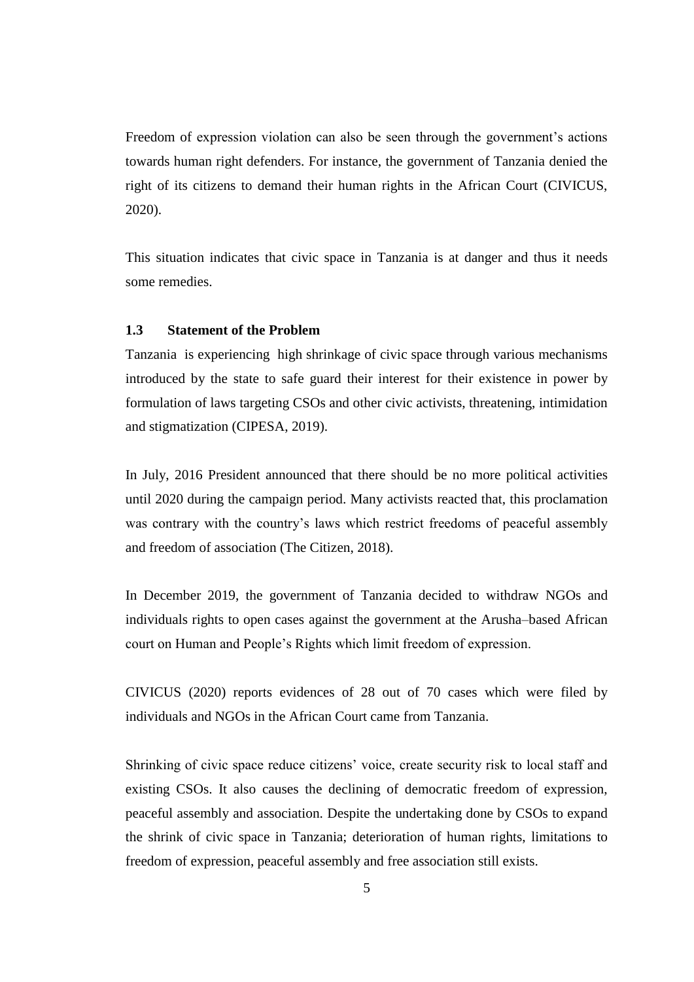Freedom of expression violation can also be seen through the government's actions towards human right defenders. For instance, the government of Tanzania denied the right of its citizens to demand their human rights in the African Court (CIVICUS, 2020).

This situation indicates that civic space in Tanzania is at danger and thus it needs some remedies.

# **1.3 Statement of the Problem**

Tanzania is experiencing high shrinkage of civic space through various mechanisms introduced by the state to safe guard their interest for their existence in power by formulation of laws targeting CSOs and other civic activists, threatening, intimidation and stigmatization (CIPESA, 2019).

In July, 2016 President announced that there should be no more political activities until 2020 during the campaign period. Many activists reacted that, this proclamation was contrary with the country's laws which restrict freedoms of peaceful assembly and freedom of association (The Citizen, 2018).

In December 2019, the government of Tanzania decided to withdraw NGOs and individuals rights to open cases against the government at the Arusha–based African court on Human and People's Rights which limit freedom of expression.

CIVICUS (2020) reports evidences of 28 out of 70 cases which were filed by individuals and NGOs in the African Court came from Tanzania.

Shrinking of civic space reduce citizens' voice, create security risk to local staff and existing CSOs. It also causes the declining of democratic freedom of expression, peaceful assembly and association. Despite the undertaking done by CSOs to expand the shrink of civic space in Tanzania; deterioration of human rights, limitations to freedom of expression, peaceful assembly and free association still exists.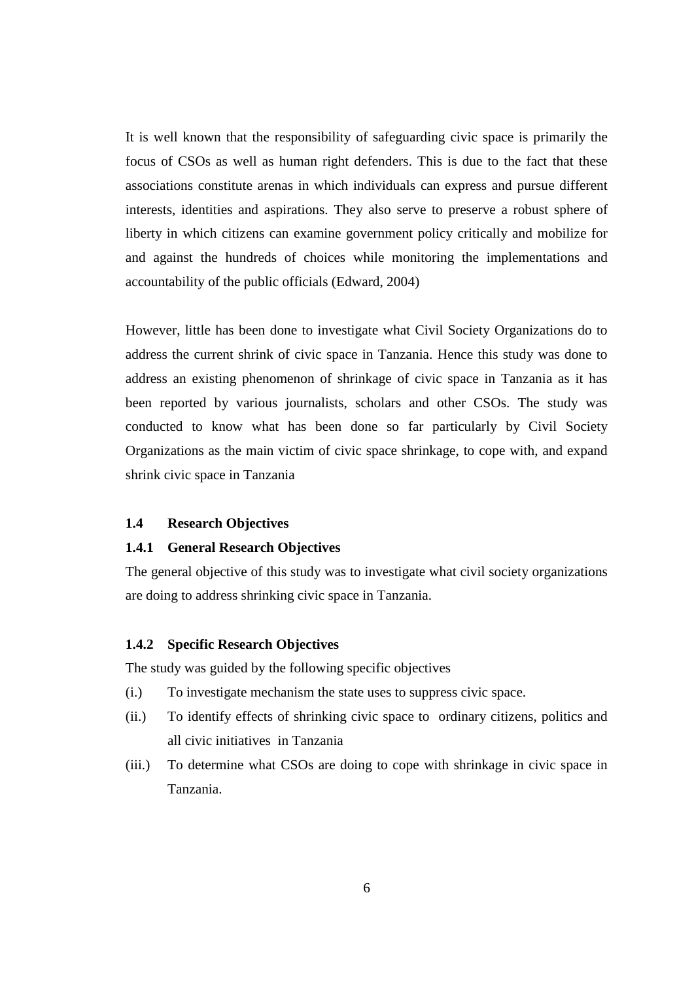It is well known that the responsibility of safeguarding civic space is primarily the focus of CSOs as well as human right defenders. This is due to the fact that these associations constitute arenas in which individuals can express and pursue different interests, identities and aspirations. They also serve to preserve a robust sphere of liberty in which citizens can examine government policy critically and mobilize for and against the hundreds of choices while monitoring the implementations and accountability of the public officials (Edward, 2004)

However, little has been done to investigate what Civil Society Organizations do to address the current shrink of civic space in Tanzania. Hence this study was done to address an existing phenomenon of shrinkage of civic space in Tanzania as it has been reported by various journalists, scholars and other CSOs. The study was conducted to know what has been done so far particularly by Civil Society Organizations as the main victim of civic space shrinkage, to cope with, and expand shrink civic space in Tanzania

#### **1.4 Research Objectives**

#### **1.4.1 General Research Objectives**

The general objective of this study was to investigate what civil society organizations are doing to address shrinking civic space in Tanzania.

### **1.4.2 Specific Research Objectives**

The study was guided by the following specific objectives

- (i.) To investigate mechanism the state uses to suppress civic space.
- (ii.) To identify effects of shrinking civic space to ordinary citizens, politics and all civic initiatives in Tanzania
- (iii.) To determine what CSOs are doing to cope with shrinkage in civic space in Tanzania.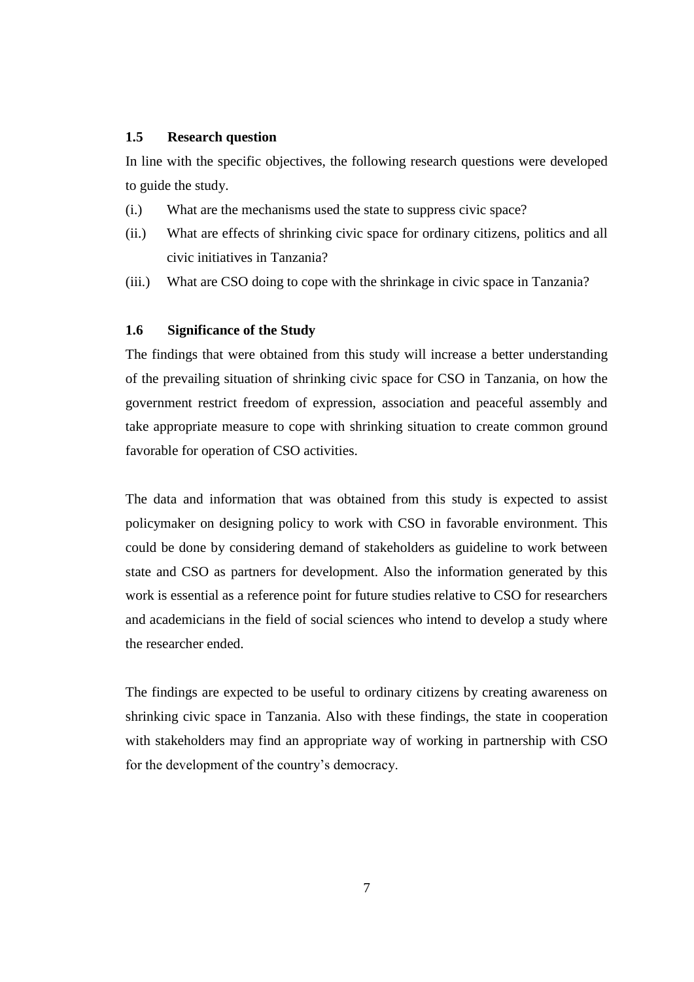# **1.5 Research question**

In line with the specific objectives, the following research questions were developed to guide the study.

- (i.) What are the mechanisms used the state to suppress civic space?
- (ii.) What are effects of shrinking civic space for ordinary citizens, politics and all civic initiatives in Tanzania?
- (iii.) What are CSO doing to cope with the shrinkage in civic space in Tanzania?

### **1.6 Significance of the Study**

The findings that were obtained from this study will increase a better understanding of the prevailing situation of shrinking civic space for CSO in Tanzania, on how the government restrict freedom of expression, association and peaceful assembly and take appropriate measure to cope with shrinking situation to create common ground favorable for operation of CSO activities.

The data and information that was obtained from this study is expected to assist policymaker on designing policy to work with CSO in favorable environment. This could be done by considering demand of stakeholders as guideline to work between state and CSO as partners for development. Also the information generated by this work is essential as a reference point for future studies relative to CSO for researchers and academicians in the field of social sciences who intend to develop a study where the researcher ended.

The findings are expected to be useful to ordinary citizens by creating awareness on shrinking civic space in Tanzania. Also with these findings, the state in cooperation with stakeholders may find an appropriate way of working in partnership with CSO for the development of the country's democracy.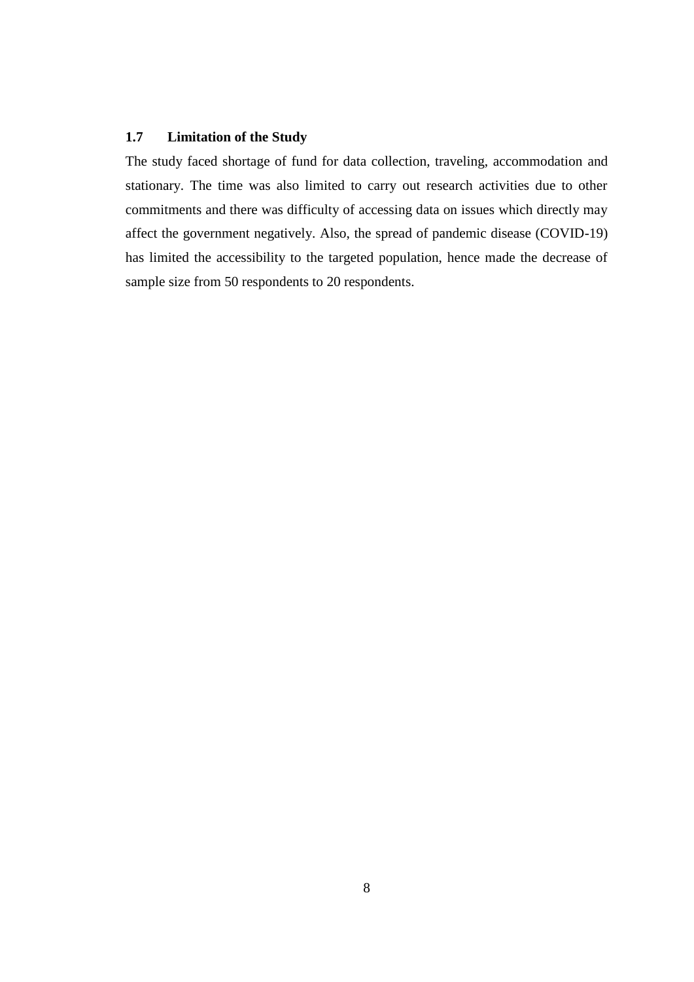# **1.7 Limitation of the Study**

The study faced shortage of fund for data collection, traveling, accommodation and stationary. The time was also limited to carry out research activities due to other commitments and there was difficulty of accessing data on issues which directly may affect the government negatively. Also, the spread of pandemic disease (COVID-19) has limited the accessibility to the targeted population, hence made the decrease of sample size from 50 respondents to 20 respondents.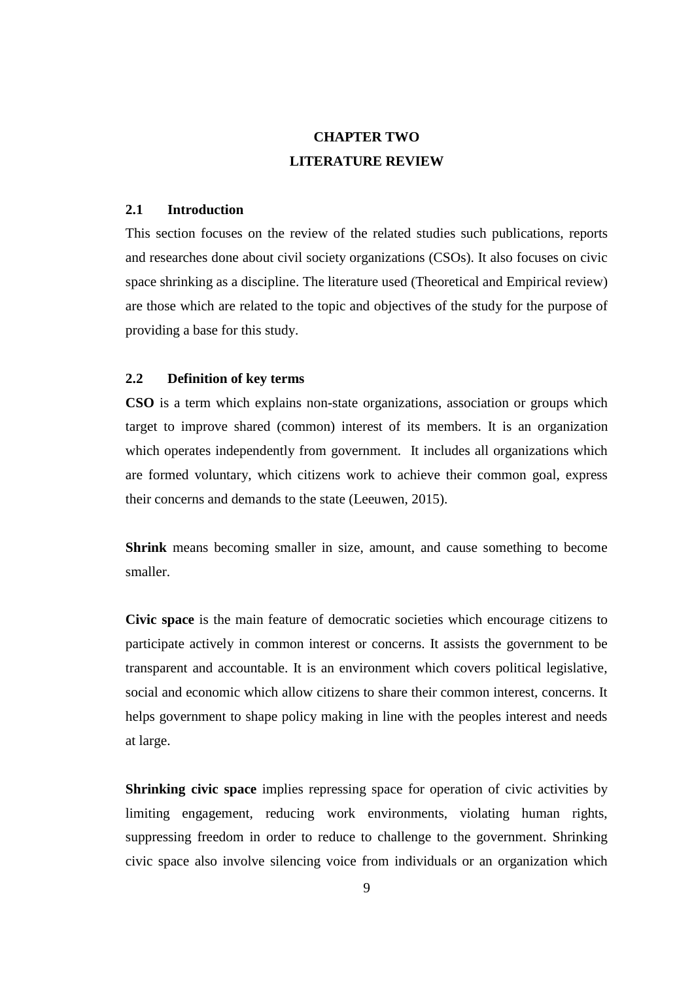# **CHAPTER TWO LITERATURE REVIEW**

### **2.1 Introduction**

This section focuses on the review of the related studies such publications, reports and researches done about civil society organizations (CSOs). It also focuses on civic space shrinking as a discipline. The literature used (Theoretical and Empirical review) are those which are related to the topic and objectives of the study for the purpose of providing a base for this study.

# **2.2 Definition of key terms**

**CSO** is a term which explains non-state organizations, association or groups which target to improve shared (common) interest of its members. It is an organization which operates independently from government. It includes all organizations which are formed voluntary, which citizens work to achieve their common goal, express their concerns and demands to the state (Leeuwen, 2015).

**Shrink** means becoming smaller in size, amount, and cause something to become smaller.

**Civic space** is the main feature of democratic societies which encourage citizens to participate actively in common interest or concerns. It assists the government to be transparent and accountable. It is an environment which covers political legislative, social and economic which allow citizens to share their common interest, concerns. It helps government to shape policy making in line with the peoples interest and needs at large.

**Shrinking civic space** implies repressing space for operation of civic activities by limiting engagement, reducing work environments, violating human rights, suppressing freedom in order to reduce to challenge to the government. Shrinking civic space also involve silencing voice from individuals or an organization which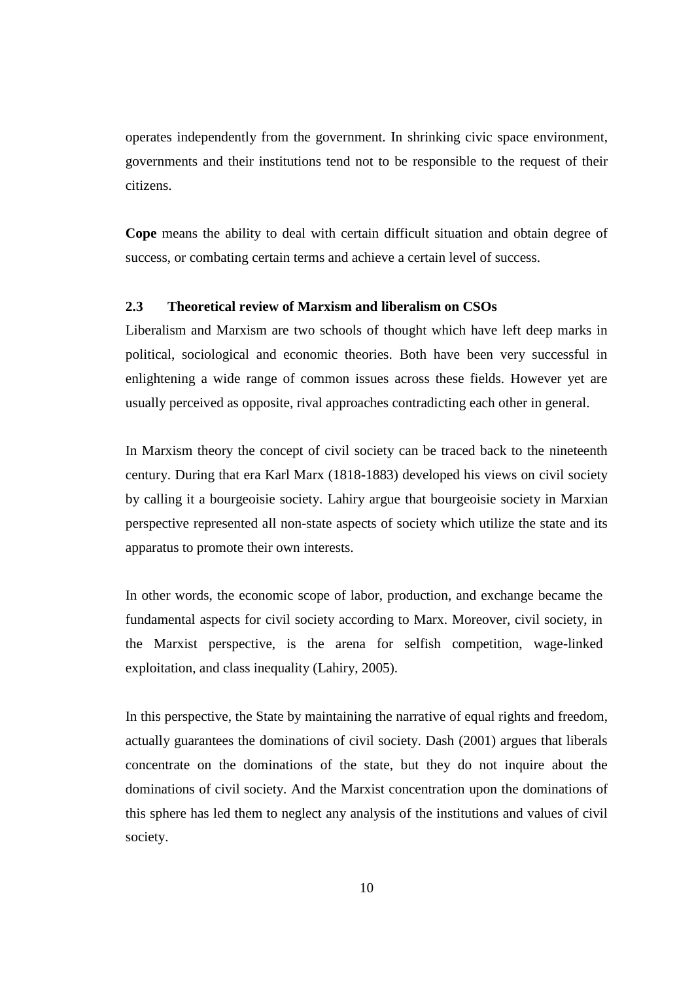operates independently from the government. In shrinking civic space environment, governments and their institutions tend not to be responsible to the request of their citizens.

**Cope** means the ability to deal with certain difficult situation and obtain degree of success, or combating certain terms and achieve a certain level of success.

# **2.3 Theoretical review of Marxism and liberalism on CSOs**

Liberalism and Marxism are two schools of thought which have left deep marks in political, sociological and economic theories. Both have been very successful in enlightening a wide range of common issues across these fields. However yet are usually perceived as opposite, rival approaches contradicting each other in general.

In Marxism theory the concept of civil society can be traced back to the nineteenth century. During that era Karl Marx (1818-1883) developed his views on civil society by calling it a bourgeoisie society. Lahiry argue that bourgeoisie society in Marxian perspective represented all non-state aspects of society which utilize the state and its apparatus to promote their own interests.

In other words, the economic scope of labor, production, and exchange became the fundamental aspects for civil society according to Marx. Moreover, civil society, in the Marxist perspective, is the arena for selfish competition, wage-linked exploitation, and class inequality (Lahiry, 2005).

In this perspective, the State by maintaining the narrative of equal rights and freedom, actually guarantees the dominations of civil society. Dash (2001) argues that liberals concentrate on the dominations of the state, but they do not inquire about the dominations of civil society. And the Marxist concentration upon the dominations of this sphere has led them to neglect any analysis of the institutions and values of civil society.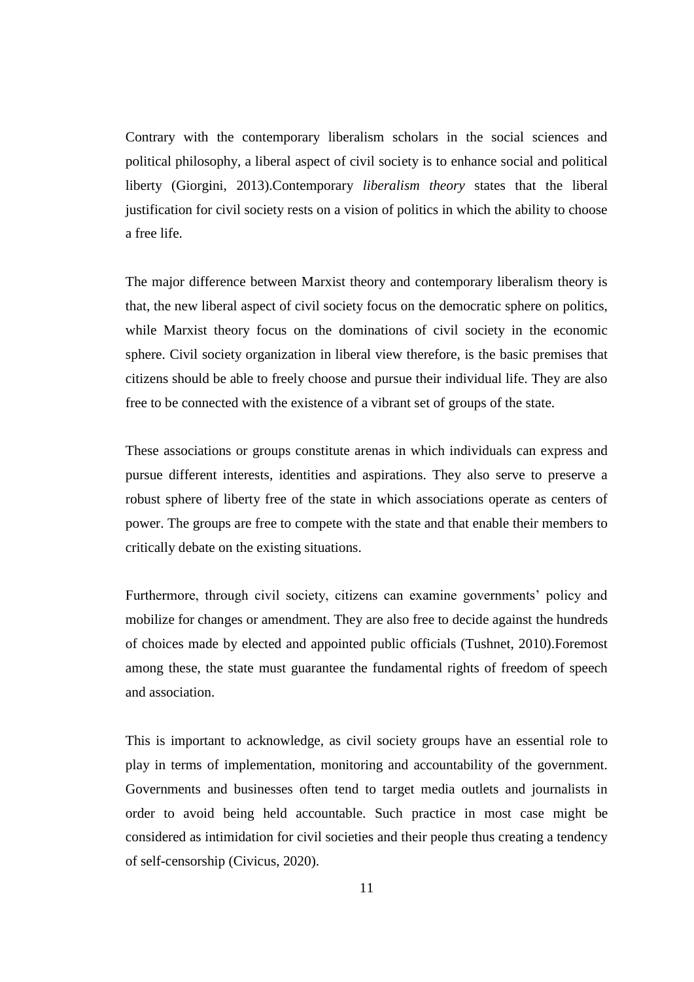Contrary with the contemporary liberalism scholars in the social sciences and political philosophy, a liberal aspect of civil society is to enhance social and political liberty (Giorgini, 2013).Contemporary *liberalism theory* states that the liberal justification for civil society rests on a vision of politics in which the ability to choose a free life.

The major difference between Marxist theory and contemporary liberalism theory is that, the new liberal aspect of civil society focus on the democratic sphere on politics, while Marxist theory focus on the dominations of civil society in the economic sphere. Civil society organization in liberal view therefore, is the basic premises that citizens should be able to freely choose and pursue their individual life. They are also free to be connected with the existence of a vibrant set of groups of the state.

These associations or groups constitute arenas in which individuals can express and pursue different interests, identities and aspirations. They also serve to preserve a robust sphere of liberty free of the state in which associations operate as centers of power. The groups are free to compete with the state and that enable their members to critically debate on the existing situations.

Furthermore, through civil society, citizens can examine governments' policy and mobilize for changes or amendment. They are also free to decide against the hundreds of choices made by elected and appointed public officials (Tushnet, 2010).Foremost among these, the state must guarantee the fundamental rights of freedom of speech and association.

This is important to acknowledge, as civil society groups have an essential role to play in terms of implementation, monitoring and accountability of the government. Governments and businesses often tend to target media outlets and journalists in order to avoid being held accountable. Such practice in most case might be considered as intimidation for civil societies and their people thus creating a tendency of self-censorship (Civicus, 2020).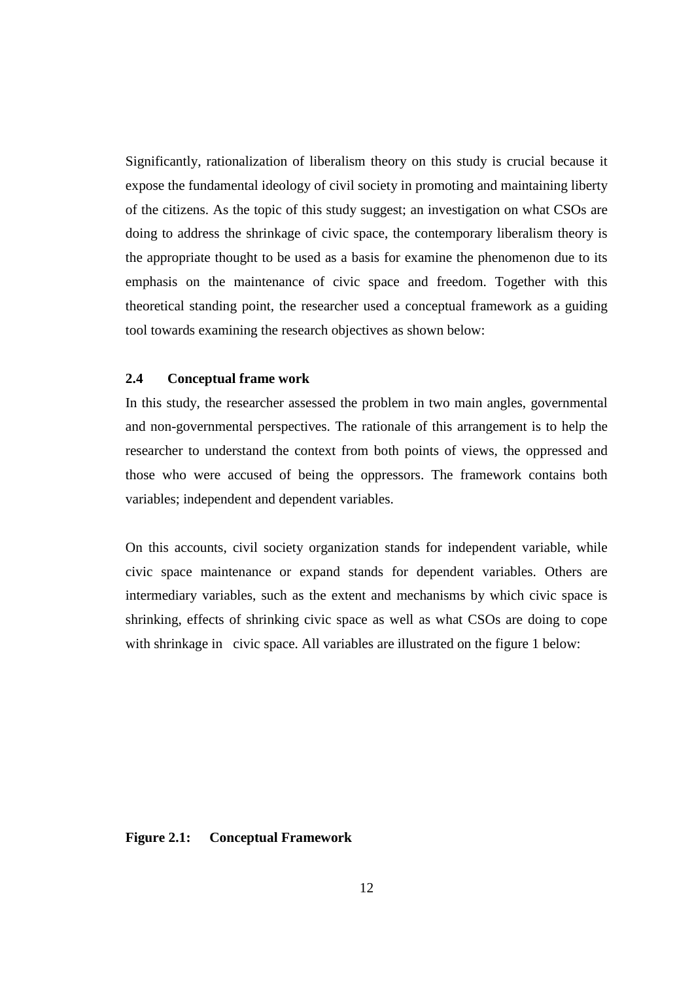Significantly, rationalization of liberalism theory on this study is crucial because it expose the fundamental ideology of civil society in promoting and maintaining liberty of the citizens. As the topic of this study suggest; an investigation on what CSOs are doing to address the shrinkage of civic space, the contemporary liberalism theory is the appropriate thought to be used as a basis for examine the phenomenon due to its emphasis on the maintenance of civic space and freedom. Together with this theoretical standing point, the researcher used a conceptual framework as a guiding tool towards examining the research objectives as shown below:

# **2.4 Conceptual frame work**

In this study, the researcher assessed the problem in two main angles, governmental and non-governmental perspectives. The rationale of this arrangement is to help the researcher to understand the context from both points of views, the oppressed and those who were accused of being the oppressors. The framework contains both variables; independent and dependent variables.

On this accounts, civil society organization stands for independent variable, while civic space maintenance or expand stands for dependent variables. Others are intermediary variables, such as the extent and mechanisms by which civic space is shrinking, effects of shrinking civic space as well as what CSOs are doing to cope with shrinkage in civic space. All variables are illustrated on the figure 1 below:

### **Figure 2.1: Conceptual Framework**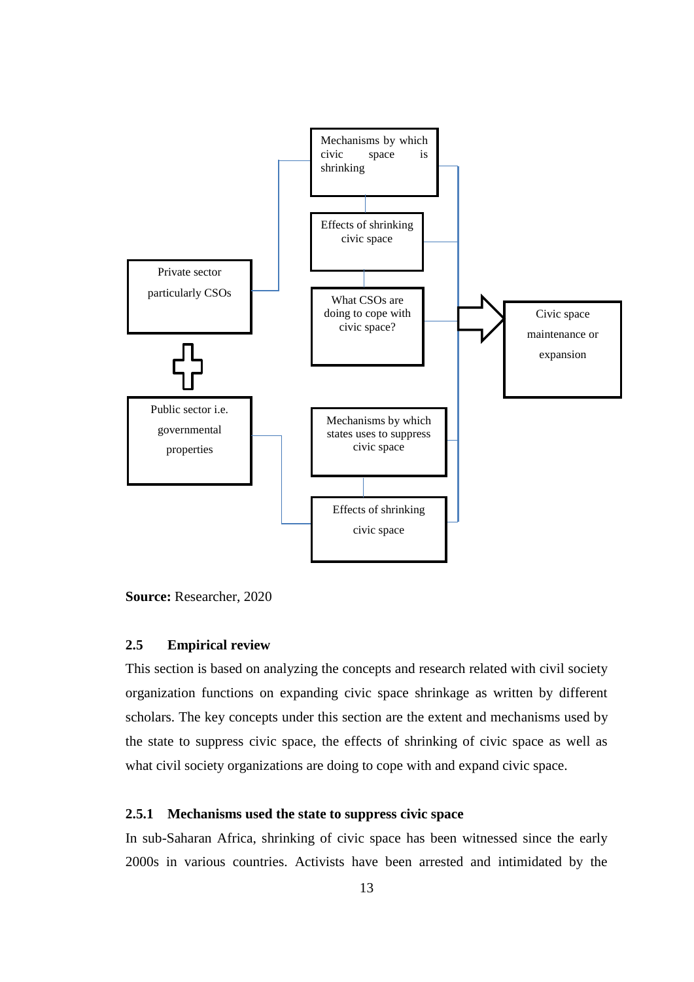

**Source:** Researcher, 2020

### **2.5 Empirical review**

This section is based on analyzing the concepts and research related with civil society organization functions on expanding civic space shrinkage as written by different scholars. The key concepts under this section are the extent and mechanisms used by the state to suppress civic space, the effects of shrinking of civic space as well as what civil society organizations are doing to cope with and expand civic space.

### **2.5.1 Mechanisms used the state to suppress civic space**

In sub-Saharan Africa, shrinking of civic space has been witnessed since the early 2000s in various countries. Activists have been arrested and intimidated by the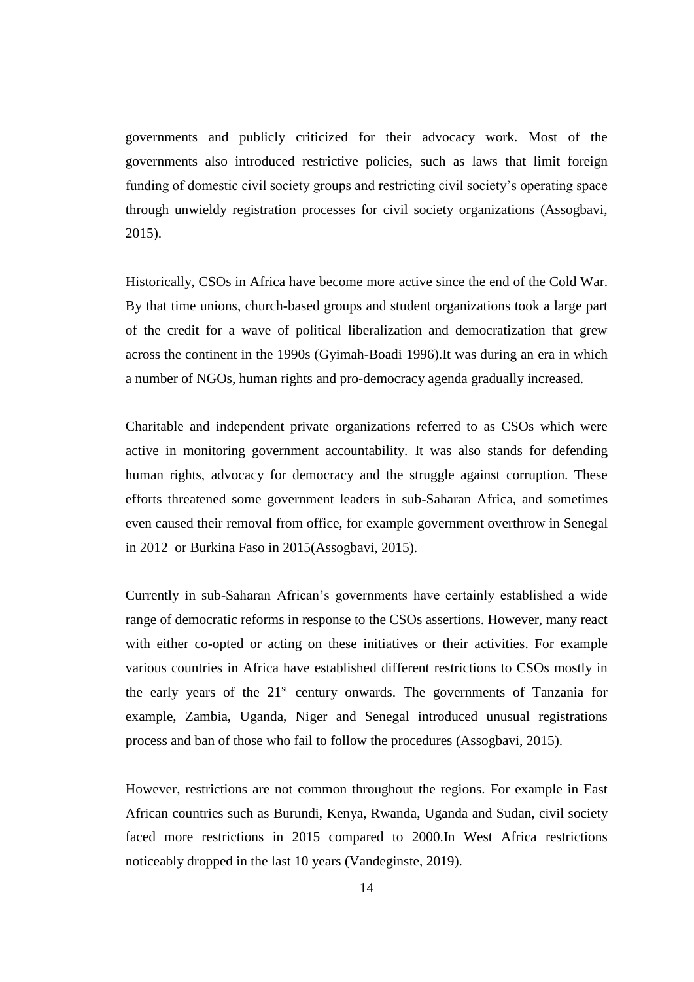governments and publicly criticized for their advocacy work. Most of the governments also introduced restrictive policies, such as laws that limit foreign funding of domestic civil society groups and restricting civil society's operating space through unwieldy registration processes for civil society organizations (Assogbavi, 2015).

Historically, CSOs in Africa have become more active since the end of the Cold War. By that time unions, church-based groups and student organizations took a large part of the credit for a wave of political liberalization and democratization that grew across the continent in the 1990s (Gyimah-Boadi 1996).It was during an era in which a number of NGOs, human rights and pro-democracy agenda gradually increased.

Charitable and independent private organizations referred to as CSOs which were active in monitoring government accountability. It was also stands for defending human rights, advocacy for democracy and the struggle against corruption. These efforts threatened some government leaders in sub-Saharan Africa, and sometimes even caused their removal from office, for example government overthrow in Senegal in 2012 or Burkina Faso in 2015(Assogbavi, 2015).

Currently in sub-Saharan African's governments have certainly established a wide range of democratic reforms in response to the CSOs assertions. However, many react with either co-opted or acting on these initiatives or their activities. For example various countries in Africa have established different restrictions to CSOs mostly in the early years of the  $21<sup>st</sup>$  century onwards. The governments of Tanzania for example, Zambia, Uganda, Niger and Senegal introduced unusual registrations process and ban of those who fail to follow the procedures (Assogbavi, 2015).

However, restrictions are not common throughout the regions. For example in East African countries such as Burundi, Kenya, Rwanda, Uganda and Sudan, civil society faced more restrictions in 2015 compared to 2000.In West Africa restrictions noticeably dropped in the last 10 years (Vandeginste, 2019).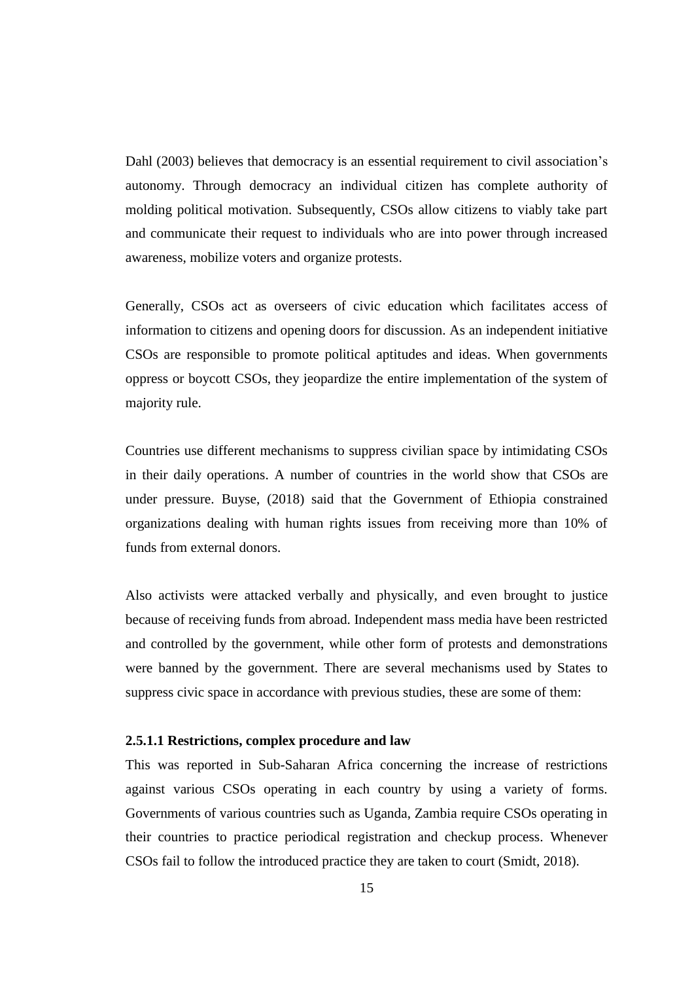Dahl (2003) believes that democracy is an essential requirement to civil association's autonomy. Through democracy an individual citizen has complete authority of molding political motivation. Subsequently, CSOs allow citizens to viably take part and communicate their request to individuals who are into power through increased awareness, mobilize voters and organize protests.

Generally, CSOs act as overseers of civic education which facilitates access of information to citizens and opening doors for discussion. As an independent initiative CSOs are responsible to promote political aptitudes and ideas. When governments oppress or boycott CSOs, they jeopardize the entire implementation of the system of majority rule.

Countries use different mechanisms to suppress civilian space by intimidating CSOs in their daily operations. A number of countries in the world show that CSOs are under pressure. Buyse, (2018) said that the Government of Ethiopia constrained organizations dealing with human rights issues from receiving more than 10% of funds from external donors.

Also activists were attacked verbally and physically, and even brought to justice because of receiving funds from abroad. Independent mass media have been restricted and controlled by the government, while other form of protests and demonstrations were banned by the government. There are several mechanisms used by States to suppress civic space in accordance with previous studies, these are some of them:

#### **2.5.1.1 Restrictions, complex procedure and law**

This was reported in Sub-Saharan Africa concerning the increase of restrictions against various CSOs operating in each country by using a variety of forms. Governments of various countries such as Uganda, Zambia require CSOs operating in their countries to practice periodical registration and checkup process. Whenever CSOs fail to follow the introduced practice they are taken to court (Smidt, 2018).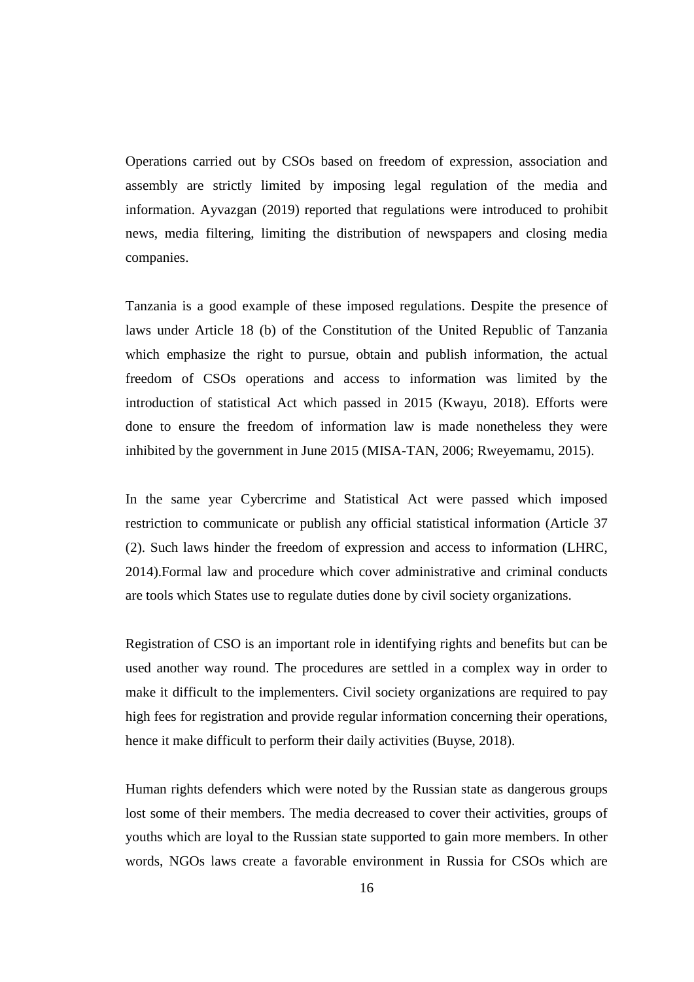Operations carried out by CSOs based on freedom of expression, association and assembly are strictly limited by imposing legal regulation of the media and information. Ayvazgan (2019) reported that regulations were introduced to prohibit news, media filtering, limiting the distribution of newspapers and closing media companies.

Tanzania is a good example of these imposed regulations. Despite the presence of laws under Article 18 (b) of the Constitution of the United Republic of Tanzania which emphasize the right to pursue, obtain and publish information, the actual freedom of CSOs operations and access to information was limited by the introduction of statistical Act which passed in 2015 (Kwayu, 2018). Efforts were done to ensure the freedom of information law is made nonetheless they were inhibited by the government in June 2015 (MISA-TAN, 2006; Rweyemamu, 2015).

In the same year Cybercrime and Statistical Act were passed which imposed restriction to communicate or publish any official statistical information (Article 37 (2). Such laws hinder the freedom of expression and access to information (LHRC, 2014).Formal law and procedure which cover administrative and criminal conducts are tools which States use to regulate duties done by civil society organizations.

Registration of CSO is an important role in identifying rights and benefits but can be used another way round. The procedures are settled in a complex way in order to make it difficult to the implementers. Civil society organizations are required to pay high fees for registration and provide regular information concerning their operations, hence it make difficult to perform their daily activities (Buyse, 2018).

Human rights defenders which were noted by the Russian state as dangerous groups lost some of their members. The media decreased to cover their activities, groups of youths which are loyal to the Russian state supported to gain more members. In other words, NGOs laws create a favorable environment in Russia for CSOs which are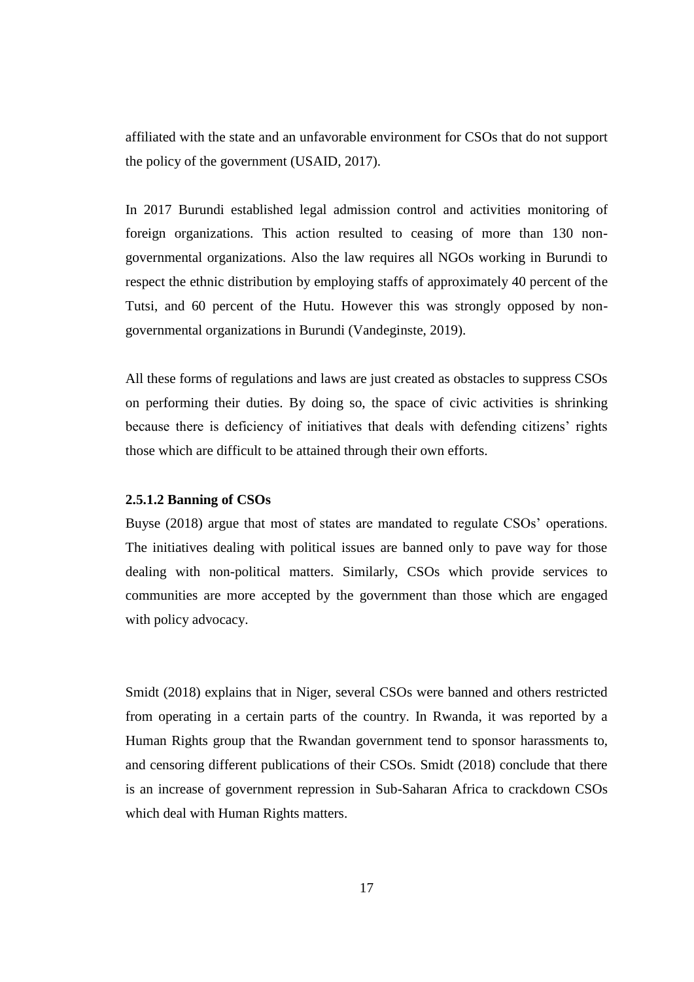affiliated with the state and an unfavorable environment for CSOs that do not support the policy of the government (USAID, 2017).

In 2017 Burundi established legal admission control and activities monitoring of foreign organizations. This action resulted to ceasing of more than 130 nongovernmental organizations. Also the law requires all NGOs working in Burundi to respect the ethnic distribution by employing staffs of approximately 40 percent of the Tutsi, and 60 percent of the Hutu. However this was strongly opposed by nongovernmental organizations in Burundi (Vandeginste, 2019).

All these forms of regulations and laws are just created as obstacles to suppress CSOs on performing their duties. By doing so, the space of civic activities is shrinking because there is deficiency of initiatives that deals with defending citizens' rights those which are difficult to be attained through their own efforts.

#### **2.5.1.2 Banning of CSOs**

Buyse (2018) argue that most of states are mandated to regulate CSOs' operations. The initiatives dealing with political issues are banned only to pave way for those dealing with non-political matters. Similarly, CSOs which provide services to communities are more accepted by the government than those which are engaged with policy advocacy.

Smidt (2018) explains that in Niger, several CSOs were banned and others restricted from operating in a certain parts of the country. In Rwanda, it was reported by a Human Rights group that the Rwandan government tend to sponsor harassments to, and censoring different publications of their CSOs. Smidt (2018) conclude that there is an increase of government repression in Sub-Saharan Africa to crackdown CSOs which deal with Human Rights matters.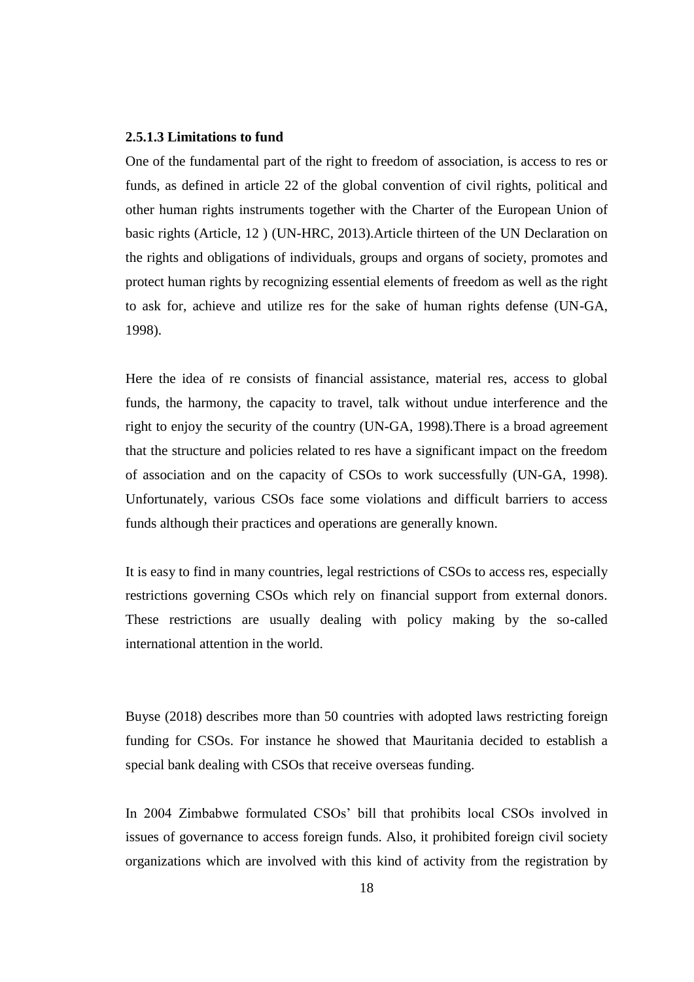#### **2.5.1.3 Limitations to fund**

One of the fundamental part of the right to freedom of association, is access to res or funds, as defined in article 22 of the global convention of civil rights, political and other human rights instruments together with the Charter of the European Union of basic rights (Article, 12 ) (UN-HRC, 2013).Article thirteen of the UN Declaration on the rights and obligations of individuals, groups and organs of society, promotes and protect human rights by recognizing essential elements of freedom as well as the right to ask for, achieve and utilize res for the sake of human rights defense (UN-GA, 1998).

Here the idea of re consists of financial assistance, material res, access to global funds, the harmony, the capacity to travel, talk without undue interference and the right to enjoy the security of the country (UN-GA, 1998).There is a broad agreement that the structure and policies related to res have a significant impact on the freedom of association and on the capacity of CSOs to work successfully (UN-GA, 1998). Unfortunately, various CSOs face some violations and difficult barriers to access funds although their practices and operations are generally known.

It is easy to find in many countries, legal restrictions of CSOs to access res, especially restrictions governing CSOs which rely on financial support from external donors. These restrictions are usually dealing with policy making by the so-called international attention in the world.

Buyse (2018) describes more than 50 countries with adopted laws restricting foreign funding for CSOs. For instance he showed that Mauritania decided to establish a special bank dealing with CSOs that receive overseas funding.

In 2004 Zimbabwe formulated CSOs' bill that prohibits local CSOs involved in issues of governance to access foreign funds. Also, it prohibited foreign civil society organizations which are involved with this kind of activity from the registration by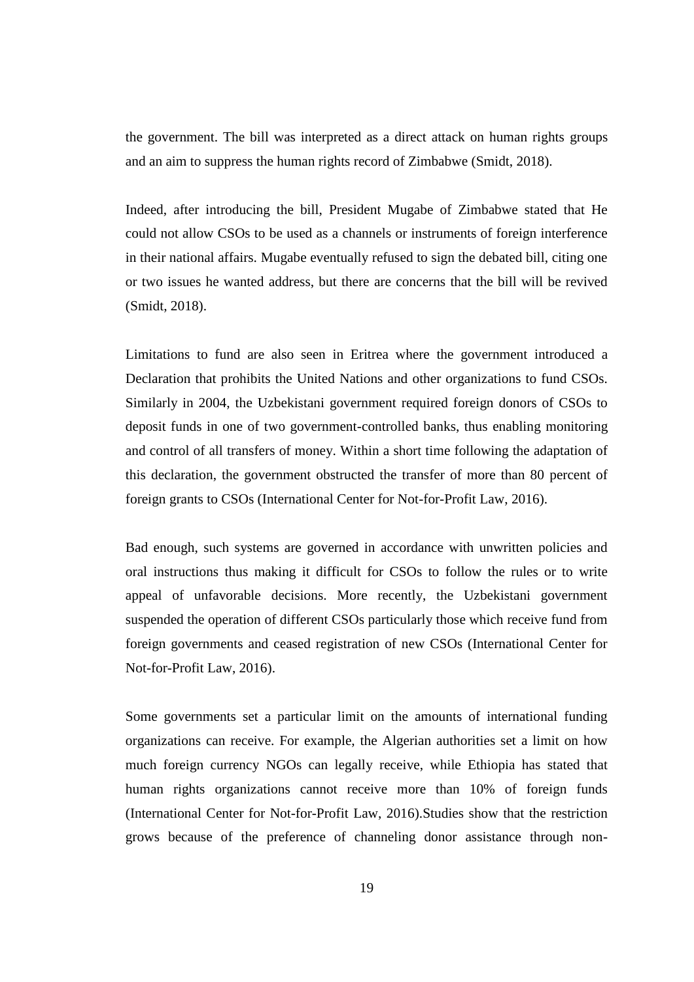the government. The bill was interpreted as a direct attack on human rights groups and an aim to suppress the human rights record of Zimbabwe (Smidt, 2018).

Indeed, after introducing the bill, President Mugabe of Zimbabwe stated that He could not allow CSOs to be used as a channels or instruments of foreign interference in their national affairs. Mugabe eventually refused to sign the debated bill, citing one or two issues he wanted address, but there are concerns that the bill will be revived (Smidt, 2018).

Limitations to fund are also seen in Eritrea where the government introduced a Declaration that prohibits the United Nations and other organizations to fund CSOs. Similarly in 2004, the Uzbekistani government required foreign donors of CSOs to deposit funds in one of two government-controlled banks, thus enabling monitoring and control of all transfers of money. Within a short time following the adaptation of this declaration, the government obstructed the transfer of more than 80 percent of foreign grants to CSOs (International Center for Not-for-Profit Law, 2016).

Bad enough, such systems are governed in accordance with unwritten policies and oral instructions thus making it difficult for CSOs to follow the rules or to write appeal of unfavorable decisions. More recently, the Uzbekistani government suspended the operation of different CSOs particularly those which receive fund from foreign governments and ceased registration of new CSOs (International Center for Not-for-Profit Law, 2016).

Some governments set a particular limit on the amounts of international funding organizations can receive. For example, the Algerian authorities set a limit on how much foreign currency NGOs can legally receive, while Ethiopia has stated that human rights organizations cannot receive more than 10% of foreign funds (International Center for Not-for-Profit Law, 2016).Studies show that the restriction grows because of the preference of channeling donor assistance through non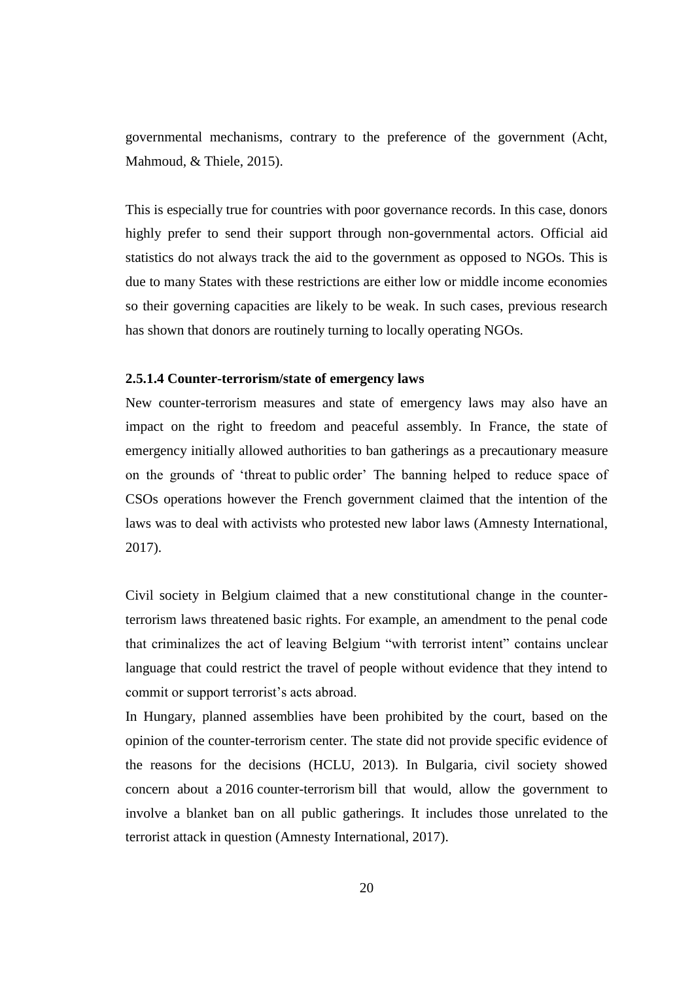governmental mechanisms, contrary to the preference of the government (Acht, Mahmoud, & Thiele, 2015).

This is especially true for countries with poor governance records. In this case, donors highly prefer to send their support through non-governmental actors. Official aid statistics do not always track the aid to the government as opposed to NGOs. This is due to many States with these restrictions are either low or middle income economies so their governing capacities are likely to be weak. In such cases, previous research has shown that donors are routinely turning to locally operating NGOs.

### **2.5.1.4 Counter-terrorism/state of emergency laws**

New counter-terrorism measures and state of emergency laws may also have an impact on the right to freedom and peaceful assembly. In France, the state of emergency initially allowed authorities to ban gatherings as a precautionary measure on the grounds of 'threat to public order' The banning helped to reduce space of CSOs operations however the French government claimed that the intention of the laws was to deal with activists who protested new labor laws (Amnesty International, 2017).

Civil society in Belgium claimed that a new constitutional change in the counterterrorism laws threatened basic rights. For example, an amendment to the penal code that criminalizes the act of leaving Belgium "with terrorist intent" contains unclear language that could restrict the travel of people without evidence that they intend to commit or support terrorist's acts abroad.

In Hungary, planned assemblies have been prohibited by the court, based on the opinion of the counter-terrorism center. The state did not provide specific evidence of the reasons for the decisions (HCLU, 2013). In Bulgaria, civil society showed concern about a 2016 counter-terrorism bill that would, allow the government to involve a blanket ban on all public gatherings. It includes those unrelated to the terrorist attack in question (Amnesty International, 2017).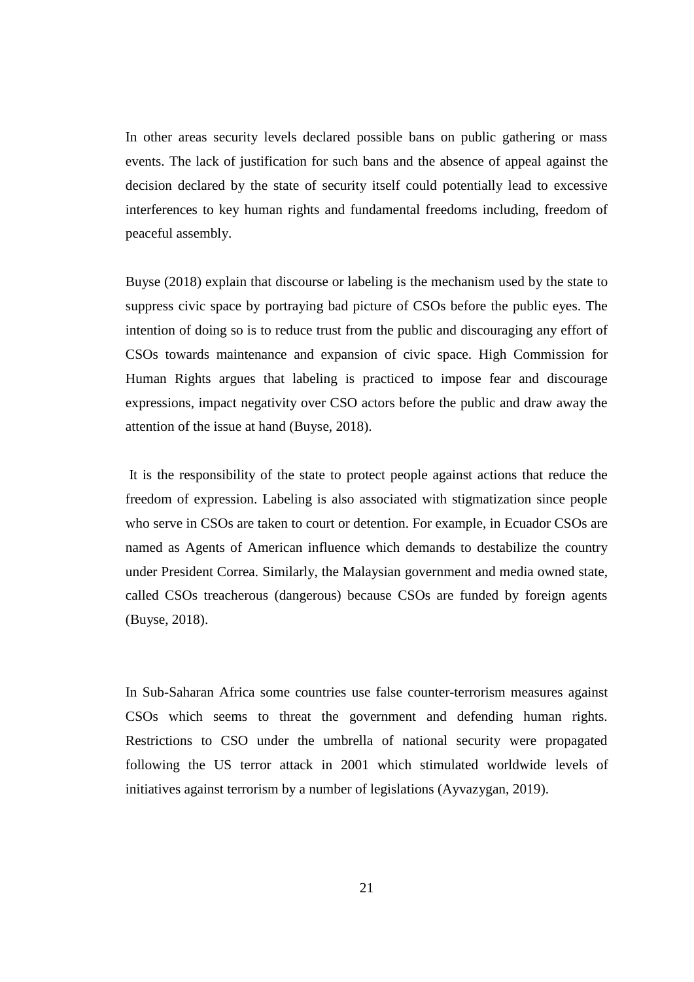In other areas security levels declared possible bans on public gathering or mass events. The lack of justification for such bans and the absence of appeal against the decision declared by the state of security itself could potentially lead to excessive interferences to key human rights and fundamental freedoms including, freedom of peaceful assembly.

Buyse (2018) explain that discourse or labeling is the mechanism used by the state to suppress civic space by portraying bad picture of CSOs before the public eyes. The intention of doing so is to reduce trust from the public and discouraging any effort of CSOs towards maintenance and expansion of civic space. High Commission for Human Rights argues that labeling is practiced to impose fear and discourage expressions, impact negativity over CSO actors before the public and draw away the attention of the issue at hand (Buyse, 2018).

It is the responsibility of the state to protect people against actions that reduce the freedom of expression. Labeling is also associated with stigmatization since people who serve in CSOs are taken to court or detention. For example, in Ecuador CSOs are named as Agents of American influence which demands to destabilize the country under President Correa. Similarly, the Malaysian government and media owned state, called CSOs treacherous (dangerous) because CSOs are funded by foreign agents (Buyse, 2018).

In Sub-Saharan Africa some countries use false counter-terrorism measures against CSOs which seems to threat the government and defending human rights. Restrictions to CSO under the umbrella of national security were propagated following the US terror attack in 2001 which stimulated worldwide levels of initiatives against terrorism by a number of legislations (Ayvazygan, 2019).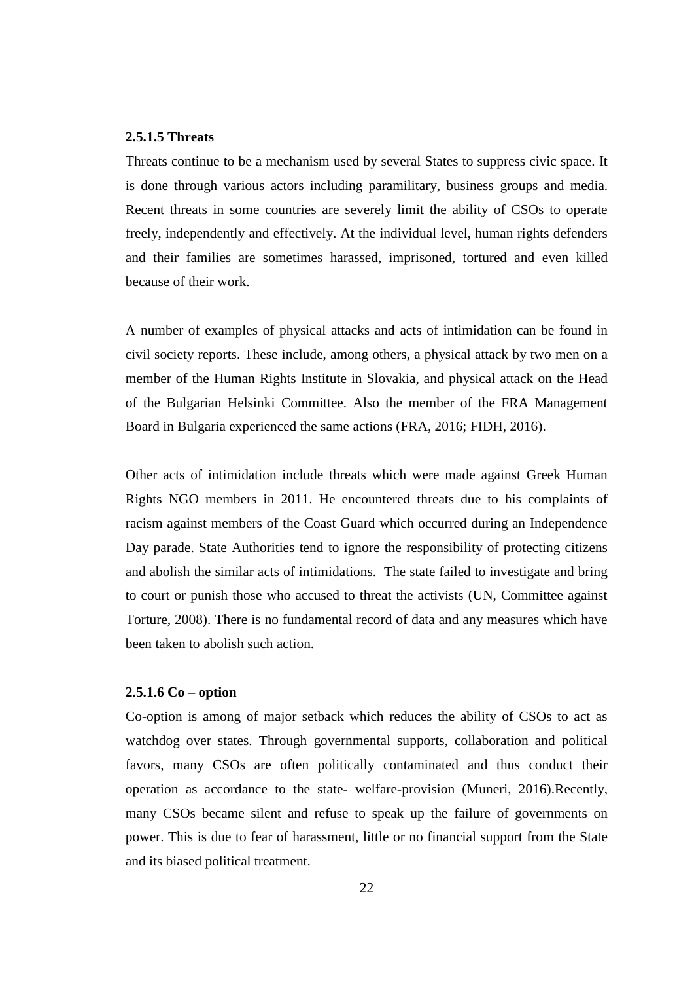# **2.5.1.5 Threats**

Threats continue to be a mechanism used by several States to suppress civic space. It is done through various actors including paramilitary, business groups and media. Recent threats in some countries are severely limit the ability of CSOs to operate freely, independently and effectively. At the individual level, human rights defenders and their families are sometimes harassed, imprisoned, tortured and even killed because of their work.

A number of examples of physical attacks and acts of intimidation can be found in civil society reports. These include, among others, a physical attack by two men on a member of the Human Rights Institute in Slovakia, and physical attack on the Head of the Bulgarian Helsinki Committee. Also the member of the FRA Management Board in Bulgaria experienced the same actions (FRA, 2016; FIDH, 2016).

Other acts of intimidation include threats which were made against Greek Human Rights NGO members in 2011. He encountered threats due to his complaints of racism against members of the Coast Guard which occurred during an Independence Day parade. State Authorities tend to ignore the responsibility of protecting citizens and abolish the similar acts of intimidations. The state failed to investigate and bring to court or punish those who accused to threat the activists (UN, Committee against Torture, 2008). There is no fundamental record of data and any measures which have been taken to abolish such action.

#### **2.5.1.6 Co – option**

Co-option is among of major setback which reduces the ability of CSOs to act as watchdog over states. Through governmental supports, collaboration and political favors, many CSOs are often politically contaminated and thus conduct their operation as accordance to the state- welfare-provision (Muneri, 2016).Recently, many CSOs became silent and refuse to speak up the failure of governments on power. This is due to fear of harassment, little or no financial support from the State and its biased political treatment.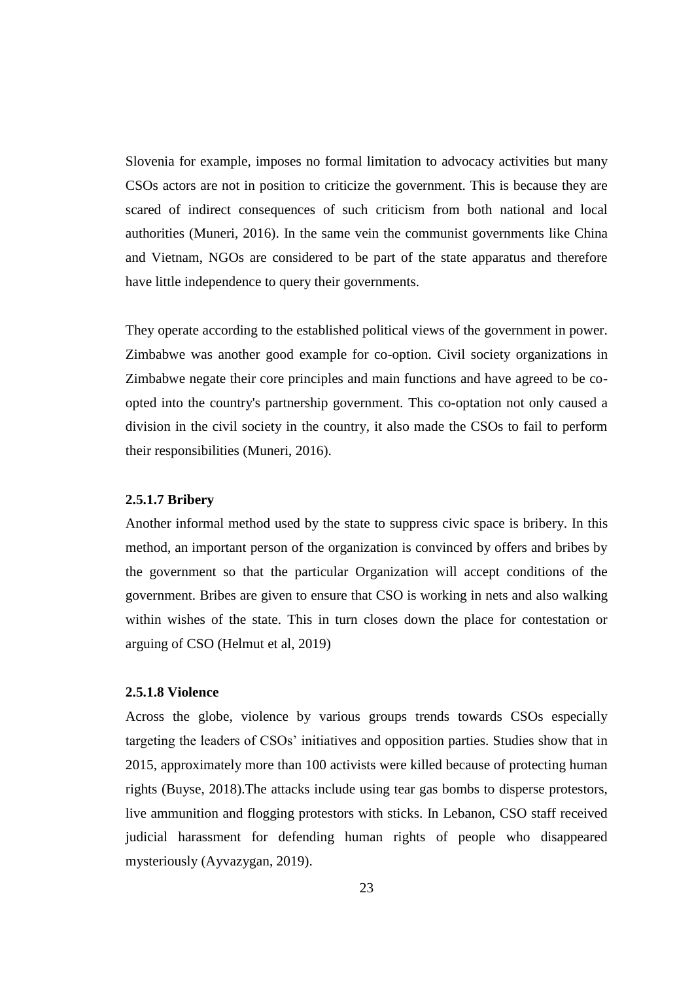Slovenia for example, imposes no formal limitation to advocacy activities but many CSOs actors are not in position to criticize the government. This is because they are scared of indirect consequences of such criticism from both national and local authorities (Muneri, 2016). In the same vein the communist governments like China and Vietnam, NGOs are considered to be part of the state apparatus and therefore have little independence to query their governments.

They operate according to the established political views of the government in power. Zimbabwe was another good example for co-option. Civil society organizations in Zimbabwe negate their core principles and main functions and have agreed to be coopted into the country's partnership government. This co-optation not only caused a division in the civil society in the country, it also made the CSOs to fail to perform their responsibilities (Muneri, 2016).

#### **2.5.1.7 Bribery**

Another informal method used by the state to suppress civic space is bribery. In this method, an important person of the organization is convinced by offers and bribes by the government so that the particular Organization will accept conditions of the government. Bribes are given to ensure that CSO is working in nets and also walking within wishes of the state. This in turn closes down the place for contestation or arguing of CSO (Helmut et al, 2019)

## **2.5.1.8 Violence**

Across the globe, violence by various groups trends towards CSOs especially targeting the leaders of CSOs' initiatives and opposition parties. Studies show that in 2015, approximately more than 100 activists were killed because of protecting human rights (Buyse, 2018).The attacks include using tear gas bombs to disperse protestors, live ammunition and flogging protestors with sticks. In Lebanon, CSO staff received judicial harassment for defending human rights of people who disappeared mysteriously (Ayvazygan, 2019).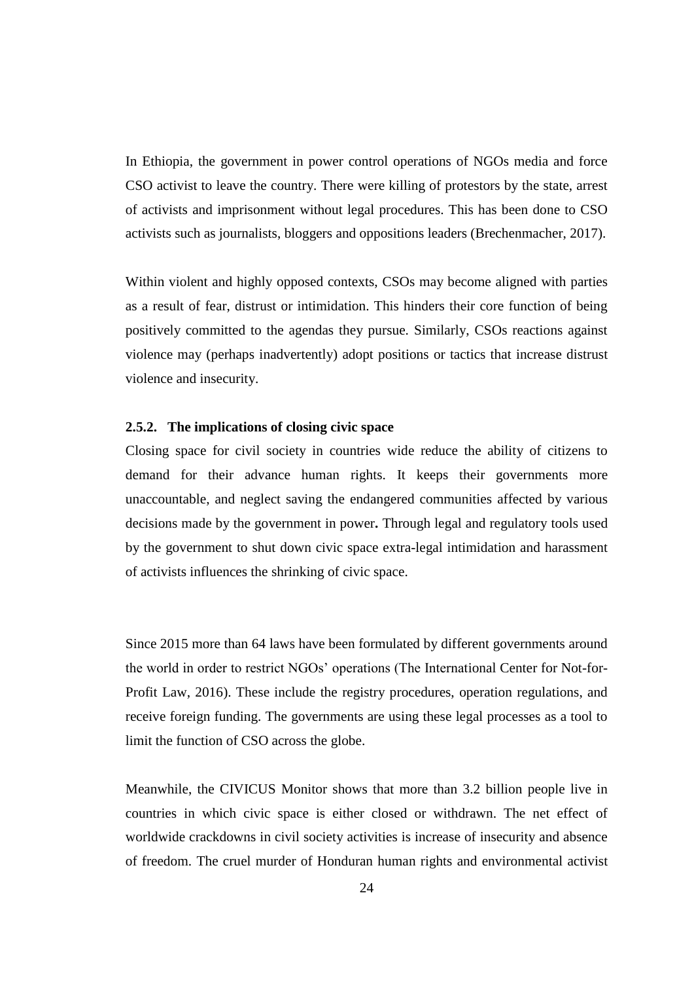In Ethiopia, the government in power control operations of NGOs media and force CSO activist to leave the country. There were killing of protestors by the state, arrest of activists and imprisonment without legal procedures. This has been done to CSO activists such as journalists, bloggers and oppositions leaders (Brechenmacher, 2017).

Within violent and highly opposed contexts, CSOs may become aligned with parties as a result of fear, distrust or intimidation. This hinders their core function of being positively committed to the agendas they pursue. Similarly, CSOs reactions against violence may (perhaps inadvertently) adopt positions or tactics that increase distrust violence and insecurity.

# **2.5.2. The implications of closing civic space**

Closing space for civil society in countries wide reduce the ability of citizens to demand for their advance human rights. It keeps their governments more unaccountable, and neglect saving the endangered communities affected by various decisions made by the government in power**.** Through legal and regulatory tools used by the government to shut down civic space extra-legal intimidation and harassment of activists influences the shrinking of civic space.

Since 2015 more than 64 laws have been formulated by different governments around the world in order to restrict NGOs' operations (The International Center for Not-for-Profit Law, 2016). These include the registry procedures, operation regulations, and receive foreign funding. The governments are using these legal processes as a tool to limit the function of CSO across the globe.

Meanwhile, the CIVICUS Monitor shows that more than 3.2 billion people live in countries in which civic space is either closed or withdrawn. The net effect of worldwide crackdowns in civil society activities is increase of insecurity and absence of freedom. The cruel murder of Honduran human rights and environmental activist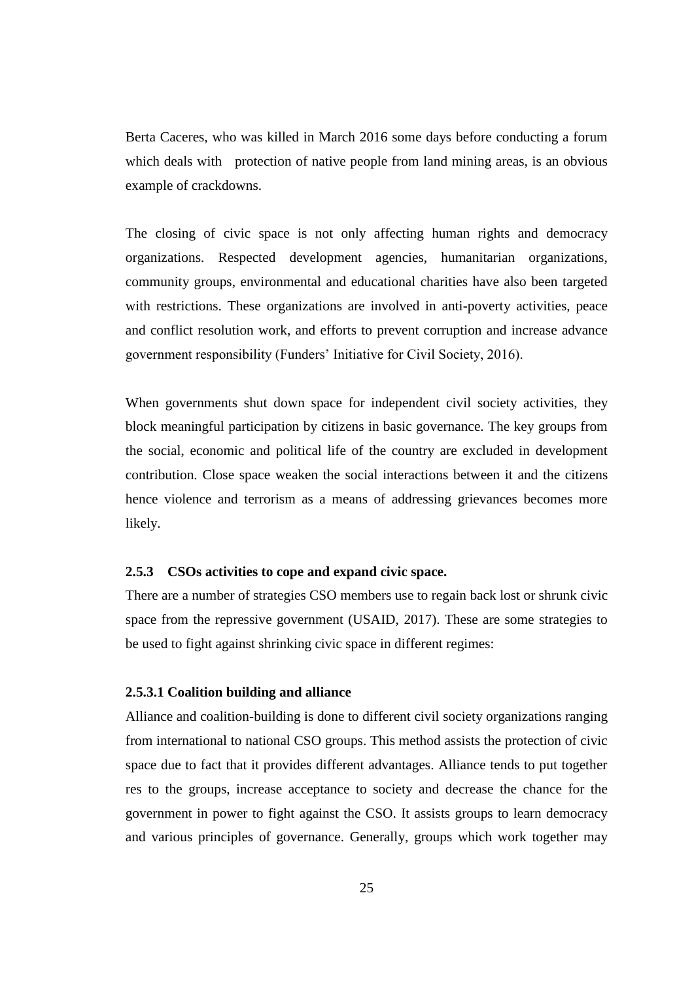Berta Caceres, who was killed in March 2016 some days before conducting a forum which deals with protection of native people from land mining areas, is an obvious example of crackdowns.

The closing of civic space is not only affecting human rights and democracy organizations. Respected development agencies, humanitarian organizations, community groups, environmental and educational charities have also been targeted with restrictions. These organizations are involved in anti-poverty activities, peace and conflict resolution work, and efforts to prevent corruption and increase advance government responsibility (Funders' Initiative for Civil Society, 2016).

When governments shut down space for independent civil society activities, they block meaningful participation by citizens in basic governance. The key groups from the social, economic and political life of the country are excluded in development contribution. Close space weaken the social interactions between it and the citizens hence violence and terrorism as a means of addressing grievances becomes more likely.

# **2.5.3 CSOs activities to cope and expand civic space.**

There are a number of strategies CSO members use to regain back lost or shrunk civic space from the repressive government (USAID, 2017). These are some strategies to be used to fight against shrinking civic space in different regimes:

#### **2.5.3.1 Coalition building and alliance**

Alliance and coalition-building is done to different civil society organizations ranging from international to national CSO groups. This method assists the protection of civic space due to fact that it provides different advantages. Alliance tends to put together res to the groups, increase acceptance to society and decrease the chance for the government in power to fight against the CSO. It assists groups to learn democracy and various principles of governance. Generally, groups which work together may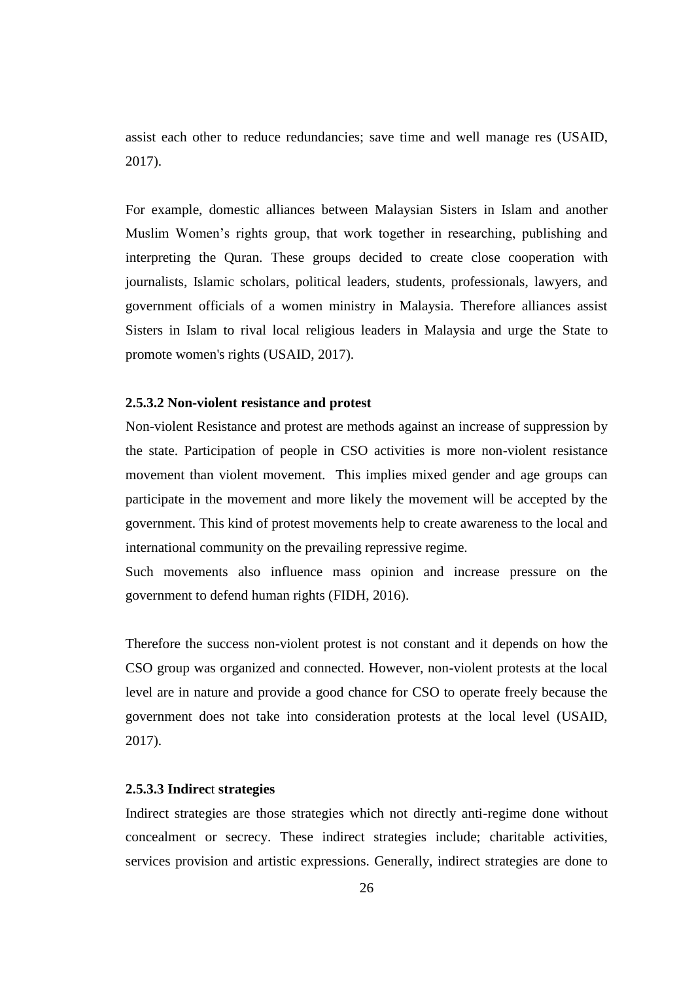assist each other to reduce redundancies; save time and well manage res (USAID, 2017).

For example, domestic alliances between Malaysian Sisters in Islam and another Muslim Women's rights group, that work together in researching, publishing and interpreting the Quran. These groups decided to create close cooperation with journalists, Islamic scholars, political leaders, students, professionals, lawyers, and government officials of a women ministry in Malaysia. Therefore alliances assist Sisters in Islam to rival local religious leaders in Malaysia and urge the State to promote women's rights (USAID, 2017).

# **2.5.3.2 Non-violent resistance and protest**

Non-violent Resistance and protest are methods against an increase of suppression by the state. Participation of people in CSO activities is more non-violent resistance movement than violent movement. This implies mixed gender and age groups can participate in the movement and more likely the movement will be accepted by the government. This kind of protest movements help to create awareness to the local and international community on the prevailing repressive regime.

Such movements also influence mass opinion and increase pressure on the government to defend human rights (FIDH, 2016).

Therefore the success non-violent protest is not constant and it depends on how the CSO group was organized and connected. However, non-violent protests at the local level are in nature and provide a good chance for CSO to operate freely because the government does not take into consideration protests at the local level (USAID, 2017).

#### **2.5.3.3 Indirec**t **strategies**

Indirect strategies are those strategies which not directly anti-regime done without concealment or secrecy. These indirect strategies include; charitable activities, services provision and artistic expressions. Generally, indirect strategies are done to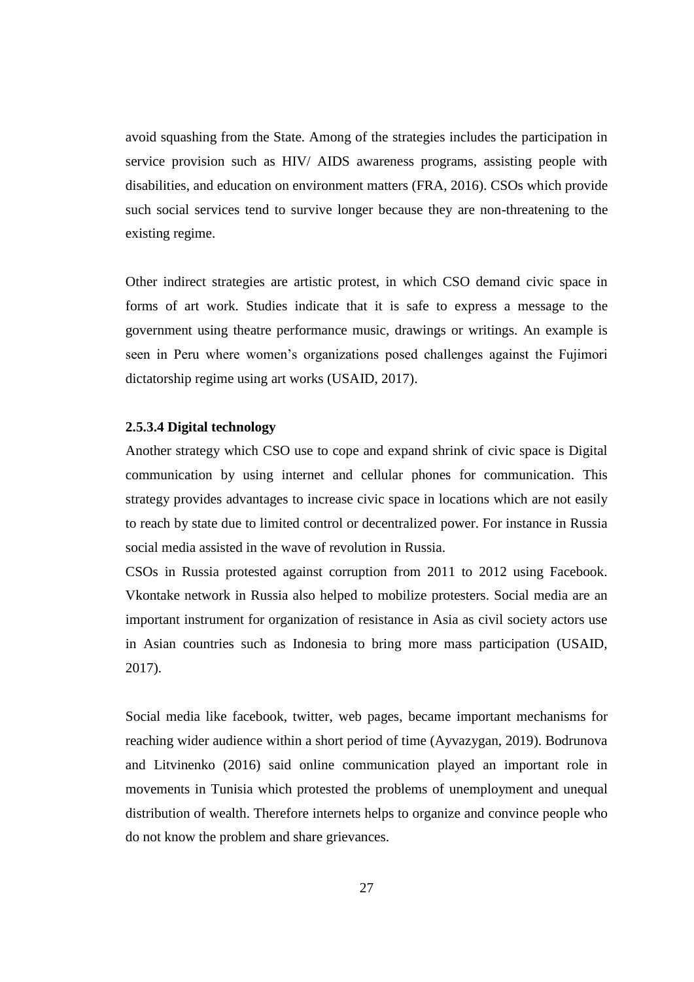avoid squashing from the State. Among of the strategies includes the participation in service provision such as HIV/ AIDS awareness programs, assisting people with disabilities, and education on environment matters (FRA, 2016). CSOs which provide such social services tend to survive longer because they are non-threatening to the existing regime.

Other indirect strategies are artistic protest, in which CSO demand civic space in forms of art work. Studies indicate that it is safe to express a message to the government using theatre performance music, drawings or writings. An example is seen in Peru where women's organizations posed challenges against the Fujimori dictatorship regime using art works (USAID, 2017).

#### **2.5.3.4 Digital technology**

Another strategy which CSO use to cope and expand shrink of civic space is Digital communication by using internet and cellular phones for communication. This strategy provides advantages to increase civic space in locations which are not easily to reach by state due to limited control or decentralized power. For instance in Russia social media assisted in the wave of revolution in Russia.

CSOs in Russia protested against corruption from 2011 to 2012 using Facebook. Vkontake network in Russia also helped to mobilize protesters. Social media are an important instrument for organization of resistance in Asia as civil society actors use in Asian countries such as Indonesia to bring more mass participation (USAID, 2017).

Social media like facebook, twitter, web pages, became important mechanisms for reaching wider audience within a short period of time (Ayvazygan, 2019). Bodrunova and Litvinenko (2016) said online communication played an important role in movements in Tunisia which protested the problems of unemployment and unequal distribution of wealth. Therefore internets helps to organize and convince people who do not know the problem and share grievances.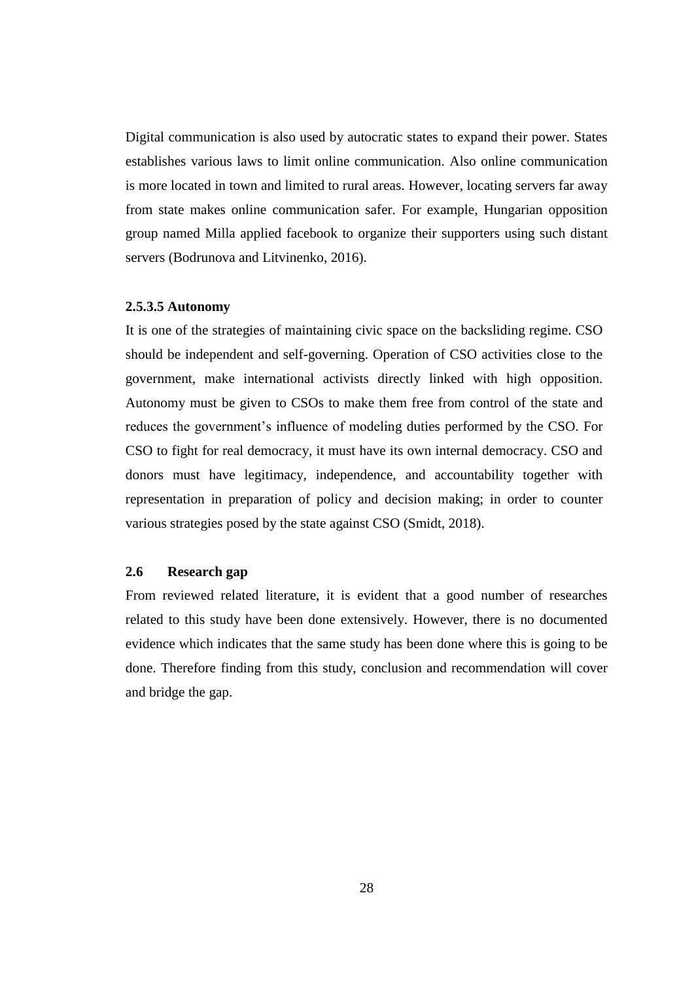Digital communication is also used by autocratic states to expand their power. States establishes various laws to limit online communication. Also online communication is more located in town and limited to rural areas. However, locating servers far away from state makes online communication safer. For example, Hungarian opposition group named Milla applied facebook to organize their supporters using such distant servers (Bodrunova and Litvinenko, 2016).

#### **2.5.3.5 Autonomy**

It is one of the strategies of maintaining civic space on the backsliding regime. CSO should be independent and self-governing. Operation of CSO activities close to the government, make international activists directly linked with high opposition. Autonomy must be given to CSOs to make them free from control of the state and reduces the government's influence of modeling duties performed by the CSO. For CSO to fight for real democracy, it must have its own internal democracy. CSO and donors must have legitimacy, independence, and accountability together with representation in preparation of policy and decision making; in order to counter various strategies posed by the state against CSO (Smidt, 2018).

# **2.6 Research gap**

From reviewed related literature, it is evident that a good number of researches related to this study have been done extensively. However, there is no documented evidence which indicates that the same study has been done where this is going to be done. Therefore finding from this study, conclusion and recommendation will cover and bridge the gap.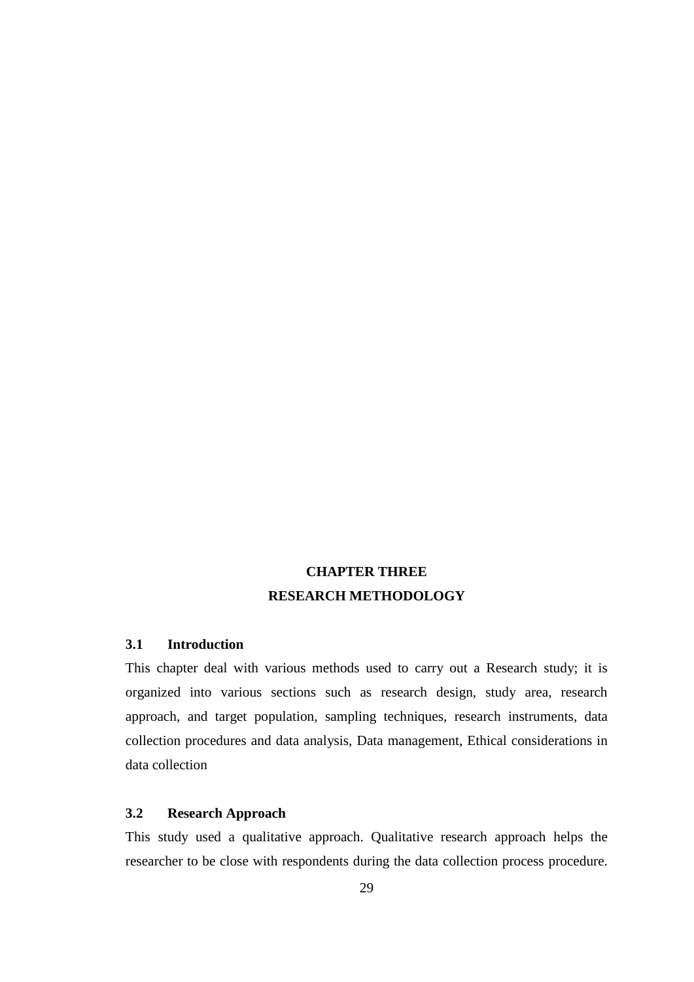# **CHAPTER THREE RESEARCH METHODOLOGY**

# **3.1 Introduction**

This chapter deal with various methods used to carry out a Research study; it is organized into various sections such as research design, study area, research approach, and target population, sampling techniques, research instruments, data collection procedures and data analysis, Data management, Ethical considerations in data collection

# **3.2 Research Approach**

This study used a qualitative approach. Qualitative research approach helps the researcher to be close with respondents during the data collection process procedure.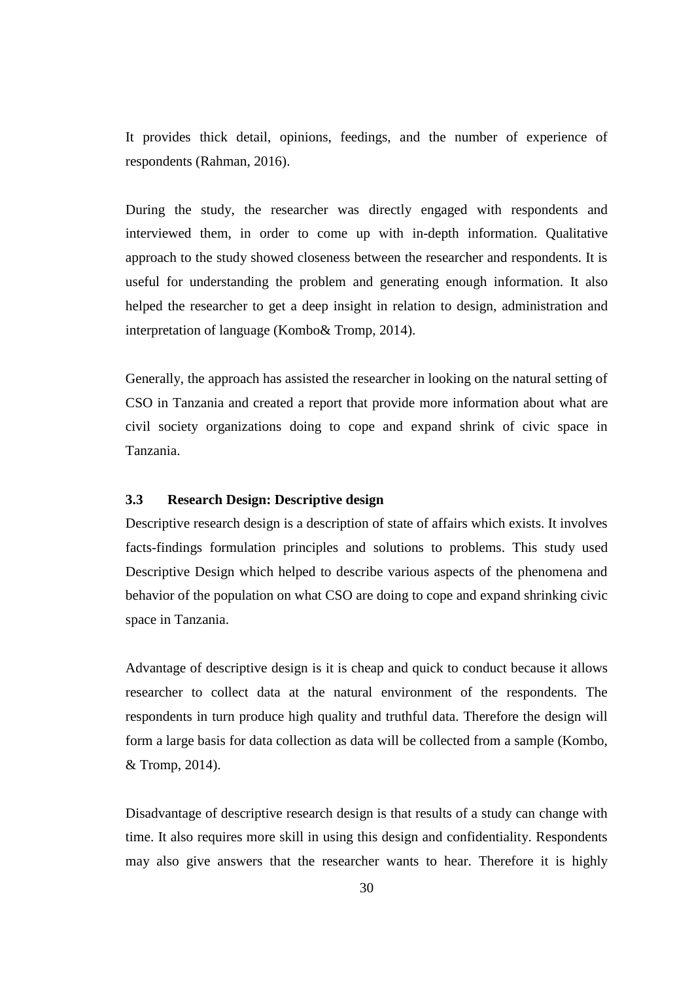It provides thick detail, opinions, feedings, and the number of experience of respondents (Rahman, 2016).

During the study, the researcher was directly engaged with respondents and interviewed them, in order to come up with in-depth information. Qualitative approach to the study showed closeness between the researcher and respondents. It is useful for understanding the problem and generating enough information. It also helped the researcher to get a deep insight in relation to design, administration and interpretation of language (Kombo& Tromp, 2014).

Generally, the approach has assisted the researcher in looking on the natural setting of CSO in Tanzania and created a report that provide more information about what are civil society organizations doing to cope and expand shrink of civic space in Tanzania.

## **3.3 Research Design: Descriptive design**

Descriptive research design is a description of state of affairs which exists. It involves facts-findings formulation principles and solutions to problems. This study used Descriptive Design which helped to describe various aspects of the phenomena and behavior of the population on what CSO are doing to cope and expand shrinking civic space in Tanzania.

Advantage of descriptive design is it is cheap and quick to conduct because it allows researcher to collect data at the natural environment of the respondents. The respondents in turn produce high quality and truthful data. Therefore the design will form a large basis for data collection as data will be collected from a sample (Kombo, & Tromp, 2014).

Disadvantage of descriptive research design is that results of a study can change with time. It also requires more skill in using this design and confidentiality. Respondents may also give answers that the researcher wants to hear. Therefore it is highly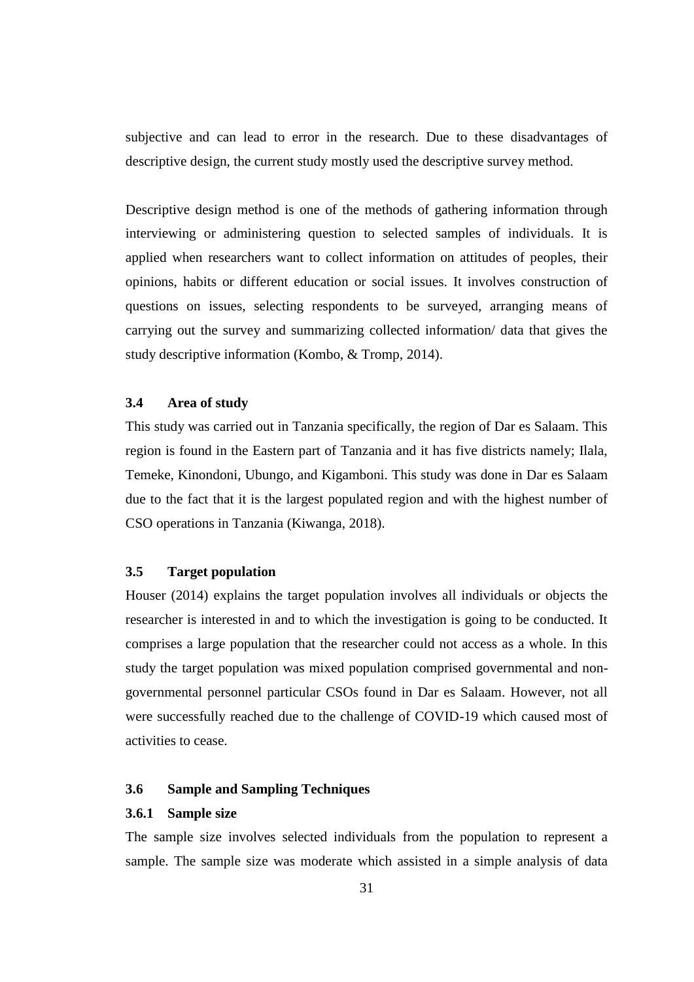subjective and can lead to error in the research. Due to these disadvantages of descriptive design, the current study mostly used the descriptive survey method.

Descriptive design method is one of the methods of gathering information through interviewing or administering question to selected samples of individuals. It is applied when researchers want to collect information on attitudes of peoples, their opinions, habits or different education or social issues. It involves construction of questions on issues, selecting respondents to be surveyed, arranging means of carrying out the survey and summarizing collected information/ data that gives the study descriptive information (Kombo, & Tromp, 2014).

# **3.4 Area of study**

This study was carried out in Tanzania specifically, the region of Dar es Salaam. This region is found in the Eastern part of Tanzania and it has five districts namely; Ilala, Temeke, Kinondoni, Ubungo, and Kigamboni. This study was done in Dar es Salaam due to the fact that it is the largest populated region and with the highest number of CSO operations in Tanzania (Kiwanga, 2018).

# **3.5 Target population**

Houser (2014) explains the target population involves all individuals or objects the researcher is interested in and to which the investigation is going to be conducted. It comprises a large population that the researcher could not access as a whole. In this study the target population was mixed population comprised governmental and nongovernmental personnel particular CSOs found in Dar es Salaam. However, not all were successfully reached due to the challenge of COVID-19 which caused most of activities to cease.

#### **3.6 Sample and Sampling Techniques**

#### **3.6.1 Sample size**

The sample size involves selected individuals from the population to represent a sample. The sample size was moderate which assisted in a simple analysis of data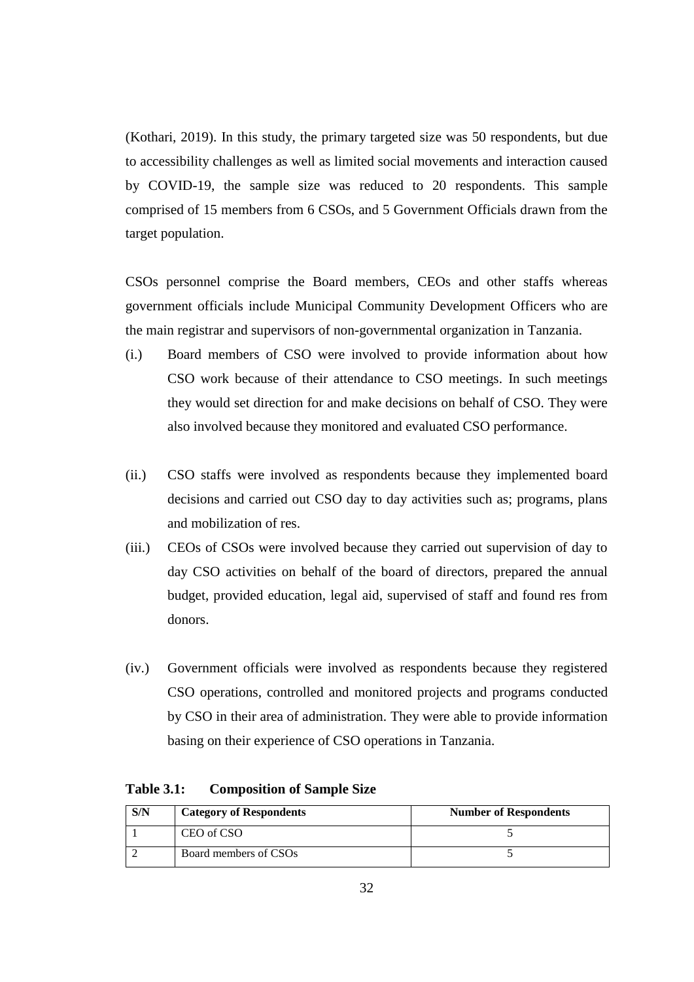(Kothari, 2019). In this study, the primary targeted size was 50 respondents, but due to accessibility challenges as well as limited social movements and interaction caused by COVID-19, the sample size was reduced to 20 respondents. This sample comprised of 15 members from 6 CSOs, and 5 Government Officials drawn from the target population.

CSOs personnel comprise the Board members, CEOs and other staffs whereas government officials include Municipal Community Development Officers who are the main registrar and supervisors of non-governmental organization in Tanzania.

- (i.) Board members of CSO were involved to provide information about how CSO work because of their attendance to CSO meetings. In such meetings they would set direction for and make decisions on behalf of CSO. They were also involved because they monitored and evaluated CSO performance.
- (ii.) CSO staffs were involved as respondents because they implemented board decisions and carried out CSO day to day activities such as; programs, plans and mobilization of res.
- (iii.) CEOs of CSOs were involved because they carried out supervision of day to day CSO activities on behalf of the board of directors, prepared the annual budget, provided education, legal aid, supervised of staff and found res from donors.
- (iv.) Government officials were involved as respondents because they registered CSO operations, controlled and monitored projects and programs conducted by CSO in their area of administration. They were able to provide information basing on their experience of CSO operations in Tanzania.

**Table 3.1: Composition of Sample Size**

| S/N | <b>Category of Respondents</b> | <b>Number of Respondents</b> |
|-----|--------------------------------|------------------------------|
|     | CEO of CSO                     |                              |
|     | Board members of CSOs          |                              |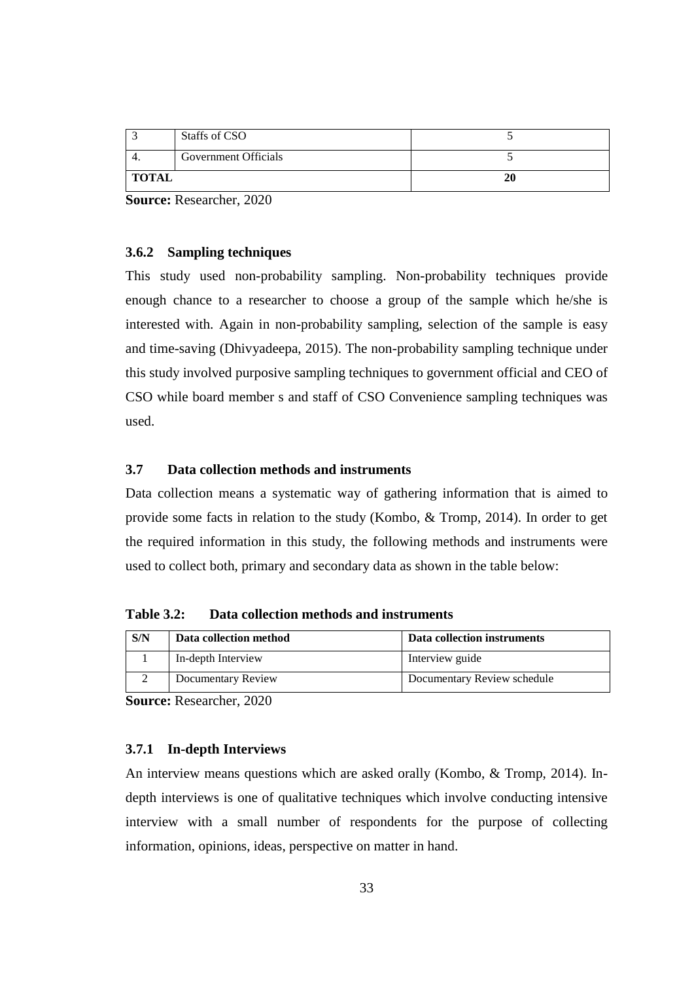|              | Staffs of CSO        |    |
|--------------|----------------------|----|
|              | Government Officials |    |
| <b>TOTAL</b> |                      | 20 |

**Source:** Researcher, 2020

## **3.6.2 Sampling techniques**

This study used non-probability sampling. Non-probability techniques provide enough chance to a researcher to choose a group of the sample which he/she is interested with. Again in non-probability sampling, selection of the sample is easy and time-saving (Dhivyadeepa, 2015). The non-probability sampling technique under this study involved purposive sampling techniques to government official and CEO of CSO while board member s and staff of CSO Convenience sampling techniques was used.

# **3.7 Data collection methods and instruments**

Data collection means a systematic way of gathering information that is aimed to provide some facts in relation to the study (Kombo, & Tromp, 2014). In order to get the required information in this study, the following methods and instruments were used to collect both, primary and secondary data as shown in the table below:

**Table 3.2: Data collection methods and instruments**

| S/N | Data collection method | Data collection instruments |
|-----|------------------------|-----------------------------|
|     | In-depth Interview     | Interview guide             |
|     | Documentary Review     | Documentary Review schedule |

**Source:** Researcher, 2020

# **3.7.1 In-depth Interviews**

An interview means questions which are asked orally (Kombo, & Tromp, 2014). Indepth interviews is one of qualitative techniques which involve conducting intensive interview with a small number of respondents for the purpose of collecting information, opinions, ideas, perspective on matter in hand.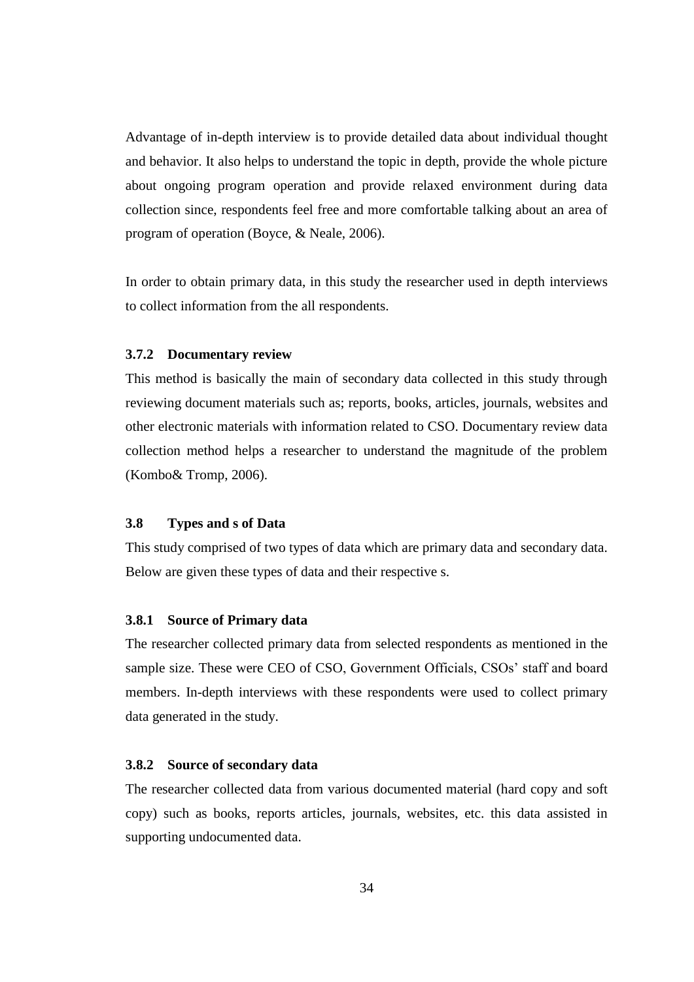Advantage of in-depth interview is to provide detailed data about individual thought and behavior. It also helps to understand the topic in depth, provide the whole picture about ongoing program operation and provide relaxed environment during data collection since, respondents feel free and more comfortable talking about an area of program of operation (Boyce, & Neale, 2006).

In order to obtain primary data, in this study the researcher used in depth interviews to collect information from the all respondents.

#### **3.7.2 Documentary review**

This method is basically the main of secondary data collected in this study through reviewing document materials such as; reports, books, articles, journals, websites and other electronic materials with information related to CSO. Documentary review data collection method helps a researcher to understand the magnitude of the problem (Kombo& Tromp, 2006).

## **3.8 Types and s of Data**

This study comprised of two types of data which are primary data and secondary data. Below are given these types of data and their respective s.

#### **3.8.1 Source of Primary data**

The researcher collected primary data from selected respondents as mentioned in the sample size. These were CEO of CSO, Government Officials, CSOs' staff and board members. In-depth interviews with these respondents were used to collect primary data generated in the study.

#### **3.8.2 Source of secondary data**

The researcher collected data from various documented material (hard copy and soft copy) such as books, reports articles, journals, websites, etc. this data assisted in supporting undocumented data.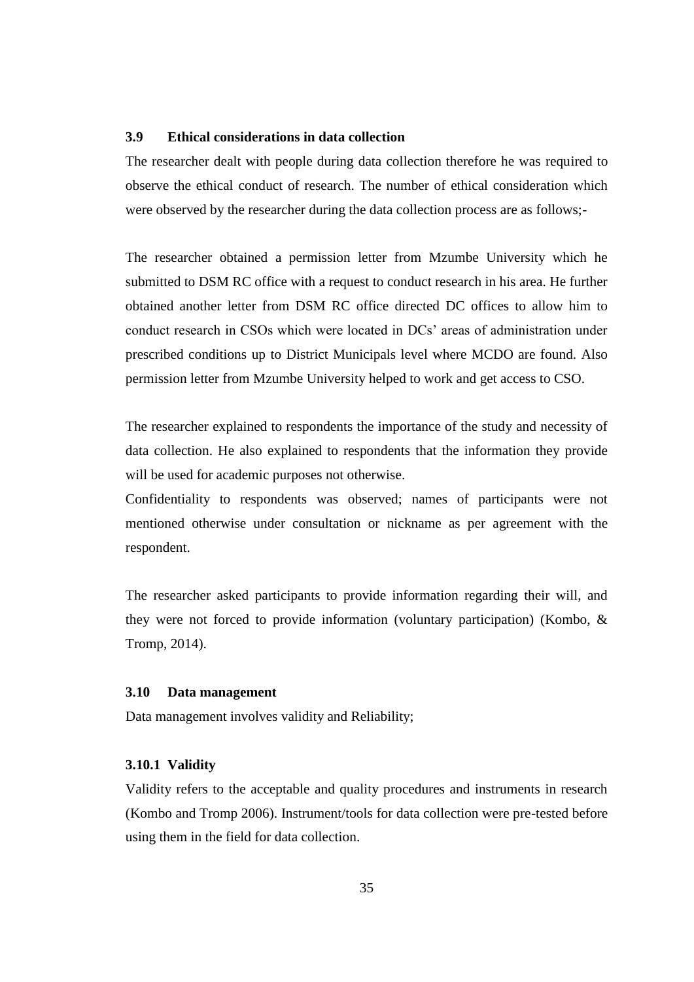# **3.9 Ethical considerations in data collection**

The researcher dealt with people during data collection therefore he was required to observe the ethical conduct of research. The number of ethical consideration which were observed by the researcher during the data collection process are as follows;-

The researcher obtained a permission letter from Mzumbe University which he submitted to DSM RC office with a request to conduct research in his area. He further obtained another letter from DSM RC office directed DC offices to allow him to conduct research in CSOs which were located in DCs' areas of administration under prescribed conditions up to District Municipals level where MCDO are found. Also permission letter from Mzumbe University helped to work and get access to CSO.

The researcher explained to respondents the importance of the study and necessity of data collection. He also explained to respondents that the information they provide will be used for academic purposes not otherwise.

Confidentiality to respondents was observed; names of participants were not mentioned otherwise under consultation or nickname as per agreement with the respondent.

The researcher asked participants to provide information regarding their will, and they were not forced to provide information (voluntary participation) (Kombo, & Tromp, 2014).

#### **3.10 Data management**

Data management involves validity and Reliability;

# **3.10.1 Validity**

Validity refers to the acceptable and quality procedures and instruments in research (Kombo and Tromp 2006). Instrument/tools for data collection were pre-tested before using them in the field for data collection.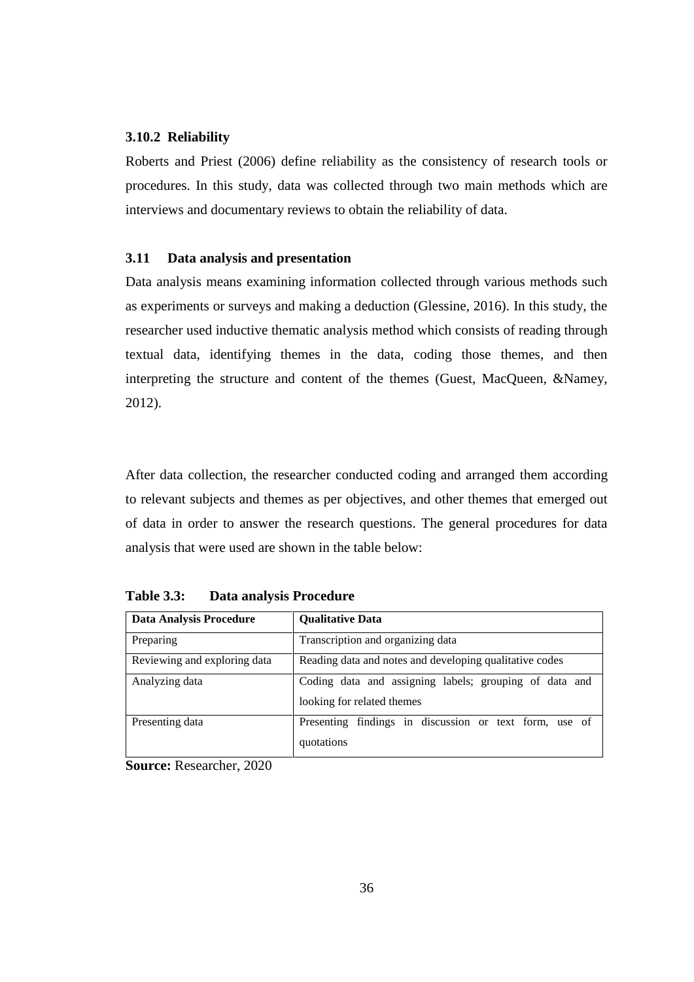## **3.10.2 Reliability**

Roberts and Priest (2006) define reliability as the consistency of research tools or procedures. In this study, data was collected through two main methods which are interviews and documentary reviews to obtain the reliability of data.

## **3.11 Data analysis and presentation**

Data analysis means examining information collected through various methods such as experiments or surveys and making a deduction (Glessine, 2016). In this study, the researcher used inductive thematic analysis method which consists of reading through textual data, identifying themes in the data, coding those themes, and then interpreting the structure and content of the themes (Guest, MacQueen, &Namey, 2012).

After data collection, the researcher conducted coding and arranged them according to relevant subjects and themes as per objectives, and other themes that emerged out of data in order to answer the research questions. The general procedures for data analysis that were used are shown in the table below:

| <b>Data Analysis Procedure</b> | <b>Qualitative Data</b>                                                              |
|--------------------------------|--------------------------------------------------------------------------------------|
| Preparing                      | Transcription and organizing data                                                    |
| Reviewing and exploring data   | Reading data and notes and developing qualitative codes                              |
| Analyzing data                 | Coding data and assigning labels; grouping of data and<br>looking for related themes |
| Presenting data                | Presenting findings in discussion or text form, use of<br>quotations                 |

**Table 3.3: Data analysis Procedure**

**Source:** Researcher, 2020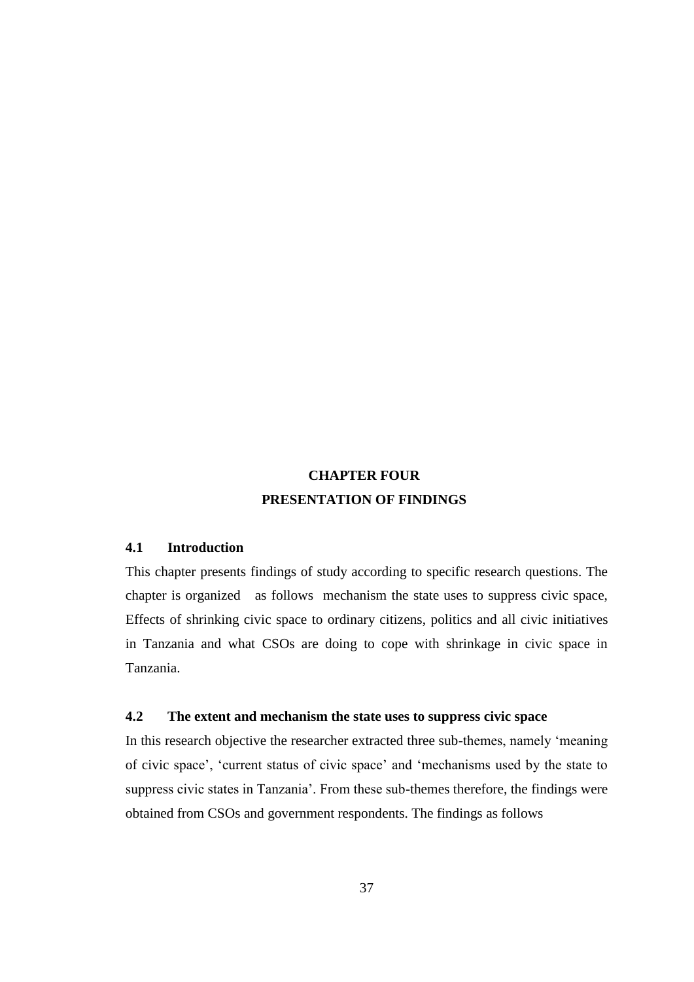# **CHAPTER FOUR PRESENTATION OF FINDINGS**

# **4.1 Introduction**

This chapter presents findings of study according to specific research questions. The chapter is organized as follows mechanism the state uses to suppress civic space, Effects of shrinking civic space to ordinary citizens, politics and all civic initiatives in Tanzania and what CSOs are doing to cope with shrinkage in civic space in Tanzania.

# **4.2 The extent and mechanism the state uses to suppress civic space**

In this research objective the researcher extracted three sub-themes, namely 'meaning of civic space', 'current status of civic space' and 'mechanisms used by the state to suppress civic states in Tanzania'. From these sub-themes therefore, the findings were obtained from CSOs and government respondents. The findings as follows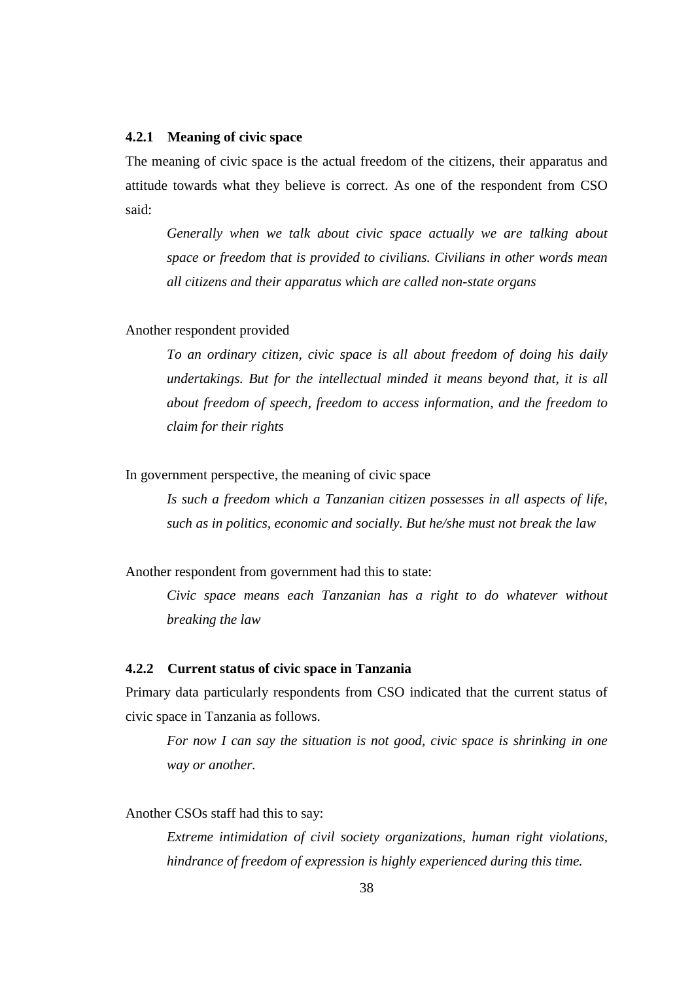## **4.2.1 Meaning of civic space**

The meaning of civic space is the actual freedom of the citizens, their apparatus and attitude towards what they believe is correct. As one of the respondent from CSO said:

*Generally when we talk about civic space actually we are talking about space or freedom that is provided to civilians. Civilians in other words mean all citizens and their apparatus which are called non-state organs*

Another respondent provided

*To an ordinary citizen, civic space is all about freedom of doing his daily undertakings. But for the intellectual minded it means beyond that, it is all about freedom of speech, freedom to access information, and the freedom to claim for their rights*

In government perspective, the meaning of civic space

*Is such a freedom which a Tanzanian citizen possesses in all aspects of life, such as in politics, economic and socially. But he/she must not break the law*

Another respondent from government had this to state:

*Civic space means each Tanzanian has a right to do whatever without breaking the law*

## **4.2.2 Current status of civic space in Tanzania**

Primary data particularly respondents from CSO indicated that the current status of civic space in Tanzania as follows.

*For now I can say the situation is not good, civic space is shrinking in one way or another.* 

Another CSOs staff had this to say:

*Extreme intimidation of civil society organizations, human right violations, hindrance of freedom of expression is highly experienced during this time.*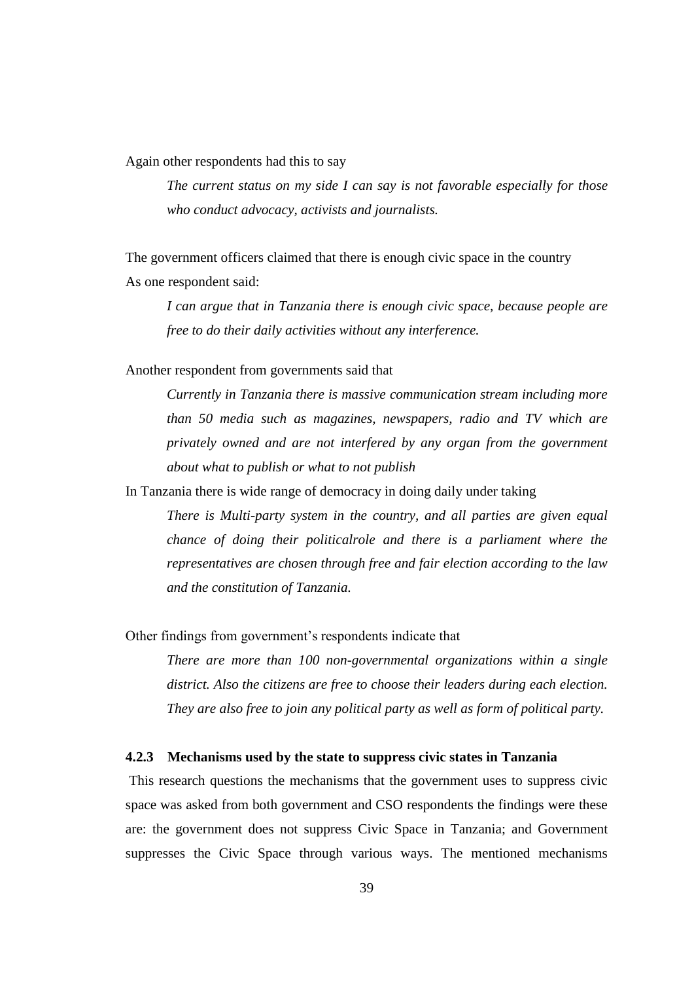Again other respondents had this to say

*The current status on my side I can say is not favorable especially for those who conduct advocacy, activists and journalists.* 

The government officers claimed that there is enough civic space in the country As one respondent said:

*I can argue that in Tanzania there is enough civic space, because people are free to do their daily activities without any interference.*

Another respondent from governments said that

*Currently in Tanzania there is massive communication stream including more than 50 media such as magazines, newspapers, radio and TV which are privately owned and are not interfered by any organ from the government about what to publish or what to not publish*

In Tanzania there is wide range of democracy in doing daily under taking

*There is Multi-party system in the country, and all parties are given equal chance of doing their politicalrole and there is a parliament where the representatives are chosen through free and fair election according to the law and the constitution of Tanzania.*

Other findings from government's respondents indicate that

*There are more than 100 non-governmental organizations within a single district. Also the citizens are free to choose their leaders during each election. They are also free to join any political party as well as form of political party.*

#### **4.2.3 Mechanisms used by the state to suppress civic states in Tanzania**

This research questions the mechanisms that the government uses to suppress civic space was asked from both government and CSO respondents the findings were these are: the government does not suppress Civic Space in Tanzania; and Government suppresses the Civic Space through various ways. The mentioned mechanisms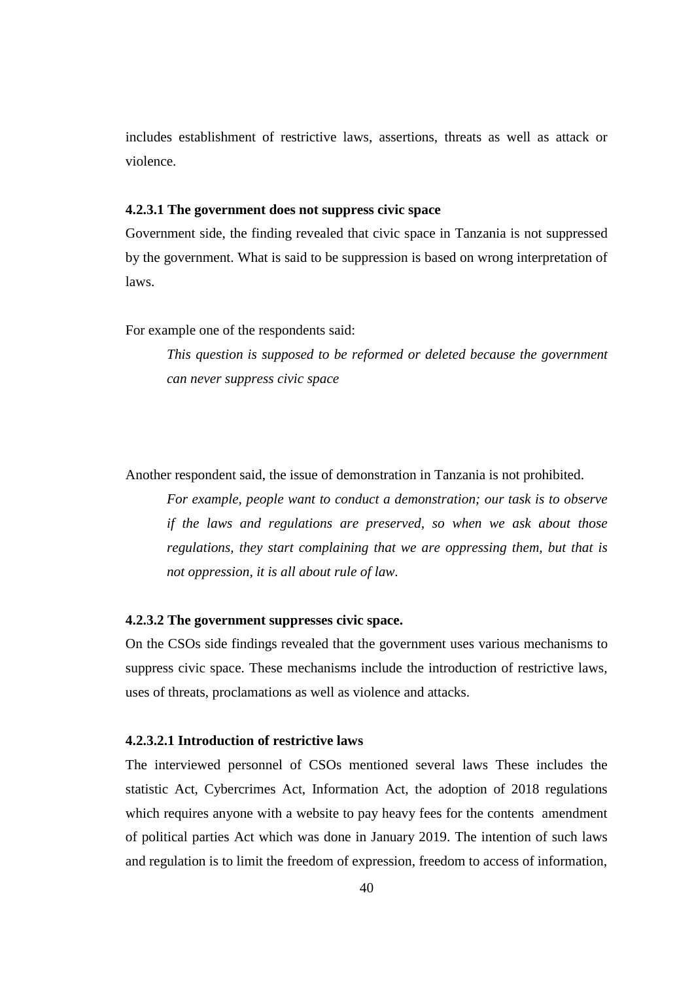includes establishment of restrictive laws, assertions, threats as well as attack or violence.

## **4.2.3.1 The government does not suppress civic space**

Government side, the finding revealed that civic space in Tanzania is not suppressed by the government. What is said to be suppression is based on wrong interpretation of laws.

For example one of the respondents said:

*This question is supposed to be reformed or deleted because the government can never suppress civic space*

Another respondent said, the issue of demonstration in Tanzania is not prohibited.

*For example, people want to conduct a demonstration; our task is to observe if the laws and regulations are preserved, so when we ask about those regulations, they start complaining that we are oppressing them, but that is not oppression, it is all about rule of law.*

#### **4.2.3.2 The government suppresses civic space.**

On the CSOs side findings revealed that the government uses various mechanisms to suppress civic space. These mechanisms include the introduction of restrictive laws, uses of threats, proclamations as well as violence and attacks.

# **4.2.3.2.1 Introduction of restrictive laws**

The interviewed personnel of CSOs mentioned several laws These includes the statistic Act, Cybercrimes Act, Information Act, the adoption of 2018 regulations which requires anyone with a website to pay heavy fees for the contents amendment of political parties Act which was done in January 2019. The intention of such laws and regulation is to limit the freedom of expression, freedom to access of information,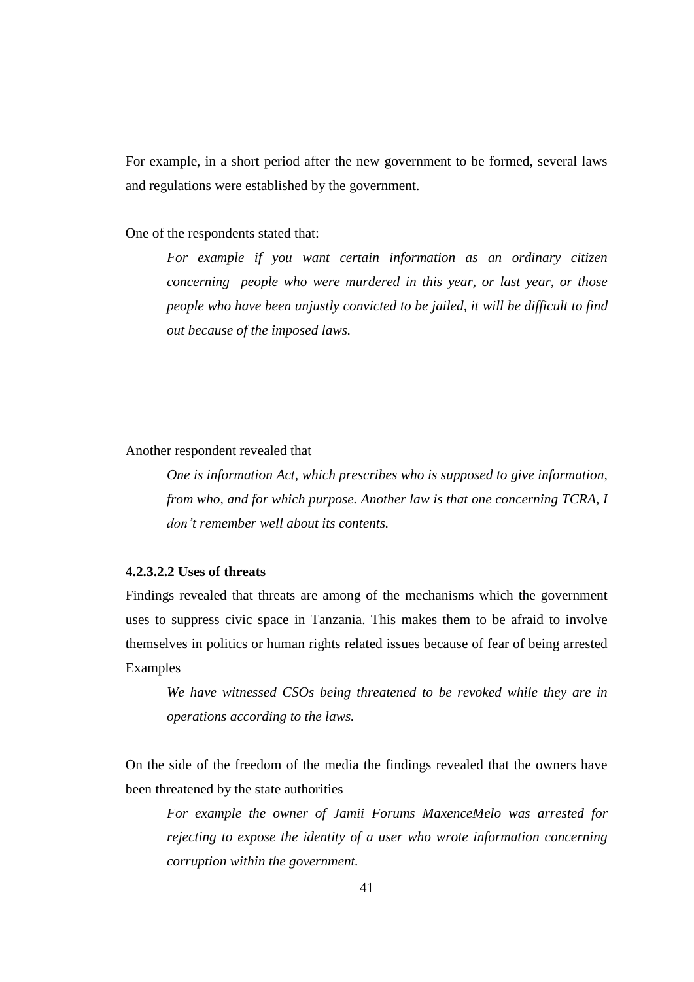For example, in a short period after the new government to be formed, several laws and regulations were established by the government.

One of the respondents stated that:

*For example if you want certain information as an ordinary citizen concerning people who were murdered in this year, or last year, or those people who have been unjustly convicted to be jailed, it will be difficult to find out because of the imposed laws.*

Another respondent revealed that

*One is information Act, which prescribes who is supposed to give information, from who, and for which purpose. Another law is that one concerning TCRA, I don't remember well about its contents.*

# **4.2.3.2.2 Uses of threats**

Findings revealed that threats are among of the mechanisms which the government uses to suppress civic space in Tanzania. This makes them to be afraid to involve themselves in politics or human rights related issues because of fear of being arrested Examples

*We have witnessed CSOs being threatened to be revoked while they are in operations according to the laws.*

On the side of the freedom of the media the findings revealed that the owners have been threatened by the state authorities

*For example the owner of Jamii Forums MaxenceMelo was arrested for rejecting to expose the identity of a user who wrote information concerning corruption within the government.*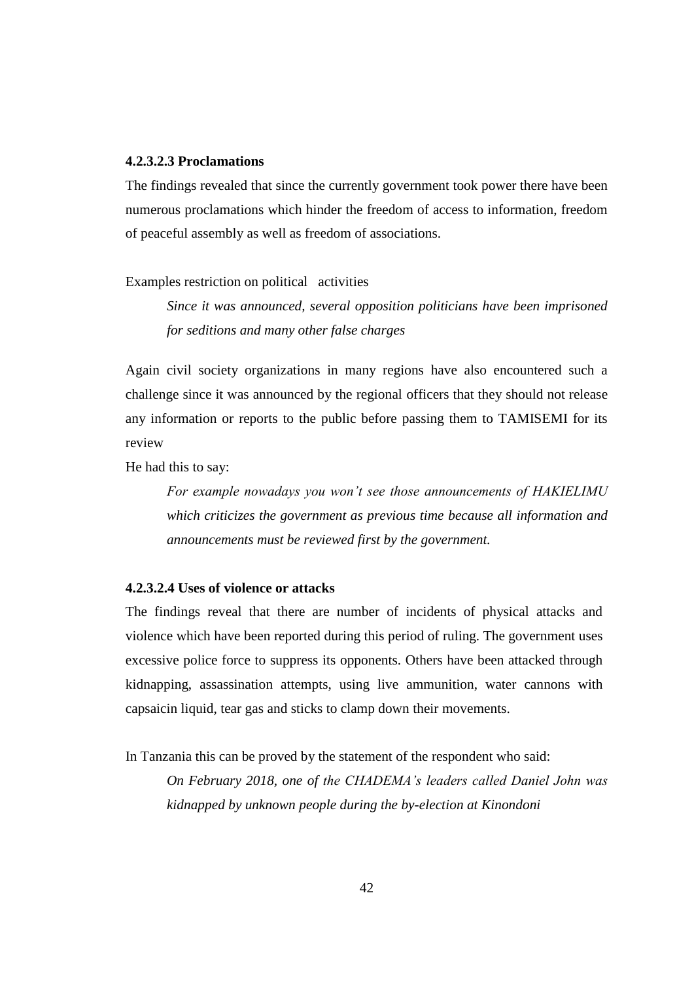# **4.2.3.2.3 Proclamations**

The findings revealed that since the currently government took power there have been numerous proclamations which hinder the freedom of access to information, freedom of peaceful assembly as well as freedom of associations.

#### Examples restriction on political activities

*Since it was announced, several opposition politicians have been imprisoned for seditions and many other false charges*

Again civil society organizations in many regions have also encountered such a challenge since it was announced by the regional officers that they should not release any information or reports to the public before passing them to TAMISEMI for its review

He had this to say:

*For example nowadays you won't see those announcements of HAKIELIMU which criticizes the government as previous time because all information and announcements must be reviewed first by the government.*

## **4.2.3.2.4 Uses of violence or attacks**

The findings reveal that there are number of incidents of physical attacks and violence which have been reported during this period of ruling. The government uses excessive police force to suppress its opponents. Others have been attacked through kidnapping, assassination attempts, using live ammunition, water cannons with capsaicin liquid, tear gas and sticks to clamp down their movements.

In Tanzania this can be proved by the statement of the respondent who said:

*On February 2018, one of the CHADEMA's leaders called Daniel John was kidnapped by unknown people during the by-election at Kinondoni*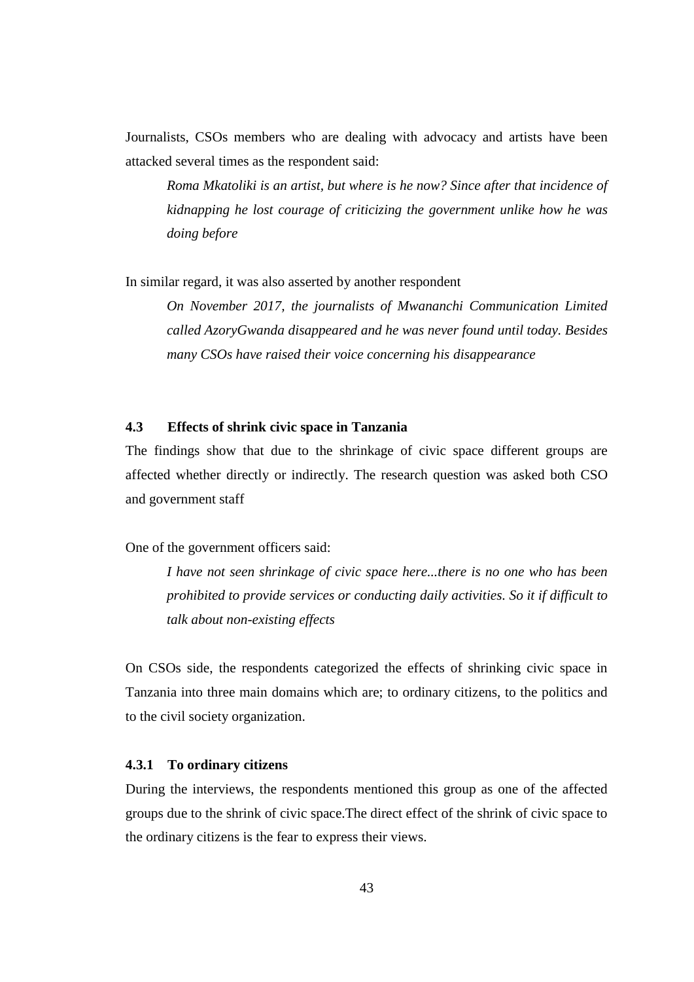Journalists, CSOs members who are dealing with advocacy and artists have been attacked several times as the respondent said:

*Roma Mkatoliki is an artist, but where is he now? Since after that incidence of kidnapping he lost courage of criticizing the government unlike how he was doing before*

In similar regard, it was also asserted by another respondent

*On November 2017, the journalists of Mwananchi Communication Limited called AzoryGwanda disappeared and he was never found until today. Besides many CSOs have raised their voice concerning his disappearance*

# **4.3 Effects of shrink civic space in Tanzania**

The findings show that due to the shrinkage of civic space different groups are affected whether directly or indirectly. The research question was asked both CSO and government staff

One of the government officers said:

*I have not seen shrinkage of civic space here...there is no one who has been prohibited to provide services or conducting daily activities. So it if difficult to talk about non-existing effects*

On CSOs side, the respondents categorized the effects of shrinking civic space in Tanzania into three main domains which are; to ordinary citizens, to the politics and to the civil society organization.

# **4.3.1 To ordinary citizens**

During the interviews, the respondents mentioned this group as one of the affected groups due to the shrink of civic space.The direct effect of the shrink of civic space to the ordinary citizens is the fear to express their views.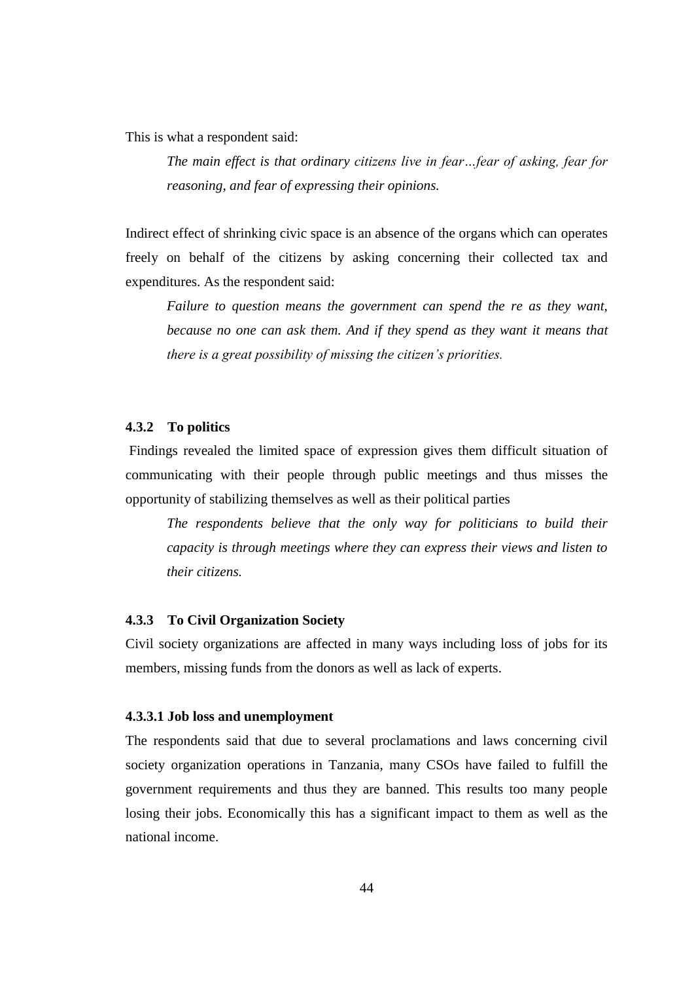This is what a respondent said:

*The main effect is that ordinary citizens live in fear…fear of asking, fear for reasoning, and fear of expressing their opinions.*

Indirect effect of shrinking civic space is an absence of the organs which can operates freely on behalf of the citizens by asking concerning their collected tax and expenditures. As the respondent said:

*Failure to question means the government can spend the re as they want, because no one can ask them. And if they spend as they want it means that there is a great possibility of missing the citizen's priorities.*

# **4.3.2 To politics**

Findings revealed the limited space of expression gives them difficult situation of communicating with their people through public meetings and thus misses the opportunity of stabilizing themselves as well as their political parties

*The respondents believe that the only way for politicians to build their capacity is through meetings where they can express their views and listen to their citizens.* 

# **4.3.3 To Civil Organization Society**

Civil society organizations are affected in many ways including loss of jobs for its members, missing funds from the donors as well as lack of experts.

#### **4.3.3.1 Job loss and unemployment**

The respondents said that due to several proclamations and laws concerning civil society organization operations in Tanzania, many CSOs have failed to fulfill the government requirements and thus they are banned. This results too many people losing their jobs. Economically this has a significant impact to them as well as the national income.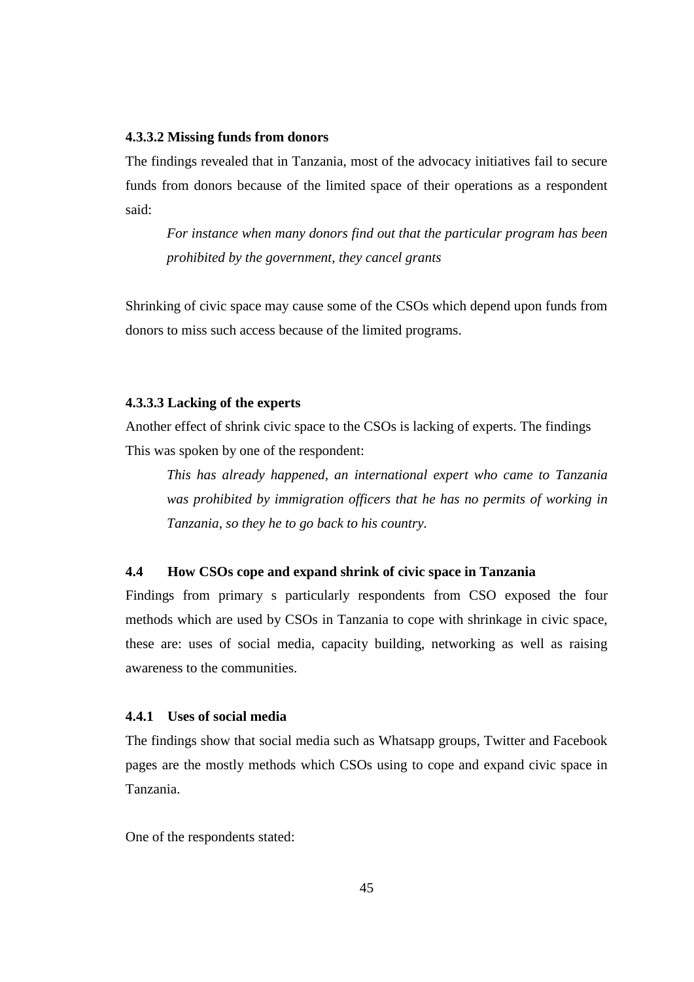## **4.3.3.2 Missing funds from donors**

The findings revealed that in Tanzania, most of the advocacy initiatives fail to secure funds from donors because of the limited space of their operations as a respondent said:

*For instance when many donors find out that the particular program has been prohibited by the government, they cancel grants*

Shrinking of civic space may cause some of the CSOs which depend upon funds from donors to miss such access because of the limited programs.

# **4.3.3.3 Lacking of the experts**

Another effect of shrink civic space to the CSOs is lacking of experts. The findings This was spoken by one of the respondent:

*This has already happened, an international expert who came to Tanzania was prohibited by immigration officers that he has no permits of working in Tanzania, so they he to go back to his country.*

# **4.4 How CSOs cope and expand shrink of civic space in Tanzania**

Findings from primary s particularly respondents from CSO exposed the four methods which are used by CSOs in Tanzania to cope with shrinkage in civic space, these are: uses of social media, capacity building, networking as well as raising awareness to the communities.

# **4.4.1 Uses of social media**

The findings show that social media such as Whatsapp groups, Twitter and Facebook pages are the mostly methods which CSOs using to cope and expand civic space in Tanzania.

One of the respondents stated: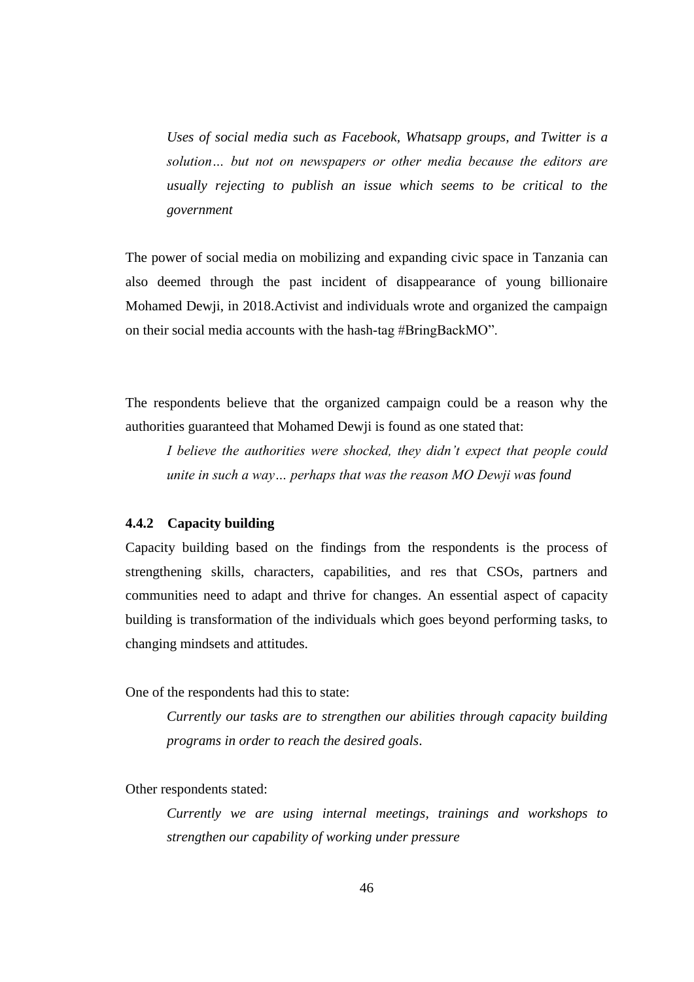*Uses of social media such as Facebook, Whatsapp groups, and Twitter is a solution… but not on newspapers or other media because the editors are usually rejecting to publish an issue which seems to be critical to the government*

The power of social media on mobilizing and expanding civic space in Tanzania can also deemed through the past incident of disappearance of young billionaire Mohamed Dewji, in 2018.Activist and individuals wrote and organized the campaign on their social media accounts with the hash-tag #BringBackMO".

The respondents believe that the organized campaign could be a reason why the authorities guaranteed that Mohamed Dewji is found as one stated that:

*I believe the authorities were shocked, they didn't expect that people could unite in such a way… perhaps that was the reason MO Dewji was found* 

#### **4.4.2 Capacity building**

Capacity building based on the findings from the respondents is the process of strengthening skills, characters, capabilities, and res that CSOs, partners and communities need to adapt and thrive for changes. An essential aspect of capacity building is transformation of the individuals which goes beyond performing tasks, to changing mindsets and attitudes.

One of the respondents had this to state:

*Currently our tasks are to strengthen our abilities through capacity building programs in order to reach the desired goals*.

Other respondents stated:

*Currently we are using internal meetings, trainings and workshops to strengthen our capability of working under pressure*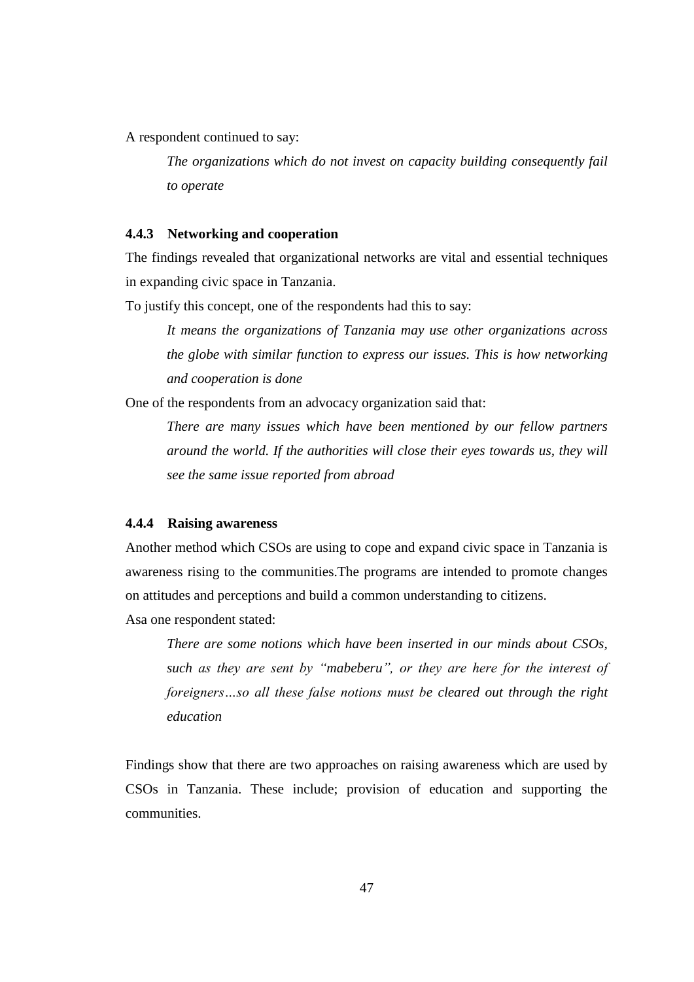A respondent continued to say:

*The organizations which do not invest on capacity building consequently fail to operate* 

#### **4.4.3 Networking and cooperation**

The findings revealed that organizational networks are vital and essential techniques in expanding civic space in Tanzania.

To justify this concept, one of the respondents had this to say:

*It means the organizations of Tanzania may use other organizations across the globe with similar function to express our issues. This is how networking and cooperation is done*

One of the respondents from an advocacy organization said that:

*There are many issues which have been mentioned by our fellow partners around the world. If the authorities will close their eyes towards us, they will see the same issue reported from abroad*

#### **4.4.4 Raising awareness**

Another method which CSOs are using to cope and expand civic space in Tanzania is awareness rising to the communities.The programs are intended to promote changes on attitudes and perceptions and build a common understanding to citizens. Asa one respondent stated:

*There are some notions which have been inserted in our minds about CSOs, such as they are sent by "mabeberu", or they are here for the interest of foreigners…so all these false notions must be cleared out through the right education*

Findings show that there are two approaches on raising awareness which are used by CSOs in Tanzania. These include; provision of education and supporting the communities.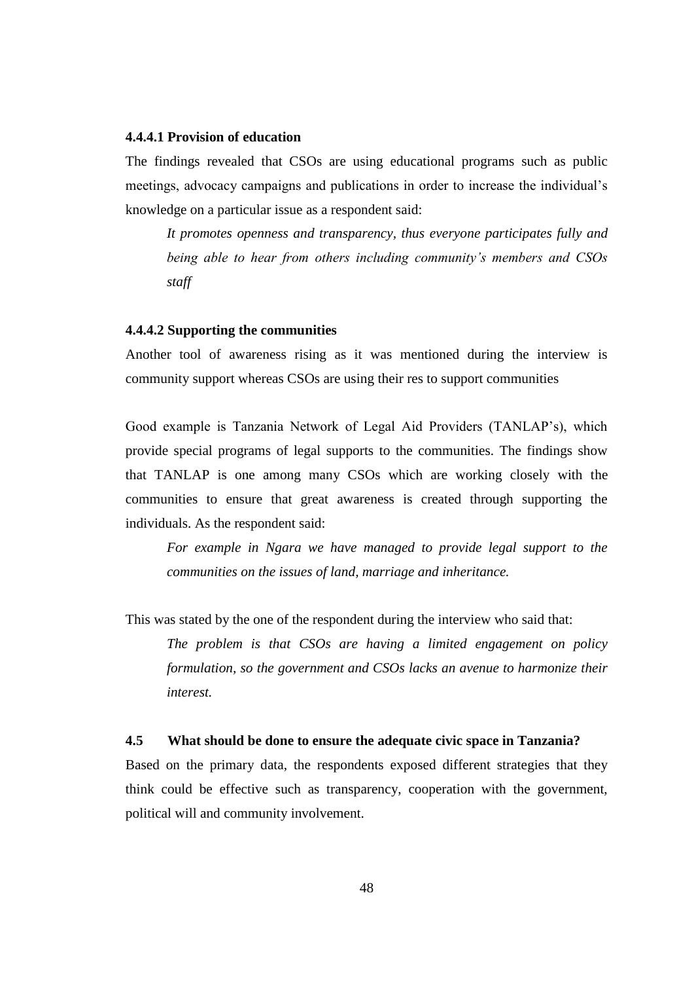#### **4.4.4.1 Provision of education**

The findings revealed that CSOs are using educational programs such as public meetings, advocacy campaigns and publications in order to increase the individual's knowledge on a particular issue as a respondent said:

*It promotes openness and transparency, thus everyone participates fully and being able to hear from others including community's members and CSOs staff*

# **4.4.4.2 Supporting the communities**

Another tool of awareness rising as it was mentioned during the interview is community support whereas CSOs are using their res to support communities

Good example is Tanzania Network of Legal Aid Providers (TANLAP's), which provide special programs of legal supports to the communities. The findings show that TANLAP is one among many CSOs which are working closely with the communities to ensure that great awareness is created through supporting the individuals. As the respondent said:

*For example in Ngara we have managed to provide legal support to the communities on the issues of land, marriage and inheritance.* 

This was stated by the one of the respondent during the interview who said that:

*The problem is that CSOs are having a limited engagement on policy formulation, so the government and CSOs lacks an avenue to harmonize their interest.*

### **4.5 What should be done to ensure the adequate civic space in Tanzania?**

Based on the primary data, the respondents exposed different strategies that they think could be effective such as transparency, cooperation with the government, political will and community involvement.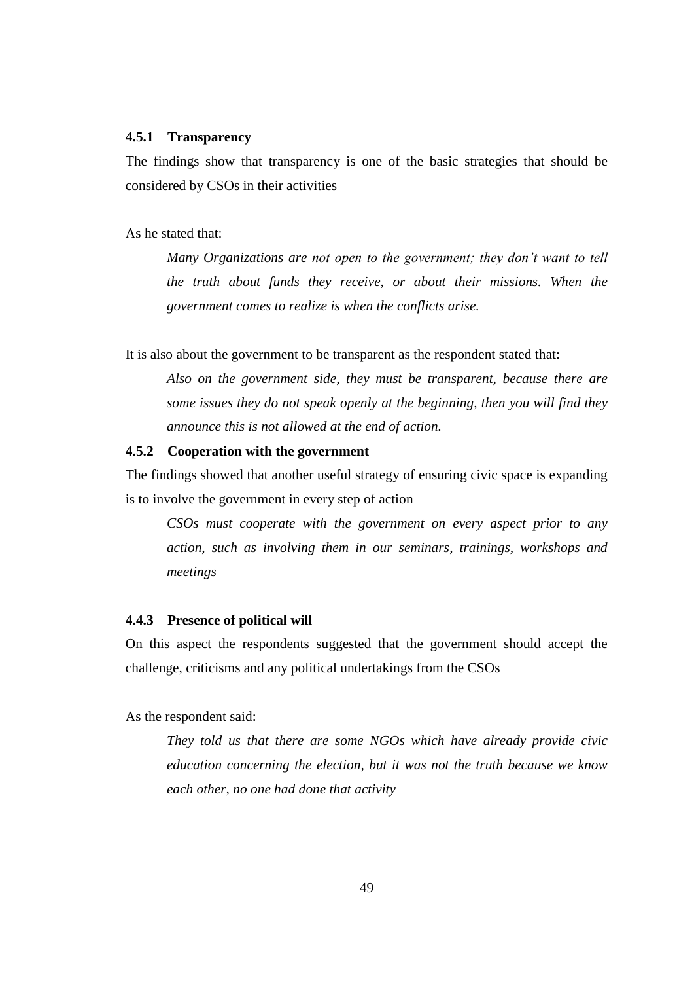## **4.5.1 Transparency**

The findings show that transparency is one of the basic strategies that should be considered by CSOs in their activities

As he stated that:

*Many Organizations are not open to the government; they don't want to tell the truth about funds they receive, or about their missions. When the government comes to realize is when the conflicts arise.*

It is also about the government to be transparent as the respondent stated that:

*Also on the government side, they must be transparent, because there are some issues they do not speak openly at the beginning, then you will find they announce this is not allowed at the end of action.*

## **4.5.2 Cooperation with the government**

The findings showed that another useful strategy of ensuring civic space is expanding is to involve the government in every step of action

*CSOs must cooperate with the government on every aspect prior to any action, such as involving them in our seminars, trainings, workshops and meetings*

# **4.4.3 Presence of political will**

On this aspect the respondents suggested that the government should accept the challenge, criticisms and any political undertakings from the CSOs

As the respondent said:

*They told us that there are some NGOs which have already provide civic education concerning the election, but it was not the truth because we know each other, no one had done that activity*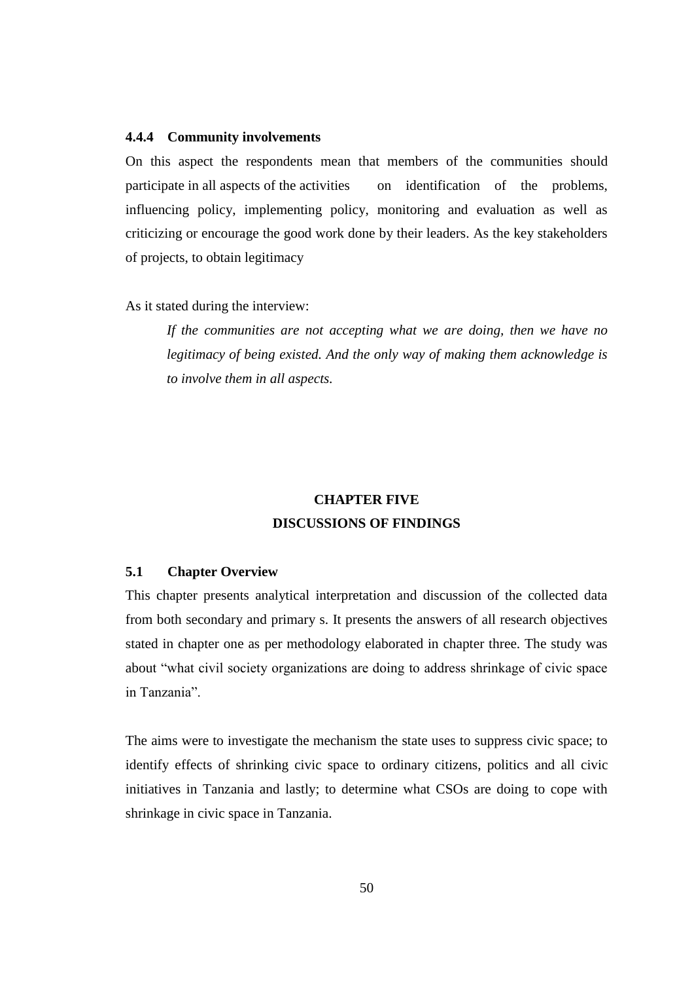## **4.4.4 Community involvements**

On this aspect the respondents mean that members of the communities should participate in all aspects of the activities on identification of the problems, influencing policy, implementing policy, monitoring and evaluation as well as criticizing or encourage the good work done by their leaders. As the key stakeholders of projects, to obtain legitimacy

As it stated during the interview:

*If the communities are not accepting what we are doing, then we have no legitimacy of being existed. And the only way of making them acknowledge is to involve them in all aspects.*

# **CHAPTER FIVE DISCUSSIONS OF FINDINGS**

# **5.1 Chapter Overview**

This chapter presents analytical interpretation and discussion of the collected data from both secondary and primary s. It presents the answers of all research objectives stated in chapter one as per methodology elaborated in chapter three. The study was about "what civil society organizations are doing to address shrinkage of civic space in Tanzania".

The aims were to investigate the mechanism the state uses to suppress civic space; to identify effects of shrinking civic space to ordinary citizens, politics and all civic initiatives in Tanzania and lastly; to determine what CSOs are doing to cope with shrinkage in civic space in Tanzania.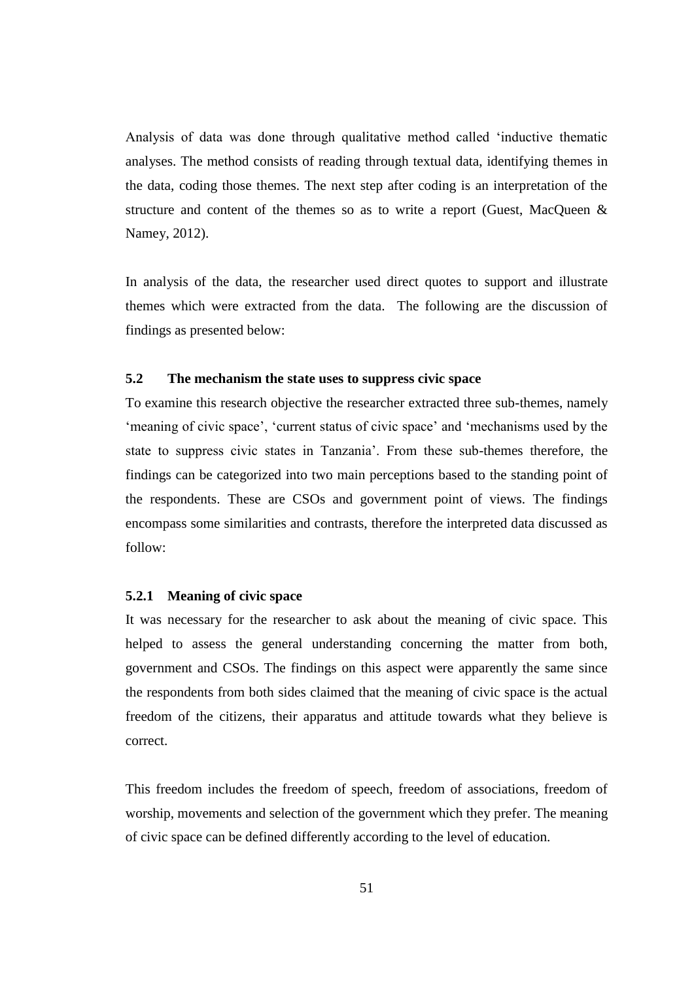Analysis of data was done through qualitative method called 'inductive thematic analyses. The method consists of reading through textual data, identifying themes in the data, coding those themes. The next step after coding is an interpretation of the structure and content of the themes so as to write a report (Guest, MacQueen & Namey, 2012).

In analysis of the data, the researcher used direct quotes to support and illustrate themes which were extracted from the data. The following are the discussion of findings as presented below:

# **5.2 The mechanism the state uses to suppress civic space**

To examine this research objective the researcher extracted three sub-themes, namely 'meaning of civic space', 'current status of civic space' and 'mechanisms used by the state to suppress civic states in Tanzania'. From these sub-themes therefore, the findings can be categorized into two main perceptions based to the standing point of the respondents. These are CSOs and government point of views. The findings encompass some similarities and contrasts, therefore the interpreted data discussed as follow:

#### **5.2.1 Meaning of civic space**

It was necessary for the researcher to ask about the meaning of civic space. This helped to assess the general understanding concerning the matter from both, government and CSOs. The findings on this aspect were apparently the same since the respondents from both sides claimed that the meaning of civic space is the actual freedom of the citizens, their apparatus and attitude towards what they believe is correct.

This freedom includes the freedom of speech, freedom of associations, freedom of worship, movements and selection of the government which they prefer. The meaning of civic space can be defined differently according to the level of education.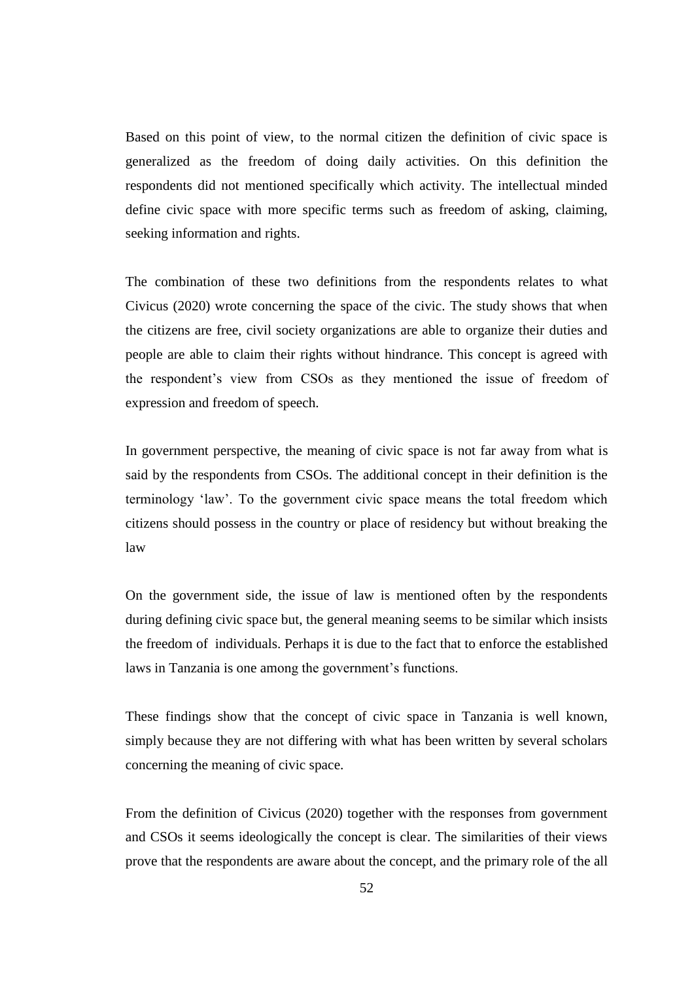Based on this point of view, to the normal citizen the definition of civic space is generalized as the freedom of doing daily activities. On this definition the respondents did not mentioned specifically which activity. The intellectual minded define civic space with more specific terms such as freedom of asking, claiming, seeking information and rights.

The combination of these two definitions from the respondents relates to what Civicus (2020) wrote concerning the space of the civic. The study shows that when the citizens are free, civil society organizations are able to organize their duties and people are able to claim their rights without hindrance. This concept is agreed with the respondent's view from CSOs as they mentioned the issue of freedom of expression and freedom of speech.

In government perspective, the meaning of civic space is not far away from what is said by the respondents from CSOs. The additional concept in their definition is the terminology 'law'. To the government civic space means the total freedom which citizens should possess in the country or place of residency but without breaking the law

On the government side, the issue of law is mentioned often by the respondents during defining civic space but, the general meaning seems to be similar which insists the freedom of individuals. Perhaps it is due to the fact that to enforce the established laws in Tanzania is one among the government's functions.

These findings show that the concept of civic space in Tanzania is well known, simply because they are not differing with what has been written by several scholars concerning the meaning of civic space.

From the definition of Civicus (2020) together with the responses from government and CSOs it seems ideologically the concept is clear. The similarities of their views prove that the respondents are aware about the concept, and the primary role of the all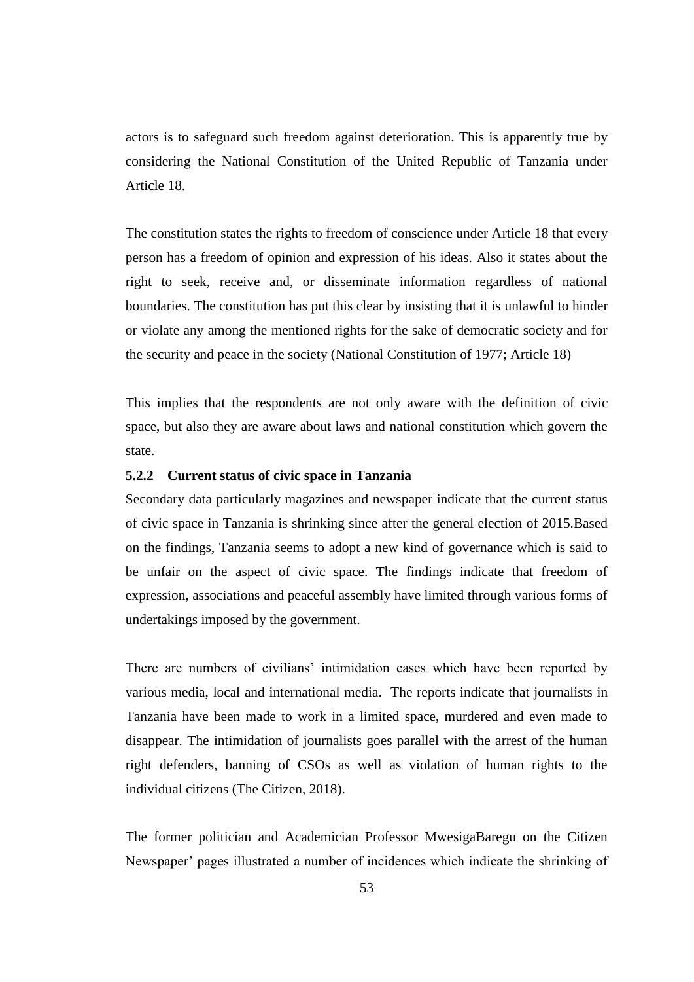actors is to safeguard such freedom against deterioration. This is apparently true by considering the National Constitution of the United Republic of Tanzania under Article 18.

The constitution states the rights to freedom of conscience under Article 18 that every person has a freedom of opinion and expression of his ideas. Also it states about the right to seek, receive and, or disseminate information regardless of national boundaries. The constitution has put this clear by insisting that it is unlawful to hinder or violate any among the mentioned rights for the sake of democratic society and for the security and peace in the society (National Constitution of 1977; Article 18)

This implies that the respondents are not only aware with the definition of civic space, but also they are aware about laws and national constitution which govern the state.

## **5.2.2 Current status of civic space in Tanzania**

Secondary data particularly magazines and newspaper indicate that the current status of civic space in Tanzania is shrinking since after the general election of 2015.Based on the findings, Tanzania seems to adopt a new kind of governance which is said to be unfair on the aspect of civic space. The findings indicate that freedom of expression, associations and peaceful assembly have limited through various forms of undertakings imposed by the government.

There are numbers of civilians' intimidation cases which have been reported by various media, local and international media. The reports indicate that journalists in Tanzania have been made to work in a limited space, murdered and even made to disappear. The intimidation of journalists goes parallel with the arrest of the human right defenders, banning of CSOs as well as violation of human rights to the individual citizens (The Citizen, 2018).

The former politician and Academician Professor MwesigaBaregu on the Citizen Newspaper' pages illustrated a number of incidences which indicate the shrinking of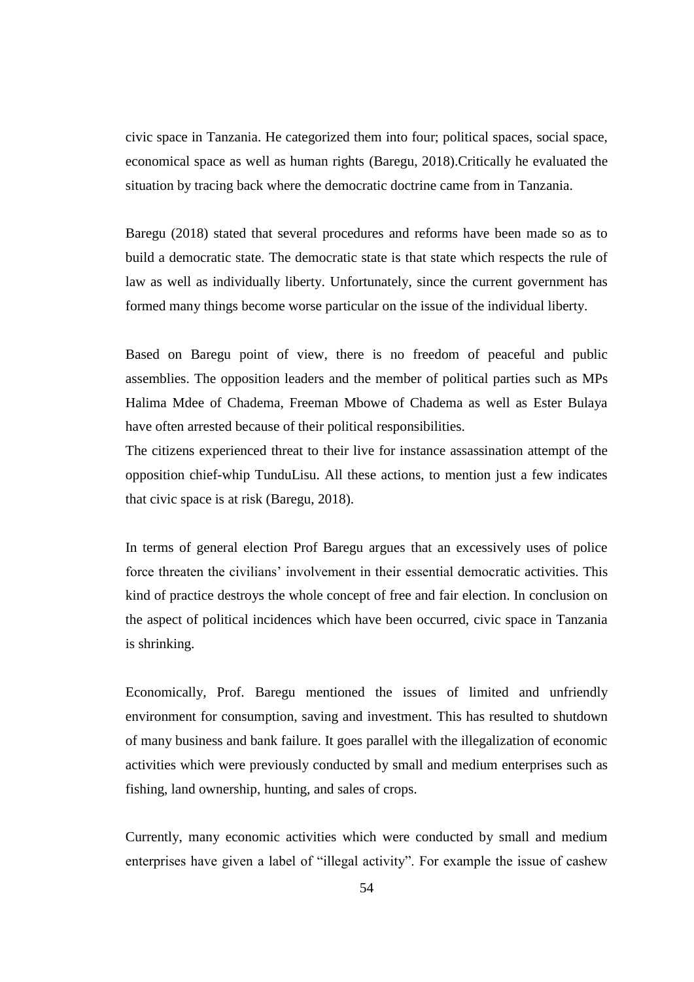civic space in Tanzania. He categorized them into four; political spaces, social space, economical space as well as human rights (Baregu, 2018).Critically he evaluated the situation by tracing back where the democratic doctrine came from in Tanzania.

Baregu (2018) stated that several procedures and reforms have been made so as to build a democratic state. The democratic state is that state which respects the rule of law as well as individually liberty. Unfortunately, since the current government has formed many things become worse particular on the issue of the individual liberty.

Based on Baregu point of view, there is no freedom of peaceful and public assemblies. The opposition leaders and the member of political parties such as MPs Halima Mdee of Chadema, Freeman Mbowe of Chadema as well as Ester Bulaya have often arrested because of their political responsibilities.

The citizens experienced threat to their live for instance assassination attempt of the opposition chief-whip TunduLisu. All these actions, to mention just a few indicates that civic space is at risk (Baregu, 2018).

In terms of general election Prof Baregu argues that an excessively uses of police force threaten the civilians' involvement in their essential democratic activities. This kind of practice destroys the whole concept of free and fair election. In conclusion on the aspect of political incidences which have been occurred, civic space in Tanzania is shrinking.

Economically, Prof. Baregu mentioned the issues of limited and unfriendly environment for consumption, saving and investment. This has resulted to shutdown of many business and bank failure. It goes parallel with the illegalization of economic activities which were previously conducted by small and medium enterprises such as fishing, land ownership, hunting, and sales of crops.

Currently, many economic activities which were conducted by small and medium enterprises have given a label of "illegal activity". For example the issue of cashew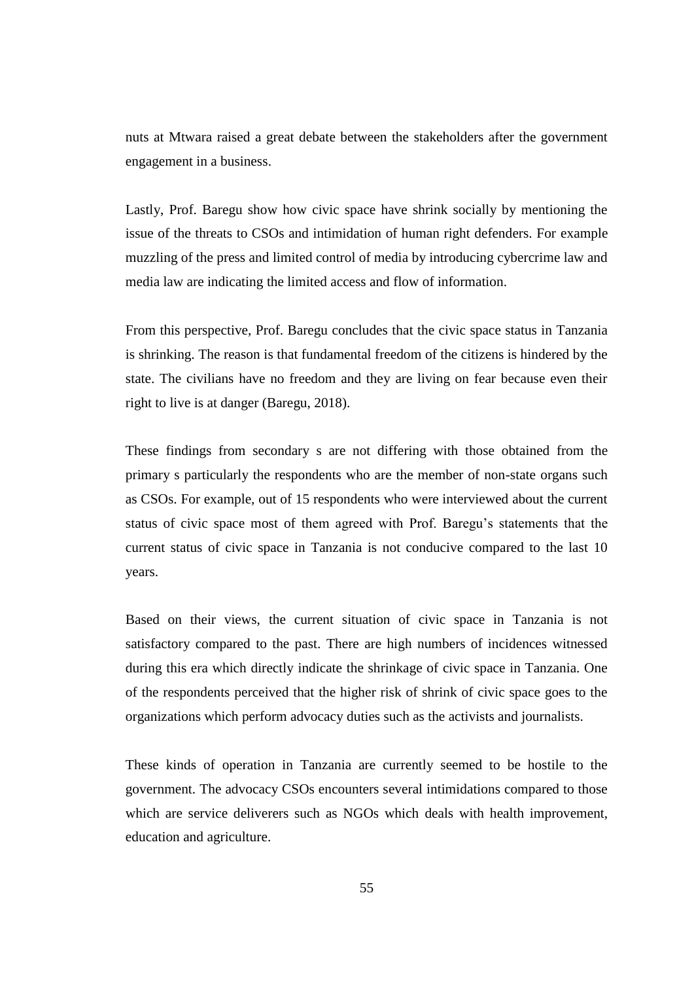nuts at Mtwara raised a great debate between the stakeholders after the government engagement in a business.

Lastly, Prof. Baregu show how civic space have shrink socially by mentioning the issue of the threats to CSOs and intimidation of human right defenders. For example muzzling of the press and limited control of media by introducing cybercrime law and media law are indicating the limited access and flow of information.

From this perspective, Prof. Baregu concludes that the civic space status in Tanzania is shrinking. The reason is that fundamental freedom of the citizens is hindered by the state. The civilians have no freedom and they are living on fear because even their right to live is at danger (Baregu, 2018).

These findings from secondary s are not differing with those obtained from the primary s particularly the respondents who are the member of non-state organs such as CSOs. For example, out of 15 respondents who were interviewed about the current status of civic space most of them agreed with Prof. Baregu's statements that the current status of civic space in Tanzania is not conducive compared to the last 10 years.

Based on their views, the current situation of civic space in Tanzania is not satisfactory compared to the past. There are high numbers of incidences witnessed during this era which directly indicate the shrinkage of civic space in Tanzania. One of the respondents perceived that the higher risk of shrink of civic space goes to the organizations which perform advocacy duties such as the activists and journalists.

These kinds of operation in Tanzania are currently seemed to be hostile to the government. The advocacy CSOs encounters several intimidations compared to those which are service deliverers such as NGOs which deals with health improvement, education and agriculture.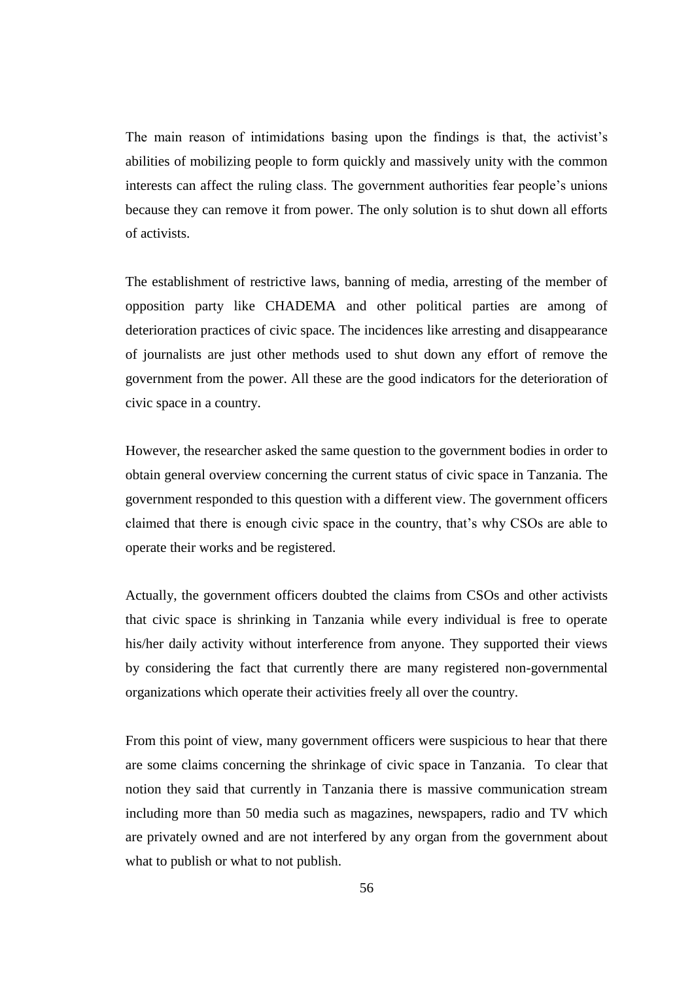The main reason of intimidations basing upon the findings is that, the activist's abilities of mobilizing people to form quickly and massively unity with the common interests can affect the ruling class. The government authorities fear people's unions because they can remove it from power. The only solution is to shut down all efforts of activists.

The establishment of restrictive laws, banning of media, arresting of the member of opposition party like CHADEMA and other political parties are among of deterioration practices of civic space. The incidences like arresting and disappearance of journalists are just other methods used to shut down any effort of remove the government from the power. All these are the good indicators for the deterioration of civic space in a country.

However, the researcher asked the same question to the government bodies in order to obtain general overview concerning the current status of civic space in Tanzania. The government responded to this question with a different view. The government officers claimed that there is enough civic space in the country, that's why CSOs are able to operate their works and be registered.

Actually, the government officers doubted the claims from CSOs and other activists that civic space is shrinking in Tanzania while every individual is free to operate his/her daily activity without interference from anyone. They supported their views by considering the fact that currently there are many registered non-governmental organizations which operate their activities freely all over the country.

From this point of view, many government officers were suspicious to hear that there are some claims concerning the shrinkage of civic space in Tanzania. To clear that notion they said that currently in Tanzania there is massive communication stream including more than 50 media such as magazines, newspapers, radio and TV which are privately owned and are not interfered by any organ from the government about what to publish or what to not publish.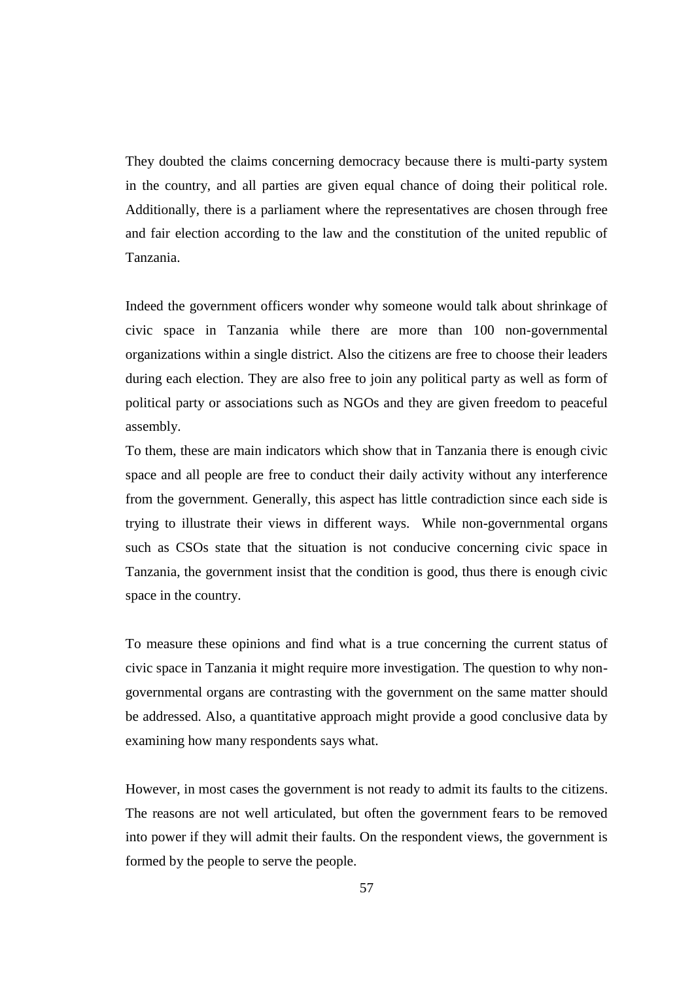They doubted the claims concerning democracy because there is multi-party system in the country, and all parties are given equal chance of doing their political role. Additionally, there is a parliament where the representatives are chosen through free and fair election according to the law and the constitution of the united republic of Tanzania.

Indeed the government officers wonder why someone would talk about shrinkage of civic space in Tanzania while there are more than 100 non-governmental organizations within a single district. Also the citizens are free to choose their leaders during each election. They are also free to join any political party as well as form of political party or associations such as NGOs and they are given freedom to peaceful assembly.

To them, these are main indicators which show that in Tanzania there is enough civic space and all people are free to conduct their daily activity without any interference from the government. Generally, this aspect has little contradiction since each side is trying to illustrate their views in different ways. While non-governmental organs such as CSOs state that the situation is not conducive concerning civic space in Tanzania, the government insist that the condition is good, thus there is enough civic space in the country.

To measure these opinions and find what is a true concerning the current status of civic space in Tanzania it might require more investigation. The question to why nongovernmental organs are contrasting with the government on the same matter should be addressed. Also, a quantitative approach might provide a good conclusive data by examining how many respondents says what.

However, in most cases the government is not ready to admit its faults to the citizens. The reasons are not well articulated, but often the government fears to be removed into power if they will admit their faults. On the respondent views, the government is formed by the people to serve the people.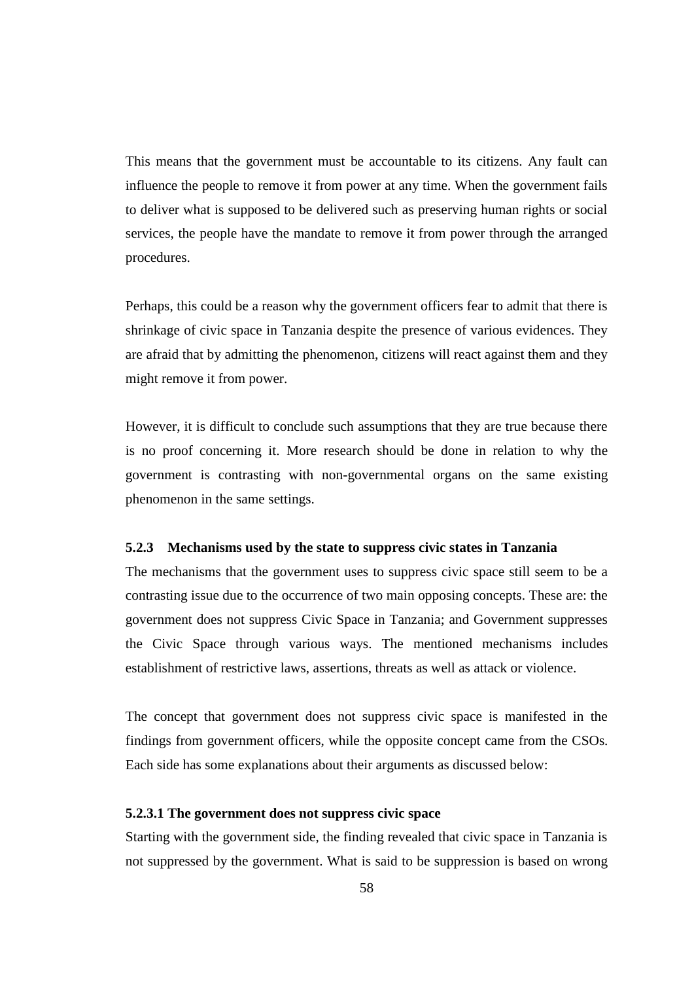This means that the government must be accountable to its citizens. Any fault can influence the people to remove it from power at any time. When the government fails to deliver what is supposed to be delivered such as preserving human rights or social services, the people have the mandate to remove it from power through the arranged procedures.

Perhaps, this could be a reason why the government officers fear to admit that there is shrinkage of civic space in Tanzania despite the presence of various evidences. They are afraid that by admitting the phenomenon, citizens will react against them and they might remove it from power.

However, it is difficult to conclude such assumptions that they are true because there is no proof concerning it. More research should be done in relation to why the government is contrasting with non-governmental organs on the same existing phenomenon in the same settings.

#### **5.2.3 Mechanisms used by the state to suppress civic states in Tanzania**

The mechanisms that the government uses to suppress civic space still seem to be a contrasting issue due to the occurrence of two main opposing concepts. These are: the government does not suppress Civic Space in Tanzania; and Government suppresses the Civic Space through various ways. The mentioned mechanisms includes establishment of restrictive laws, assertions, threats as well as attack or violence.

The concept that government does not suppress civic space is manifested in the findings from government officers, while the opposite concept came from the CSOs. Each side has some explanations about their arguments as discussed below:

#### **5.2.3.1 The government does not suppress civic space**

Starting with the government side, the finding revealed that civic space in Tanzania is not suppressed by the government. What is said to be suppression is based on wrong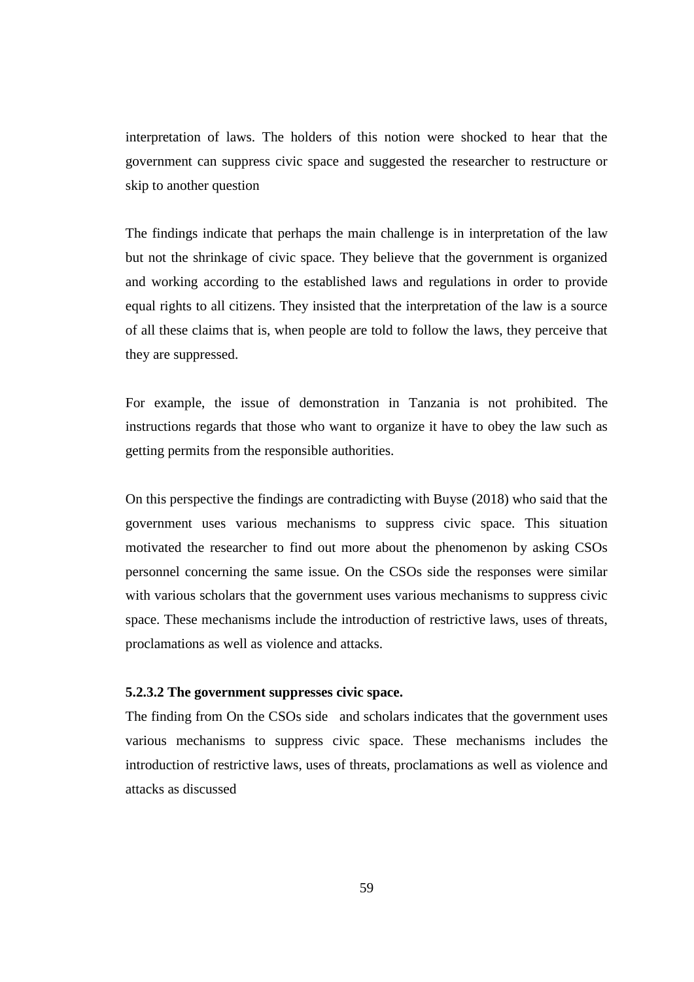interpretation of laws. The holders of this notion were shocked to hear that the government can suppress civic space and suggested the researcher to restructure or skip to another question

The findings indicate that perhaps the main challenge is in interpretation of the law but not the shrinkage of civic space. They believe that the government is organized and working according to the established laws and regulations in order to provide equal rights to all citizens. They insisted that the interpretation of the law is a source of all these claims that is, when people are told to follow the laws, they perceive that they are suppressed.

For example, the issue of demonstration in Tanzania is not prohibited. The instructions regards that those who want to organize it have to obey the law such as getting permits from the responsible authorities.

On this perspective the findings are contradicting with Buyse (2018) who said that the government uses various mechanisms to suppress civic space. This situation motivated the researcher to find out more about the phenomenon by asking CSOs personnel concerning the same issue. On the CSOs side the responses were similar with various scholars that the government uses various mechanisms to suppress civic space. These mechanisms include the introduction of restrictive laws, uses of threats, proclamations as well as violence and attacks.

#### **5.2.3.2 The government suppresses civic space.**

The finding from On the CSOs side and scholars indicates that the government uses various mechanisms to suppress civic space. These mechanisms includes the introduction of restrictive laws, uses of threats, proclamations as well as violence and attacks as discussed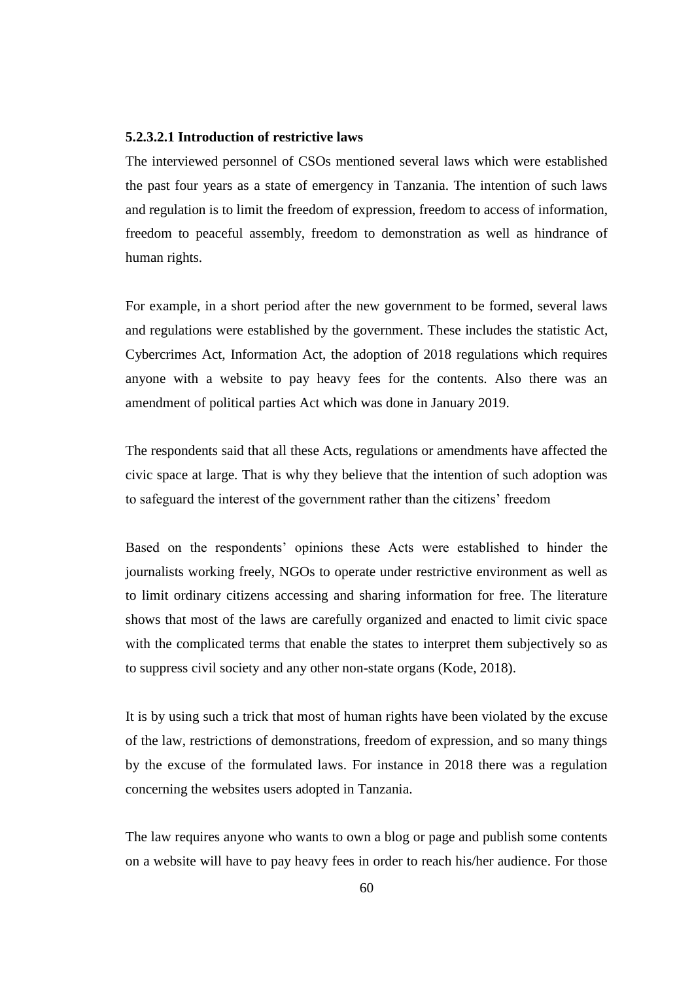#### **5.2.3.2.1 Introduction of restrictive laws**

The interviewed personnel of CSOs mentioned several laws which were established the past four years as a state of emergency in Tanzania. The intention of such laws and regulation is to limit the freedom of expression, freedom to access of information, freedom to peaceful assembly, freedom to demonstration as well as hindrance of human rights.

For example, in a short period after the new government to be formed, several laws and regulations were established by the government. These includes the statistic Act, Cybercrimes Act, Information Act, the adoption of 2018 regulations which requires anyone with a website to pay heavy fees for the contents. Also there was an amendment of political parties Act which was done in January 2019.

The respondents said that all these Acts, regulations or amendments have affected the civic space at large. That is why they believe that the intention of such adoption was to safeguard the interest of the government rather than the citizens' freedom

Based on the respondents' opinions these Acts were established to hinder the journalists working freely, NGOs to operate under restrictive environment as well as to limit ordinary citizens accessing and sharing information for free. The literature shows that most of the laws are carefully organized and enacted to limit civic space with the complicated terms that enable the states to interpret them subjectively so as to suppress civil society and any other non-state organs (Kode, 2018).

It is by using such a trick that most of human rights have been violated by the excuse of the law, restrictions of demonstrations, freedom of expression, and so many things by the excuse of the formulated laws. For instance in 2018 there was a regulation concerning the websites users adopted in Tanzania.

The law requires anyone who wants to own a blog or page and publish some contents on a website will have to pay heavy fees in order to reach his/her audience. For those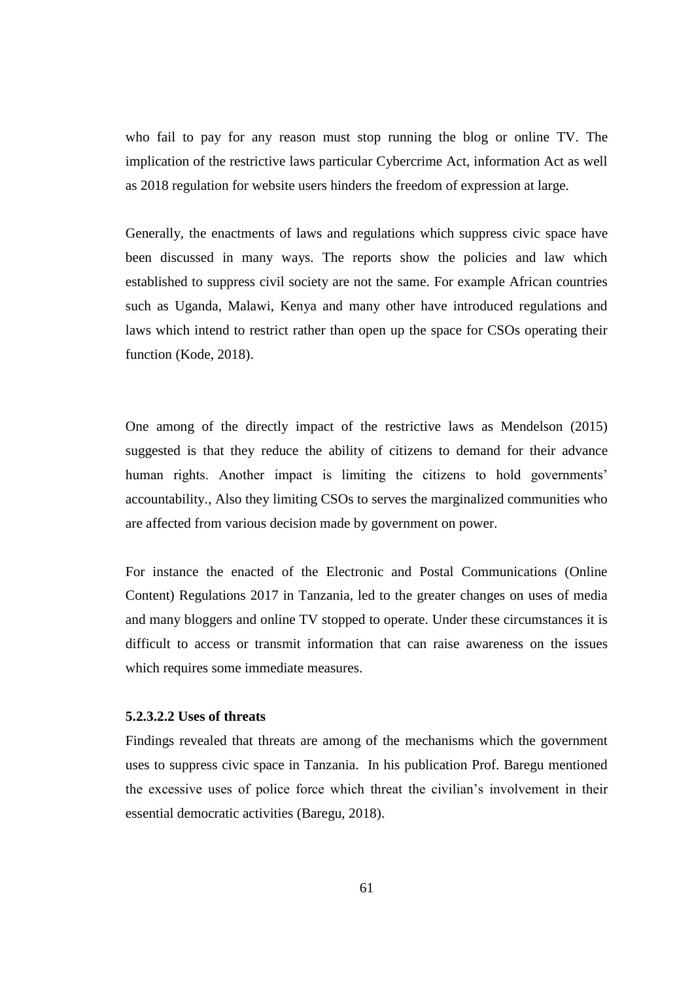who fail to pay for any reason must stop running the blog or online TV. The implication of the restrictive laws particular Cybercrime Act, information Act as well as 2018 regulation for website users hinders the freedom of expression at large.

Generally, the enactments of laws and regulations which suppress civic space have been discussed in many ways. The reports show the policies and law which established to suppress civil society are not the same. For example African countries such as Uganda, Malawi, Kenya and many other have introduced regulations and laws which intend to restrict rather than open up the space for CSOs operating their function (Kode, 2018).

One among of the directly impact of the restrictive laws as Mendelson (2015) suggested is that they reduce the ability of citizens to demand for their advance human rights. Another impact is limiting the citizens to hold governments' accountability., Also they limiting CSOs to serves the marginalized communities who are affected from various decision made by government on power.

For instance the enacted of the Electronic and Postal Communications (Online Content) Regulations 2017 in Tanzania, led to the greater changes on uses of media and many bloggers and online TV stopped to operate. Under these circumstances it is difficult to access or transmit information that can raise awareness on the issues which requires some immediate measures.

#### **5.2.3.2.2 Uses of threats**

Findings revealed that threats are among of the mechanisms which the government uses to suppress civic space in Tanzania. In his publication Prof. Baregu mentioned the excessive uses of police force which threat the civilian's involvement in their essential democratic activities (Baregu, 2018).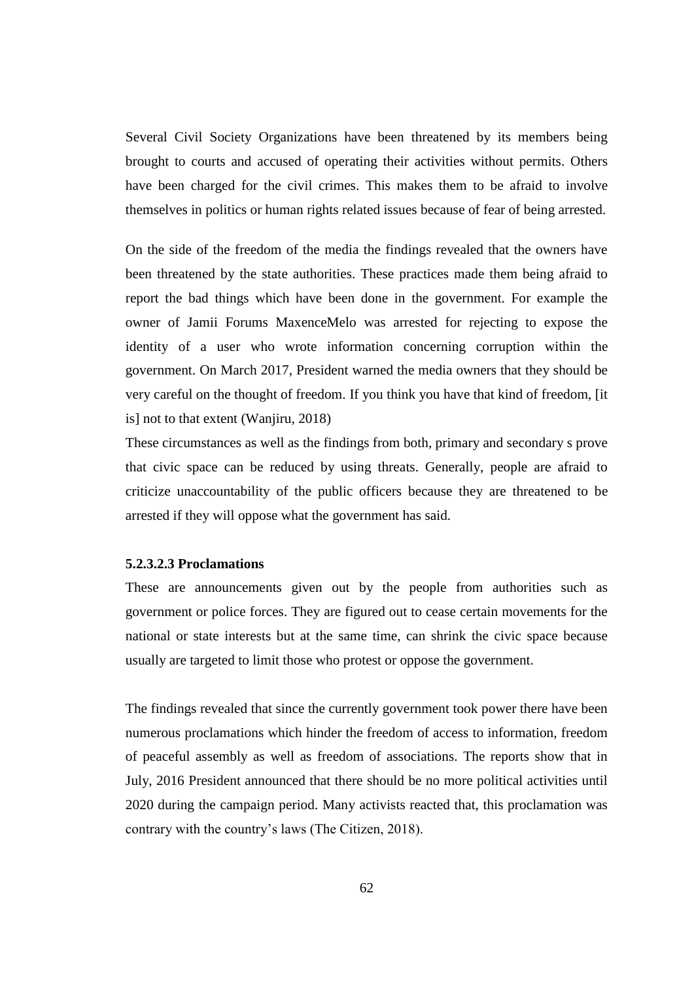Several Civil Society Organizations have been threatened by its members being brought to courts and accused of operating their activities without permits. Others have been charged for the civil crimes. This makes them to be afraid to involve themselves in politics or human rights related issues because of fear of being arrested.

On the side of the freedom of the media the findings revealed that the owners have been threatened by the state authorities. These practices made them being afraid to report the bad things which have been done in the government. For example the owner of Jamii Forums MaxenceMelo was arrested for rejecting to expose the identity of a user who wrote information concerning corruption within the government. On March 2017, President warned the media owners that they should be very careful on the thought of freedom. If you think you have that kind of freedom, [it is] not to that extent (Wanjiru, 2018)

These circumstances as well as the findings from both, primary and secondary s prove that civic space can be reduced by using threats. Generally, people are afraid to criticize unaccountability of the public officers because they are threatened to be arrested if they will oppose what the government has said.

#### **5.2.3.2.3 Proclamations**

These are announcements given out by the people from authorities such as government or police forces. They are figured out to cease certain movements for the national or state interests but at the same time, can shrink the civic space because usually are targeted to limit those who protest or oppose the government.

The findings revealed that since the currently government took power there have been numerous proclamations which hinder the freedom of access to information, freedom of peaceful assembly as well as freedom of associations. The reports show that in July, 2016 President announced that there should be no more political activities until 2020 during the campaign period. Many activists reacted that, this proclamation was contrary with the country's laws (The Citizen, 2018).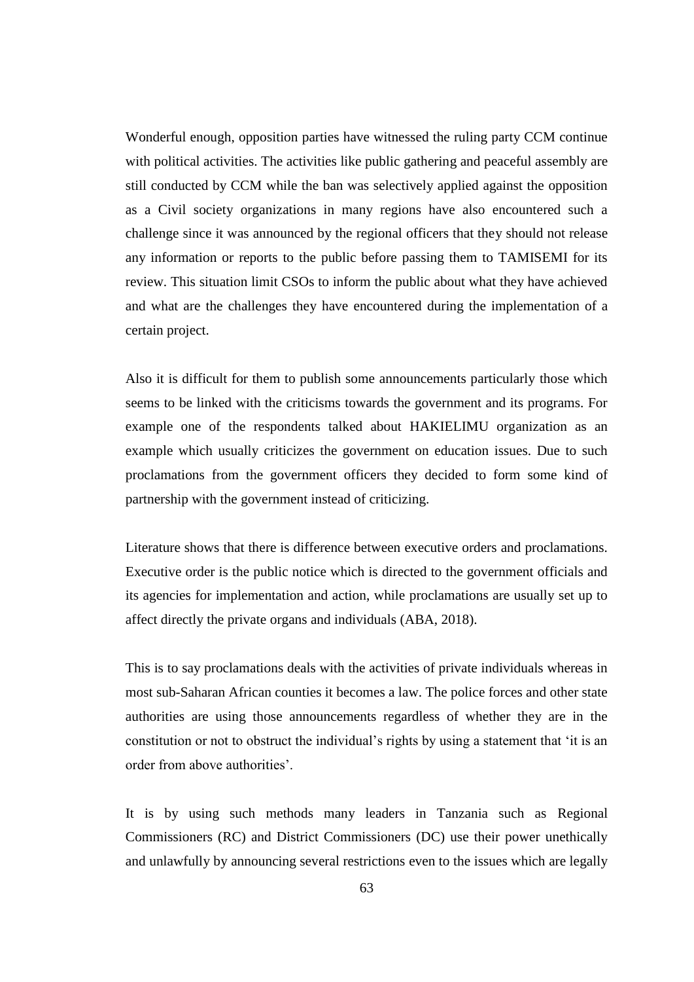Wonderful enough, opposition parties have witnessed the ruling party CCM continue with political activities. The activities like public gathering and peaceful assembly are still conducted by CCM while the ban was selectively applied against the opposition as a Civil society organizations in many regions have also encountered such a challenge since it was announced by the regional officers that they should not release any information or reports to the public before passing them to TAMISEMI for its review. This situation limit CSOs to inform the public about what they have achieved and what are the challenges they have encountered during the implementation of a certain project.

Also it is difficult for them to publish some announcements particularly those which seems to be linked with the criticisms towards the government and its programs. For example one of the respondents talked about HAKIELIMU organization as an example which usually criticizes the government on education issues. Due to such proclamations from the government officers they decided to form some kind of partnership with the government instead of criticizing.

Literature shows that there is difference between executive orders and proclamations. Executive order is the public notice which is directed to the government officials and its agencies for implementation and action, while proclamations are usually set up to affect directly the private organs and individuals (ABA, 2018).

This is to say proclamations deals with the activities of private individuals whereas in most sub-Saharan African counties it becomes a law. The police forces and other state authorities are using those announcements regardless of whether they are in the constitution or not to obstruct the individual's rights by using a statement that 'it is an order from above authorities'.

It is by using such methods many leaders in Tanzania such as Regional Commissioners (RC) and District Commissioners (DC) use their power unethically and unlawfully by announcing several restrictions even to the issues which are legally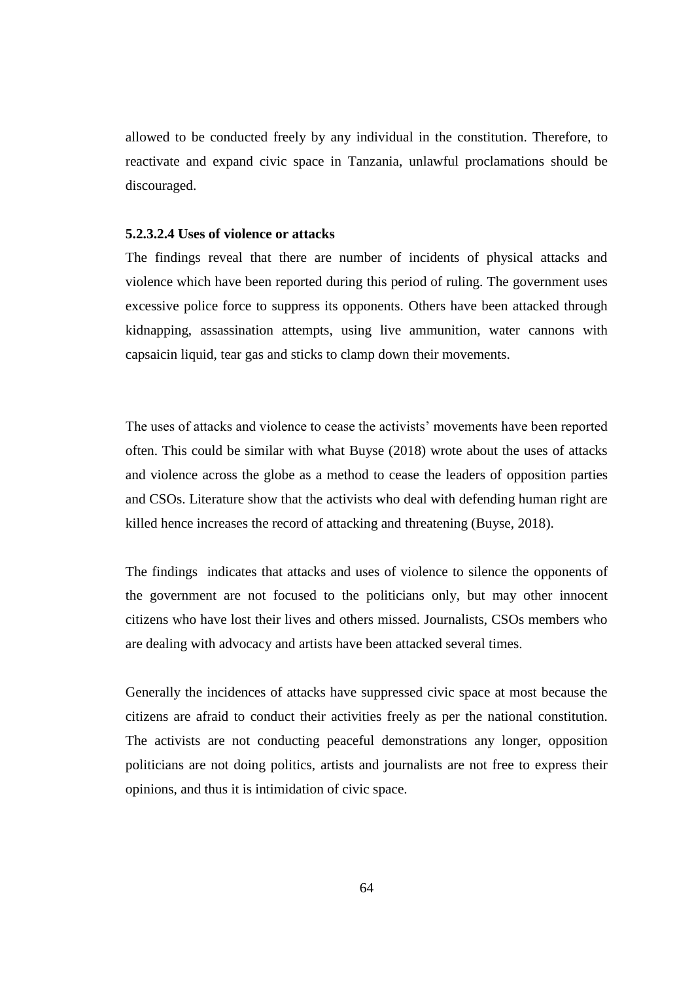allowed to be conducted freely by any individual in the constitution. Therefore, to reactivate and expand civic space in Tanzania, unlawful proclamations should be discouraged.

## **5.2.3.2.4 Uses of violence or attacks**

The findings reveal that there are number of incidents of physical attacks and violence which have been reported during this period of ruling. The government uses excessive police force to suppress its opponents. Others have been attacked through kidnapping, assassination attempts, using live ammunition, water cannons with capsaicin liquid, tear gas and sticks to clamp down their movements.

The uses of attacks and violence to cease the activists' movements have been reported often. This could be similar with what Buyse (2018) wrote about the uses of attacks and violence across the globe as a method to cease the leaders of opposition parties and CSOs. Literature show that the activists who deal with defending human right are killed hence increases the record of attacking and threatening (Buyse, 2018).

The findings indicates that attacks and uses of violence to silence the opponents of the government are not focused to the politicians only, but may other innocent citizens who have lost their lives and others missed. Journalists, CSOs members who are dealing with advocacy and artists have been attacked several times.

Generally the incidences of attacks have suppressed civic space at most because the citizens are afraid to conduct their activities freely as per the national constitution. The activists are not conducting peaceful demonstrations any longer, opposition politicians are not doing politics, artists and journalists are not free to express their opinions, and thus it is intimidation of civic space.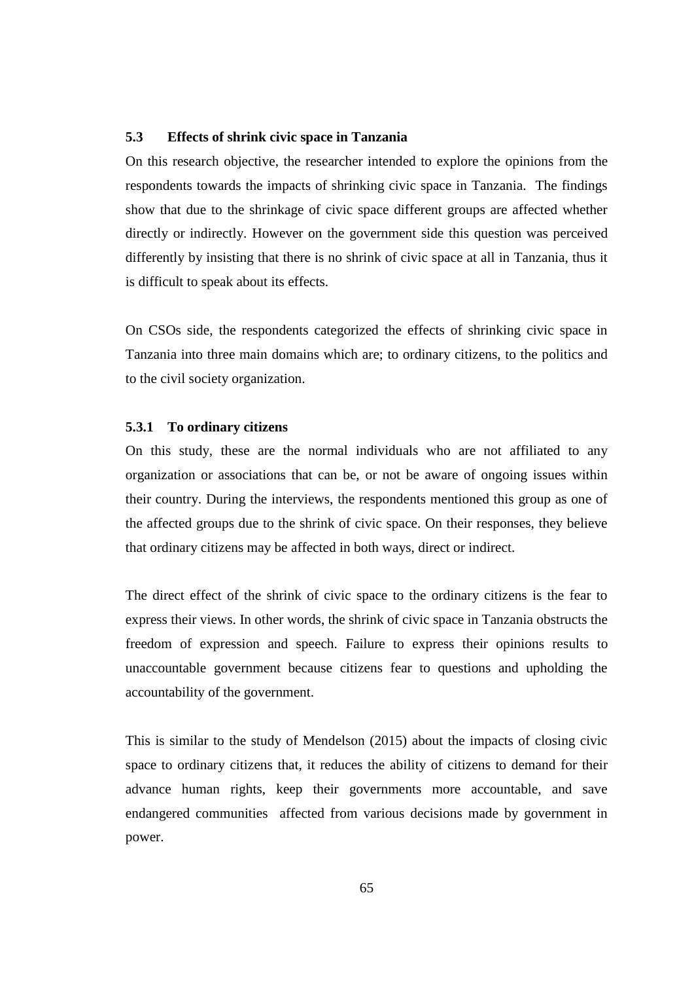# **5.3 Effects of shrink civic space in Tanzania**

On this research objective, the researcher intended to explore the opinions from the respondents towards the impacts of shrinking civic space in Tanzania. The findings show that due to the shrinkage of civic space different groups are affected whether directly or indirectly. However on the government side this question was perceived differently by insisting that there is no shrink of civic space at all in Tanzania, thus it is difficult to speak about its effects.

On CSOs side, the respondents categorized the effects of shrinking civic space in Tanzania into three main domains which are; to ordinary citizens, to the politics and to the civil society organization.

## **5.3.1 To ordinary citizens**

On this study, these are the normal individuals who are not affiliated to any organization or associations that can be, or not be aware of ongoing issues within their country. During the interviews, the respondents mentioned this group as one of the affected groups due to the shrink of civic space. On their responses, they believe that ordinary citizens may be affected in both ways, direct or indirect.

The direct effect of the shrink of civic space to the ordinary citizens is the fear to express their views. In other words, the shrink of civic space in Tanzania obstructs the freedom of expression and speech. Failure to express their opinions results to unaccountable government because citizens fear to questions and upholding the accountability of the government.

This is similar to the study of Mendelson (2015) about the impacts of closing civic space to ordinary citizens that, it reduces the ability of citizens to demand for their advance human rights, keep their governments more accountable, and save endangered communities affected from various decisions made by government in power.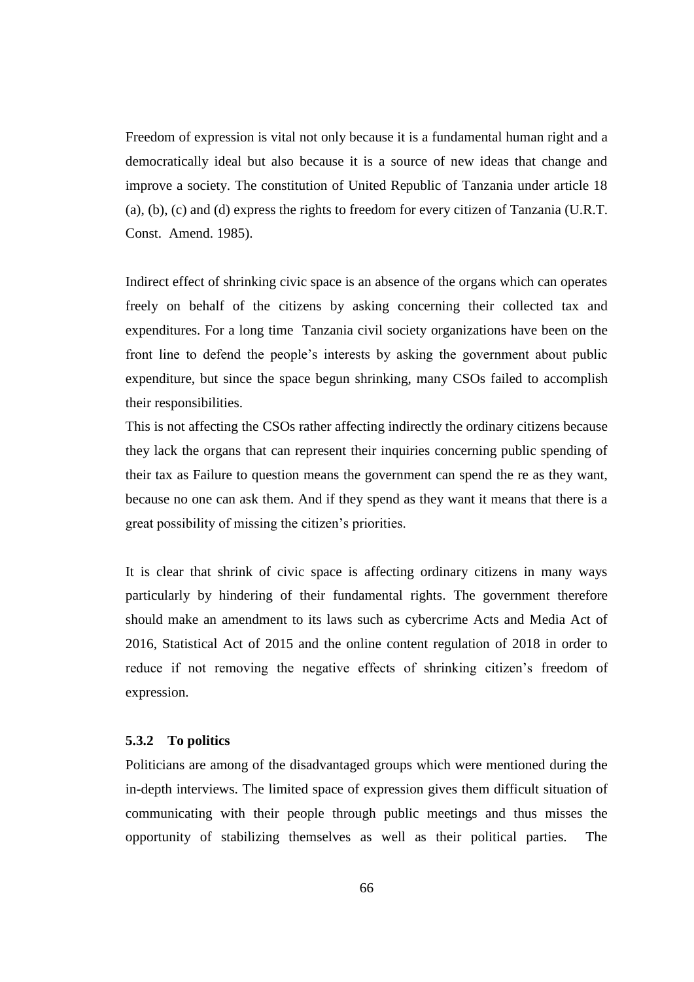Freedom of expression is vital not only because it is a fundamental human right and a democratically ideal but also because it is a source of new ideas that change and improve a society. The constitution of United Republic of Tanzania under article 18 (a), (b), (c) and (d) express the rights to freedom for every citizen of Tanzania (U.R.T. Const. Amend. 1985).

Indirect effect of shrinking civic space is an absence of the organs which can operates freely on behalf of the citizens by asking concerning their collected tax and expenditures. For a long time Tanzania civil society organizations have been on the front line to defend the people's interests by asking the government about public expenditure, but since the space begun shrinking, many CSOs failed to accomplish their responsibilities.

This is not affecting the CSOs rather affecting indirectly the ordinary citizens because they lack the organs that can represent their inquiries concerning public spending of their tax as Failure to question means the government can spend the re as they want, because no one can ask them. And if they spend as they want it means that there is a great possibility of missing the citizen's priorities.

It is clear that shrink of civic space is affecting ordinary citizens in many ways particularly by hindering of their fundamental rights. The government therefore should make an amendment to its laws such as cybercrime Acts and Media Act of 2016, Statistical Act of 2015 and the online content regulation of 2018 in order to reduce if not removing the negative effects of shrinking citizen's freedom of expression.

## **5.3.2 To politics**

Politicians are among of the disadvantaged groups which were mentioned during the in-depth interviews. The limited space of expression gives them difficult situation of communicating with their people through public meetings and thus misses the opportunity of stabilizing themselves as well as their political parties. The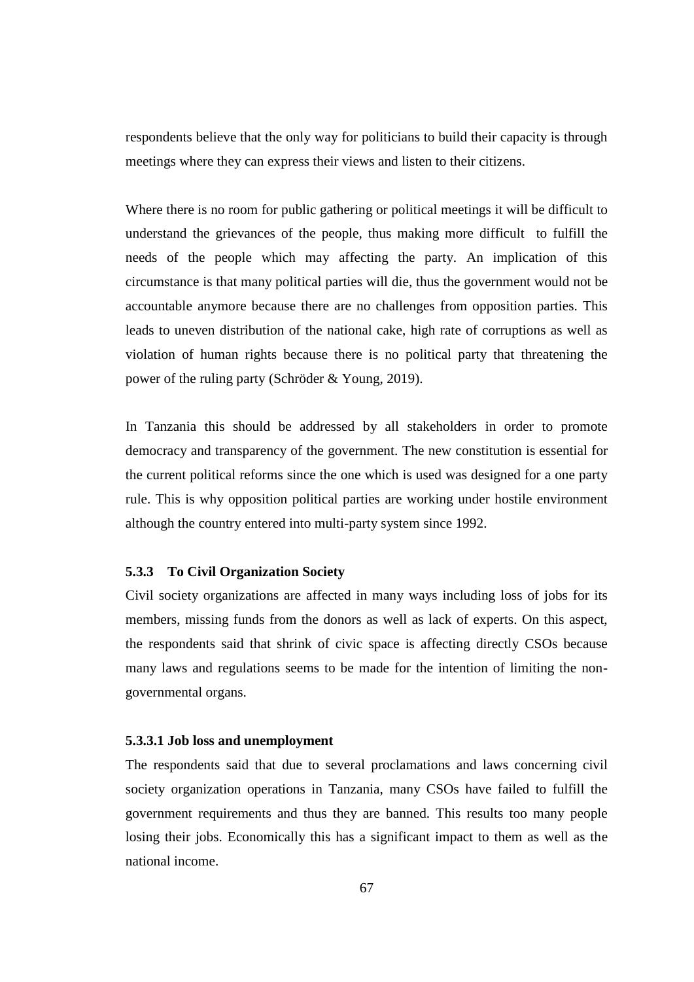respondents believe that the only way for politicians to build their capacity is through meetings where they can express their views and listen to their citizens.

Where there is no room for public gathering or political meetings it will be difficult to understand the grievances of the people, thus making more difficult to fulfill the needs of the people which may affecting the party. An implication of this circumstance is that many political parties will die, thus the government would not be accountable anymore because there are no challenges from opposition parties. This leads to uneven distribution of the national cake, high rate of corruptions as well as violation of human rights because there is no political party that threatening the power of the ruling party (Schröder & Young, 2019).

In Tanzania this should be addressed by all stakeholders in order to promote democracy and transparency of the government. The new constitution is essential for the current political reforms since the one which is used was designed for a one party rule. This is why opposition political parties are working under hostile environment although the country entered into multi-party system since 1992.

## **5.3.3 To Civil Organization Society**

Civil society organizations are affected in many ways including loss of jobs for its members, missing funds from the donors as well as lack of experts. On this aspect, the respondents said that shrink of civic space is affecting directly CSOs because many laws and regulations seems to be made for the intention of limiting the nongovernmental organs.

## **5.3.3.1 Job loss and unemployment**

The respondents said that due to several proclamations and laws concerning civil society organization operations in Tanzania, many CSOs have failed to fulfill the government requirements and thus they are banned. This results too many people losing their jobs. Economically this has a significant impact to them as well as the national income.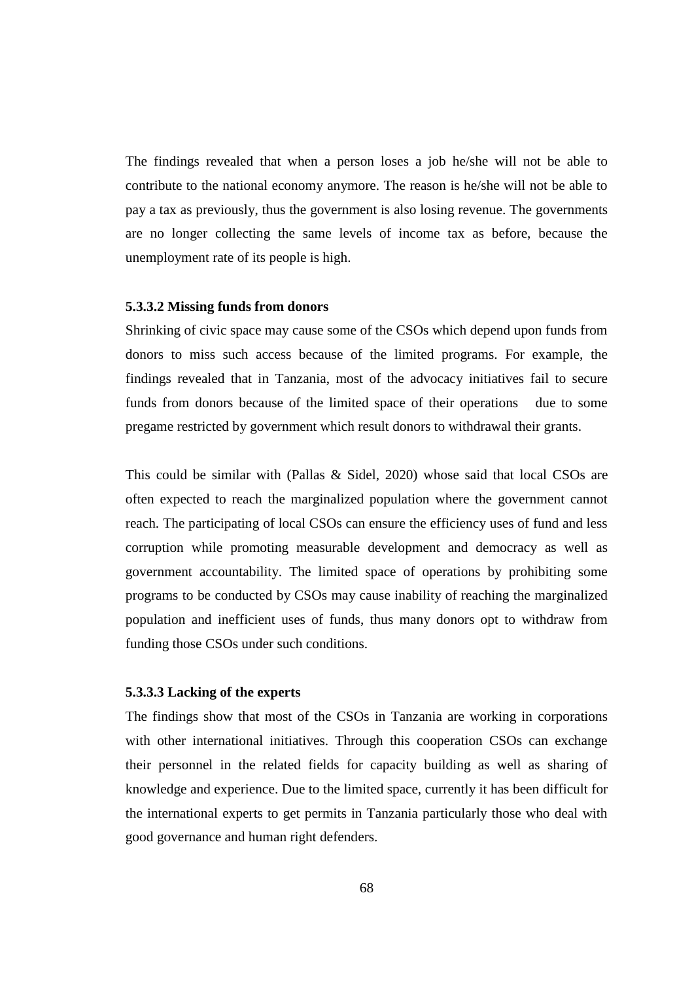The findings revealed that when a person loses a job he/she will not be able to contribute to the national economy anymore. The reason is he/she will not be able to pay a tax as previously, thus the government is also losing revenue. The governments are no longer collecting the same levels of income tax as before, because the unemployment rate of its people is high.

#### **5.3.3.2 Missing funds from donors**

Shrinking of civic space may cause some of the CSOs which depend upon funds from donors to miss such access because of the limited programs. For example, the findings revealed that in Tanzania, most of the advocacy initiatives fail to secure funds from donors because of the limited space of their operations due to some pregame restricted by government which result donors to withdrawal their grants.

This could be similar with (Pallas & Sidel, 2020) whose said that local CSOs are often expected to reach the marginalized population where the government cannot reach. The participating of local CSOs can ensure the efficiency uses of fund and less corruption while promoting measurable development and democracy as well as government accountability. The limited space of operations by prohibiting some programs to be conducted by CSOs may cause inability of reaching the marginalized population and inefficient uses of funds, thus many donors opt to withdraw from funding those CSOs under such conditions.

#### **5.3.3.3 Lacking of the experts**

The findings show that most of the CSOs in Tanzania are working in corporations with other international initiatives. Through this cooperation CSOs can exchange their personnel in the related fields for capacity building as well as sharing of knowledge and experience. Due to the limited space, currently it has been difficult for the international experts to get permits in Tanzania particularly those who deal with good governance and human right defenders.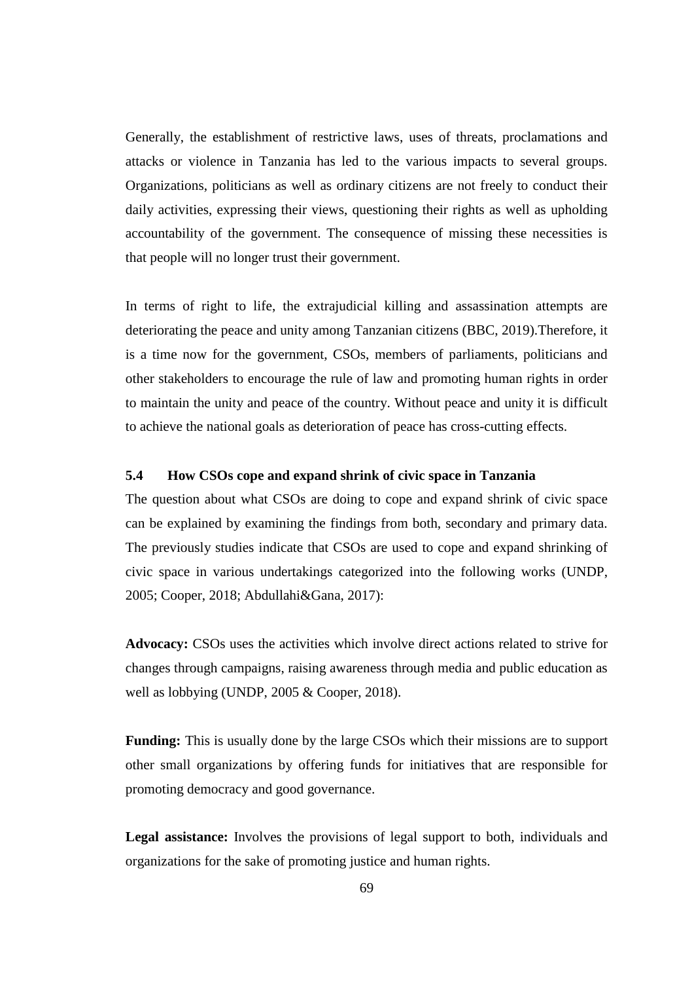Generally, the establishment of restrictive laws, uses of threats, proclamations and attacks or violence in Tanzania has led to the various impacts to several groups. Organizations, politicians as well as ordinary citizens are not freely to conduct their daily activities, expressing their views, questioning their rights as well as upholding accountability of the government. The consequence of missing these necessities is that people will no longer trust their government.

In terms of right to life, the extrajudicial killing and assassination attempts are deteriorating the peace and unity among Tanzanian citizens (BBC, 2019).Therefore, it is a time now for the government, CSOs, members of parliaments, politicians and other stakeholders to encourage the rule of law and promoting human rights in order to maintain the unity and peace of the country. Without peace and unity it is difficult to achieve the national goals as deterioration of peace has cross-cutting effects.

## **5.4 How CSOs cope and expand shrink of civic space in Tanzania**

The question about what CSOs are doing to cope and expand shrink of civic space can be explained by examining the findings from both, secondary and primary data. The previously studies indicate that CSOs are used to cope and expand shrinking of civic space in various undertakings categorized into the following works (UNDP, 2005; Cooper, 2018; Abdullahi&Gana, 2017):

**Advocacy:** CSOs uses the activities which involve direct actions related to strive for changes through campaigns, raising awareness through media and public education as well as lobbying (UNDP, 2005 & Cooper, 2018).

**Funding:** This is usually done by the large CSOs which their missions are to support other small organizations by offering funds for initiatives that are responsible for promoting democracy and good governance.

**Legal assistance:** Involves the provisions of legal support to both, individuals and organizations for the sake of promoting justice and human rights.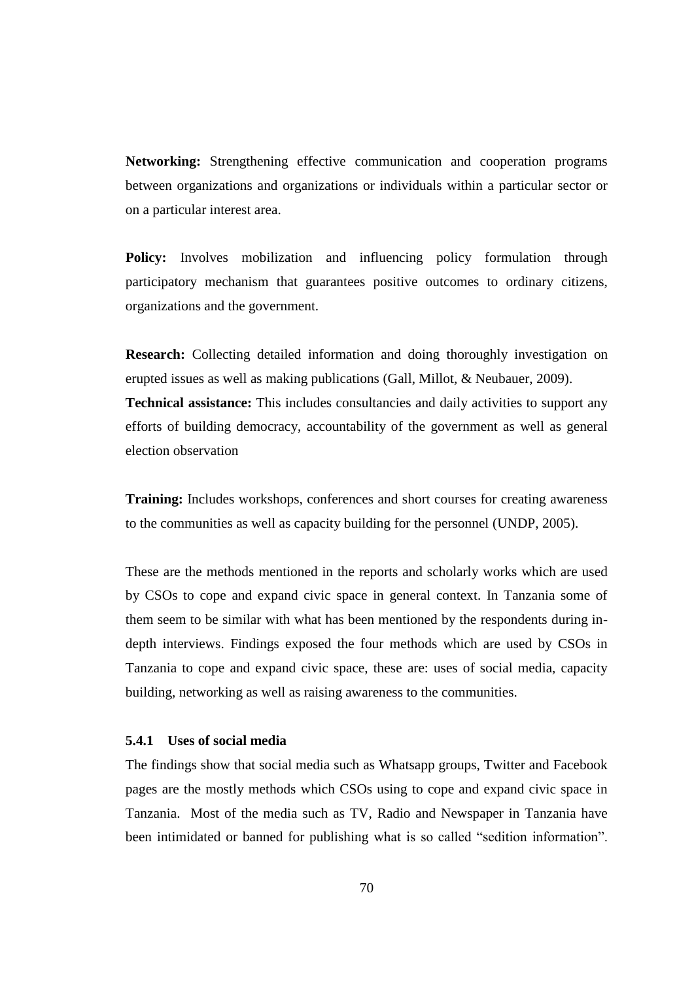**Networking:** Strengthening effective communication and cooperation programs between organizations and organizations or individuals within a particular sector or on a particular interest area.

**Policy:** Involves mobilization and influencing policy formulation through participatory mechanism that guarantees positive outcomes to ordinary citizens, organizations and the government.

**Research:** Collecting detailed information and doing thoroughly investigation on erupted issues as well as making publications (Gall, Millot, & Neubauer, 2009). **Technical assistance:** This includes consultancies and daily activities to support any efforts of building democracy, accountability of the government as well as general election observation

**Training:** Includes workshops, conferences and short courses for creating awareness to the communities as well as capacity building for the personnel (UNDP, 2005).

These are the methods mentioned in the reports and scholarly works which are used by CSOs to cope and expand civic space in general context. In Tanzania some of them seem to be similar with what has been mentioned by the respondents during indepth interviews. Findings exposed the four methods which are used by CSOs in Tanzania to cope and expand civic space, these are: uses of social media, capacity building, networking as well as raising awareness to the communities.

## **5.4.1 Uses of social media**

The findings show that social media such as Whatsapp groups, Twitter and Facebook pages are the mostly methods which CSOs using to cope and expand civic space in Tanzania. Most of the media such as TV, Radio and Newspaper in Tanzania have been intimidated or banned for publishing what is so called "sedition information".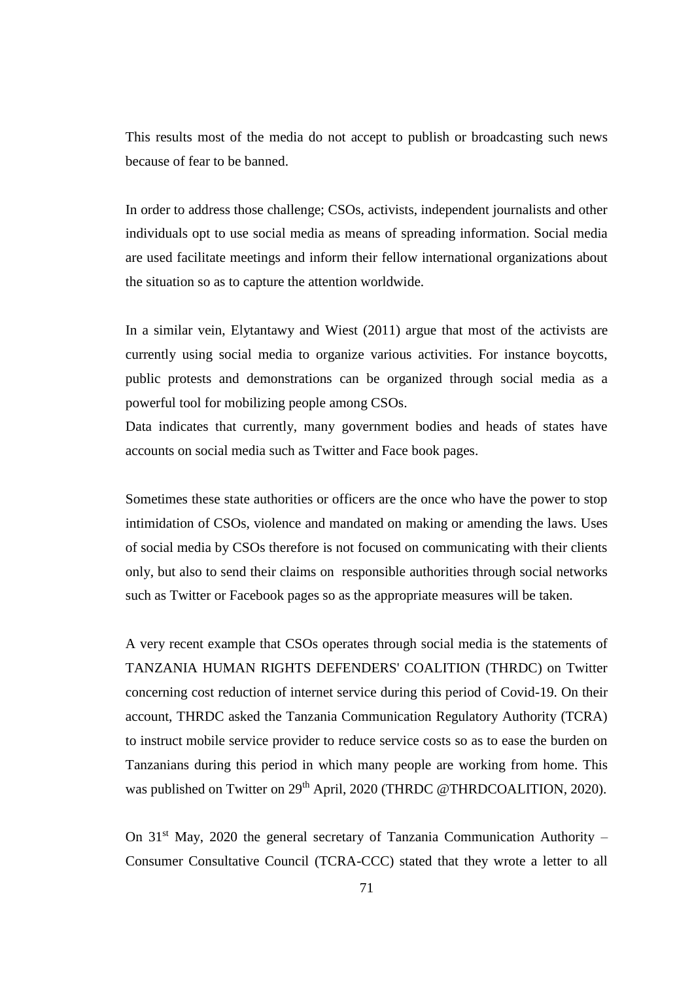This results most of the media do not accept to publish or broadcasting such news because of fear to be banned.

In order to address those challenge; CSOs, activists, independent journalists and other individuals opt to use social media as means of spreading information. Social media are used facilitate meetings and inform their fellow international organizations about the situation so as to capture the attention worldwide.

In a similar vein, Elytantawy and Wiest (2011) argue that most of the activists are currently using social media to organize various activities. For instance boycotts, public protests and demonstrations can be organized through social media as a powerful tool for mobilizing people among CSOs.

Data indicates that currently, many government bodies and heads of states have accounts on social media such as Twitter and Face book pages.

Sometimes these state authorities or officers are the once who have the power to stop intimidation of CSOs, violence and mandated on making or amending the laws. Uses of social media by CSOs therefore is not focused on communicating with their clients only, but also to send their claims on responsible authorities through social networks such as Twitter or Facebook pages so as the appropriate measures will be taken.

A very recent example that CSOs operates through social media is the statements of TANZANIA HUMAN RIGHTS DEFENDERS' COALITION (THRDC) on Twitter concerning cost reduction of internet service during this period of Covid-19. On their account, THRDC asked the Tanzania Communication Regulatory Authority (TCRA) to instruct mobile service provider to reduce service costs so as to ease the burden on Tanzanians during this period in which many people are working from home. This was published on Twitter on 29<sup>th</sup> April, 2020 (THRDC @THRDCOALITION, 2020).

On  $31<sup>st</sup>$  May, 2020 the general secretary of Tanzania Communication Authority – Consumer Consultative Council (TCRA-CCC) stated that they wrote a letter to all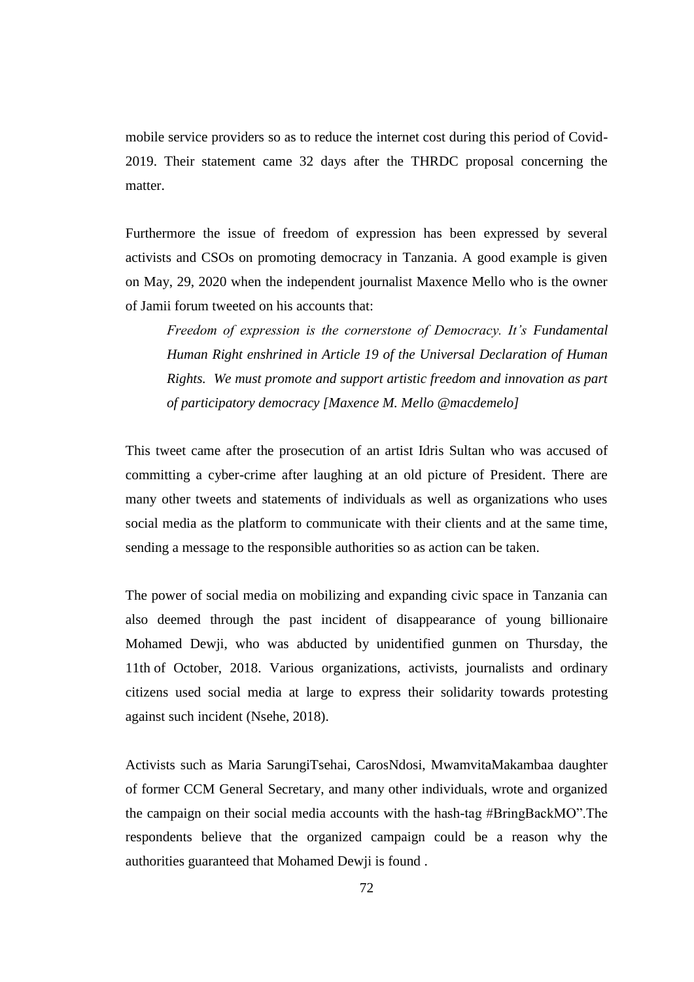mobile service providers so as to reduce the internet cost during this period of Covid-2019. Their statement came 32 days after the THRDC proposal concerning the matter.

Furthermore the issue of freedom of expression has been expressed by several activists and CSOs on promoting democracy in Tanzania. A good example is given on May, 29, 2020 when the independent journalist Maxence Mello who is the owner of Jamii forum tweeted on his accounts that:

*Freedom of expression is the cornerstone of Democracy. It's Fundamental Human Right enshrined in Article 19 of the Universal Declaration of Human Rights. We must promote and support artistic freedom and innovation as part of participatory democracy [Maxence M. Mello @macdemelo]*

This tweet came after the prosecution of an artist Idris Sultan who was accused of committing a cyber-crime after laughing at an old picture of President. There are many other tweets and statements of individuals as well as organizations who uses social media as the platform to communicate with their clients and at the same time, sending a message to the responsible authorities so as action can be taken.

The power of social media on mobilizing and expanding civic space in Tanzania can also deemed through the past incident of disappearance of young billionaire Mohamed Dewji, who was abducted by unidentified gunmen on Thursday, the 11th of October, 2018. Various organizations, activists, journalists and ordinary citizens used social media at large to express their solidarity towards protesting against such incident (Nsehe, 2018).

Activists such as Maria SarungiTsehai, CarosNdosi, MwamvitaMakambaa daughter of former CCM General Secretary, and many other individuals, wrote and organized the campaign on their social media accounts with the hash-tag #BringBackMO".The respondents believe that the organized campaign could be a reason why the authorities guaranteed that Mohamed Dewji is found .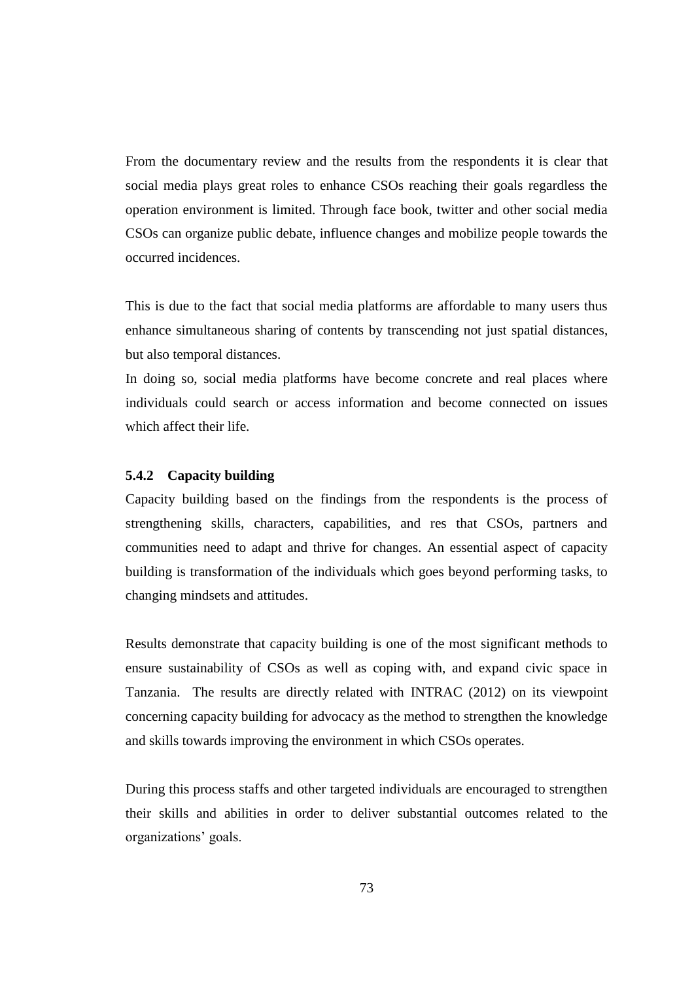From the documentary review and the results from the respondents it is clear that social media plays great roles to enhance CSOs reaching their goals regardless the operation environment is limited. Through face book, twitter and other social media CSOs can organize public debate, influence changes and mobilize people towards the occurred incidences.

This is due to the fact that social media platforms are affordable to many users thus enhance simultaneous sharing of contents by transcending not just spatial distances, but also temporal distances.

In doing so, social media platforms have become concrete and real places where individuals could search or access information and become connected on issues which affect their life.

#### **5.4.2 Capacity building**

Capacity building based on the findings from the respondents is the process of strengthening skills, characters, capabilities, and res that CSOs, partners and communities need to adapt and thrive for changes. An essential aspect of capacity building is transformation of the individuals which goes beyond performing tasks, to changing mindsets and attitudes.

Results demonstrate that capacity building is one of the most significant methods to ensure sustainability of CSOs as well as coping with, and expand civic space in Tanzania. The results are directly related with INTRAC (2012) on its viewpoint concerning capacity building for advocacy as the method to strengthen the knowledge and skills towards improving the environment in which CSOs operates.

During this process staffs and other targeted individuals are encouraged to strengthen their skills and abilities in order to deliver substantial outcomes related to the organizations' goals.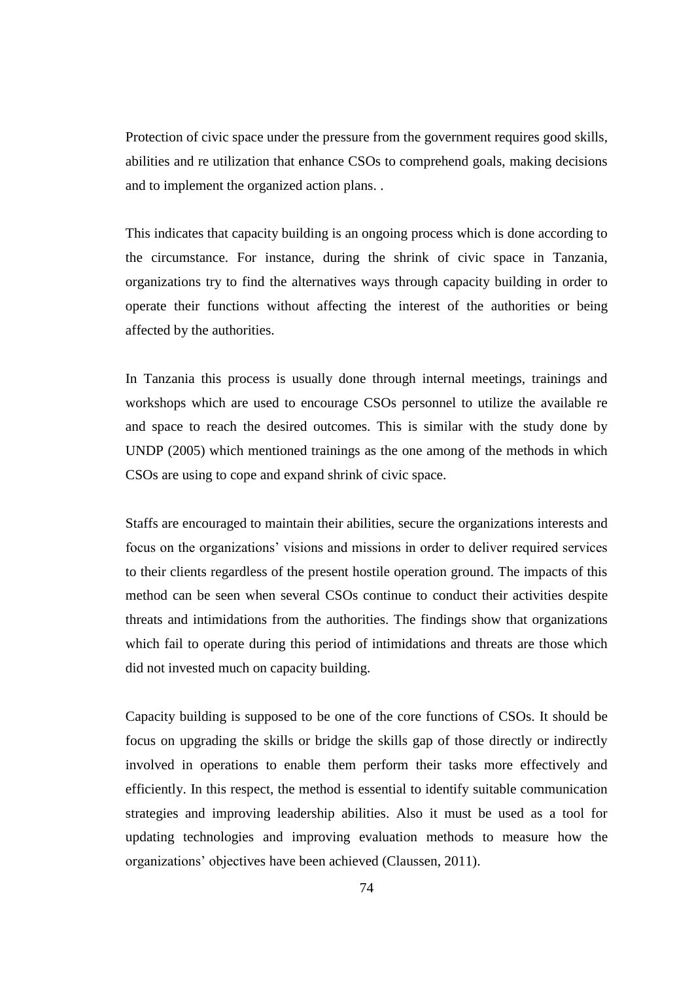Protection of civic space under the pressure from the government requires good skills, abilities and re utilization that enhance CSOs to comprehend goals, making decisions and to implement the organized action plans. .

This indicates that capacity building is an ongoing process which is done according to the circumstance. For instance, during the shrink of civic space in Tanzania, organizations try to find the alternatives ways through capacity building in order to operate their functions without affecting the interest of the authorities or being affected by the authorities.

In Tanzania this process is usually done through internal meetings, trainings and workshops which are used to encourage CSOs personnel to utilize the available re and space to reach the desired outcomes. This is similar with the study done by UNDP (2005) which mentioned trainings as the one among of the methods in which CSOs are using to cope and expand shrink of civic space.

Staffs are encouraged to maintain their abilities, secure the organizations interests and focus on the organizations' visions and missions in order to deliver required services to their clients regardless of the present hostile operation ground. The impacts of this method can be seen when several CSOs continue to conduct their activities despite threats and intimidations from the authorities. The findings show that organizations which fail to operate during this period of intimidations and threats are those which did not invested much on capacity building.

Capacity building is supposed to be one of the core functions of CSOs. It should be focus on upgrading the skills or bridge the skills gap of those directly or indirectly involved in operations to enable them perform their tasks more effectively and efficiently. In this respect, the method is essential to identify suitable communication strategies and improving leadership abilities. Also it must be used as a tool for updating technologies and improving evaluation methods to measure how the organizations' objectives have been achieved (Claussen, 2011).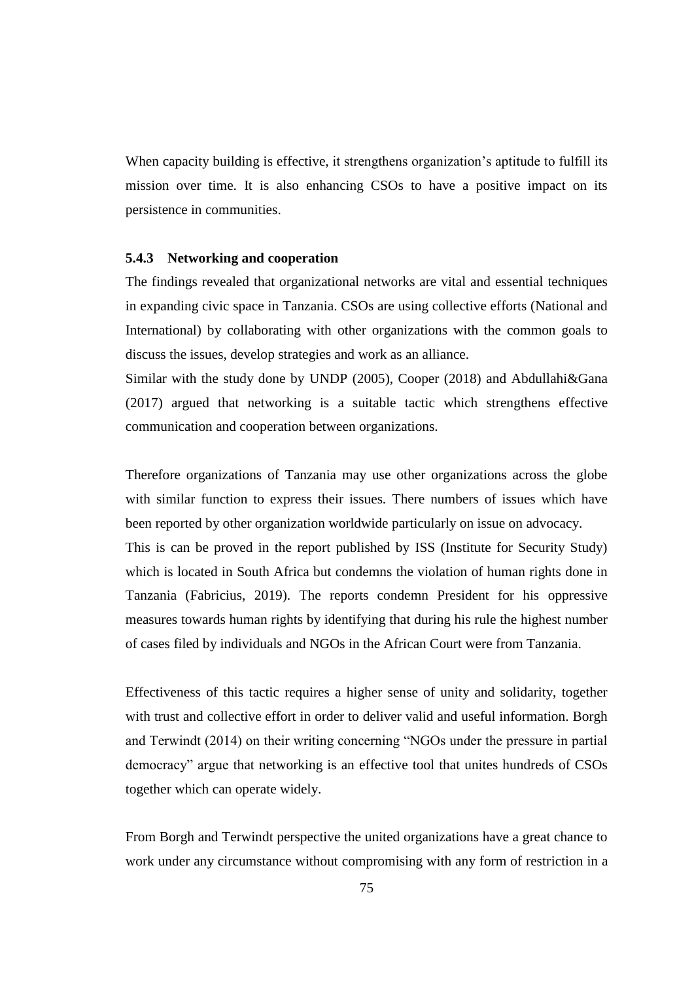When capacity building is effective, it strengthens organization's aptitude to fulfill its mission over time. It is also enhancing CSOs to have a positive impact on its persistence in communities.

#### **5.4.3 Networking and cooperation**

The findings revealed that organizational networks are vital and essential techniques in expanding civic space in Tanzania. CSOs are using collective efforts (National and International) by collaborating with other organizations with the common goals to discuss the issues, develop strategies and work as an alliance.

Similar with the study done by UNDP (2005), Cooper (2018) and Abdullahi&Gana (2017) argued that networking is a suitable tactic which strengthens effective communication and cooperation between organizations.

Therefore organizations of Tanzania may use other organizations across the globe with similar function to express their issues*.* There numbers of issues which have been reported by other organization worldwide particularly on issue on advocacy. This is can be proved in the report published by ISS (Institute for Security Study) which is located in South Africa but condemns the violation of human rights done in Tanzania (Fabricius, 2019). The reports condemn President for his oppressive measures towards human rights by identifying that during his rule the highest number of cases filed by individuals and NGOs in the African Court were from Tanzania.

Effectiveness of this tactic requires a higher sense of unity and solidarity, together with trust and collective effort in order to deliver valid and useful information. Borgh and Terwindt (2014) on their writing concerning "NGOs under the pressure in partial democracy" argue that networking is an effective tool that unites hundreds of CSOs together which can operate widely.

From Borgh and Terwindt perspective the united organizations have a great chance to work under any circumstance without compromising with any form of restriction in a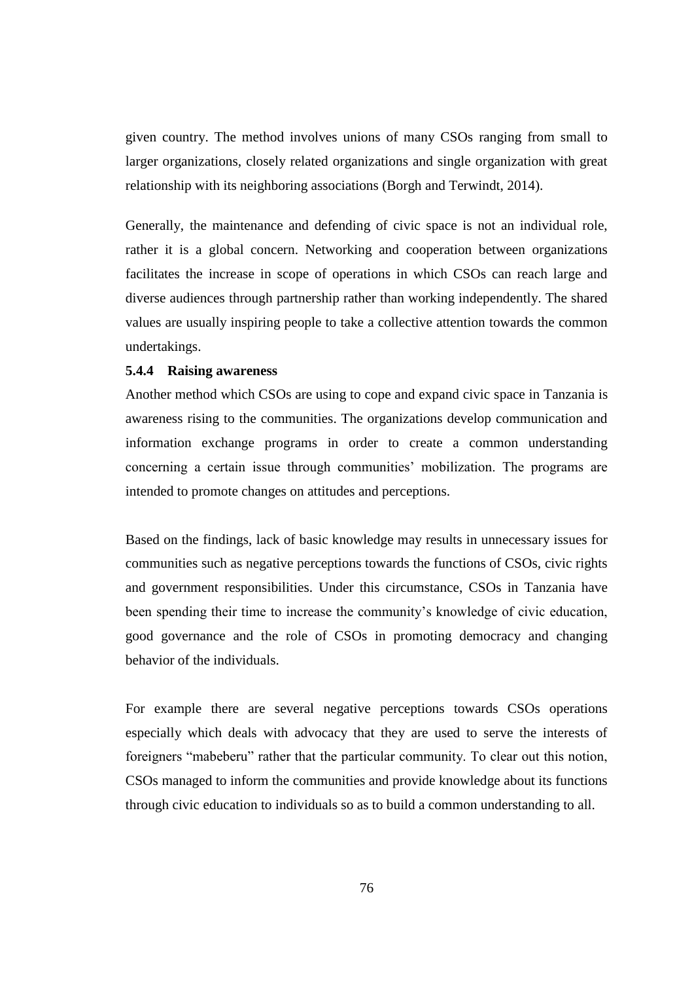given country. The method involves unions of many CSOs ranging from small to larger organizations, closely related organizations and single organization with great relationship with its neighboring associations (Borgh and Terwindt, 2014).

Generally, the maintenance and defending of civic space is not an individual role, rather it is a global concern. Networking and cooperation between organizations facilitates the increase in scope of operations in which CSOs can reach large and diverse audiences through partnership rather than working independently. The shared values are usually inspiring people to take a collective attention towards the common undertakings.

## **5.4.4 Raising awareness**

Another method which CSOs are using to cope and expand civic space in Tanzania is awareness rising to the communities. The organizations develop communication and information exchange programs in order to create a common understanding concerning a certain issue through communities' mobilization. The programs are intended to promote changes on attitudes and perceptions.

Based on the findings, lack of basic knowledge may results in unnecessary issues for communities such as negative perceptions towards the functions of CSOs, civic rights and government responsibilities. Under this circumstance, CSOs in Tanzania have been spending their time to increase the community's knowledge of civic education, good governance and the role of CSOs in promoting democracy and changing behavior of the individuals.

For example there are several negative perceptions towards CSOs operations especially which deals with advocacy that they are used to serve the interests of foreigners "mabeberu" rather that the particular community. To clear out this notion, CSOs managed to inform the communities and provide knowledge about its functions through civic education to individuals so as to build a common understanding to all.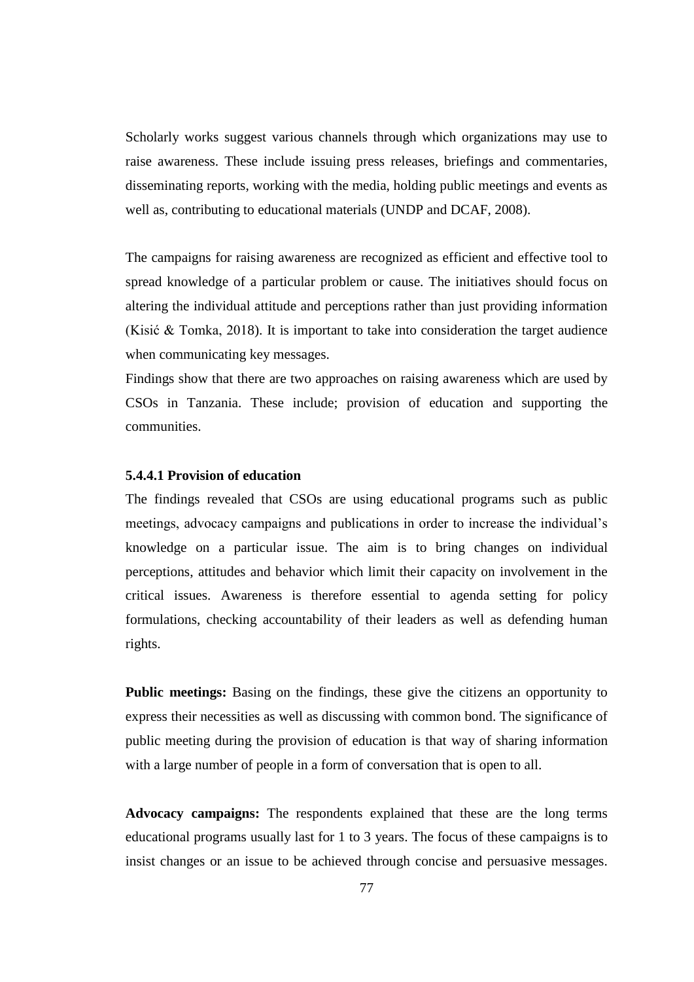Scholarly works suggest various channels through which organizations may use to raise awareness. These include issuing press releases, briefings and commentaries, disseminating reports, working with the media, holding public meetings and events as well as, contributing to educational materials (UNDP and DCAF, 2008).

The campaigns for raising awareness are recognized as efficient and effective tool to spread knowledge of a particular problem or cause. The initiatives should focus on altering the individual attitude and perceptions rather than just providing information (Kisić & Tomka, 2018). It is important to take into consideration the target audience when communicating key messages.

Findings show that there are two approaches on raising awareness which are used by CSOs in Tanzania. These include; provision of education and supporting the communities.

## **5.4.4.1 Provision of education**

The findings revealed that CSOs are using educational programs such as public meetings, advocacy campaigns and publications in order to increase the individual's knowledge on a particular issue. The aim is to bring changes on individual perceptions, attitudes and behavior which limit their capacity on involvement in the critical issues. Awareness is therefore essential to agenda setting for policy formulations, checking accountability of their leaders as well as defending human rights.

**Public meetings:** Basing on the findings, these give the citizens an opportunity to express their necessities as well as discussing with common bond. The significance of public meeting during the provision of education is that way of sharing information with a large number of people in a form of conversation that is open to all.

**Advocacy campaigns:** The respondents explained that these are the long terms educational programs usually last for 1 to 3 years. The focus of these campaigns is to insist changes or an issue to be achieved through concise and persuasive messages.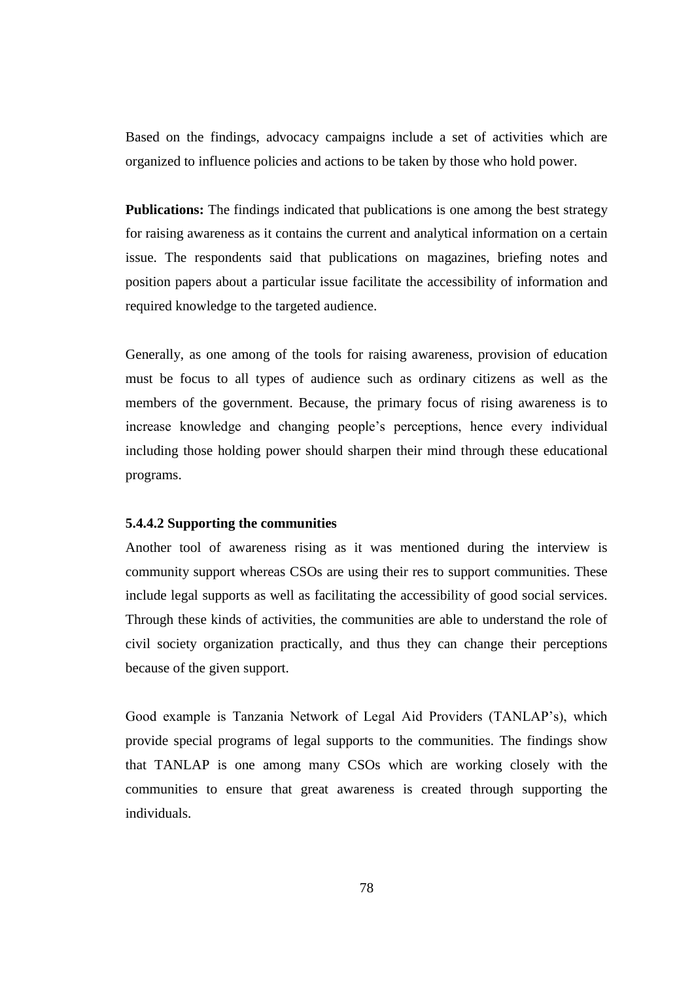Based on the findings, advocacy campaigns include a set of activities which are organized to influence policies and actions to be taken by those who hold power.

**Publications:** The findings indicated that publications is one among the best strategy for raising awareness as it contains the current and analytical information on a certain issue. The respondents said that publications on magazines, briefing notes and position papers about a particular issue facilitate the accessibility of information and required knowledge to the targeted audience.

Generally, as one among of the tools for raising awareness, provision of education must be focus to all types of audience such as ordinary citizens as well as the members of the government. Because, the primary focus of rising awareness is to increase knowledge and changing people's perceptions, hence every individual including those holding power should sharpen their mind through these educational programs.

#### **5.4.4.2 Supporting the communities**

Another tool of awareness rising as it was mentioned during the interview is community support whereas CSOs are using their res to support communities. These include legal supports as well as facilitating the accessibility of good social services. Through these kinds of activities, the communities are able to understand the role of civil society organization practically, and thus they can change their perceptions because of the given support.

Good example is Tanzania Network of Legal Aid Providers (TANLAP's), which provide special programs of legal supports to the communities. The findings show that TANLAP is one among many CSOs which are working closely with the communities to ensure that great awareness is created through supporting the individuals.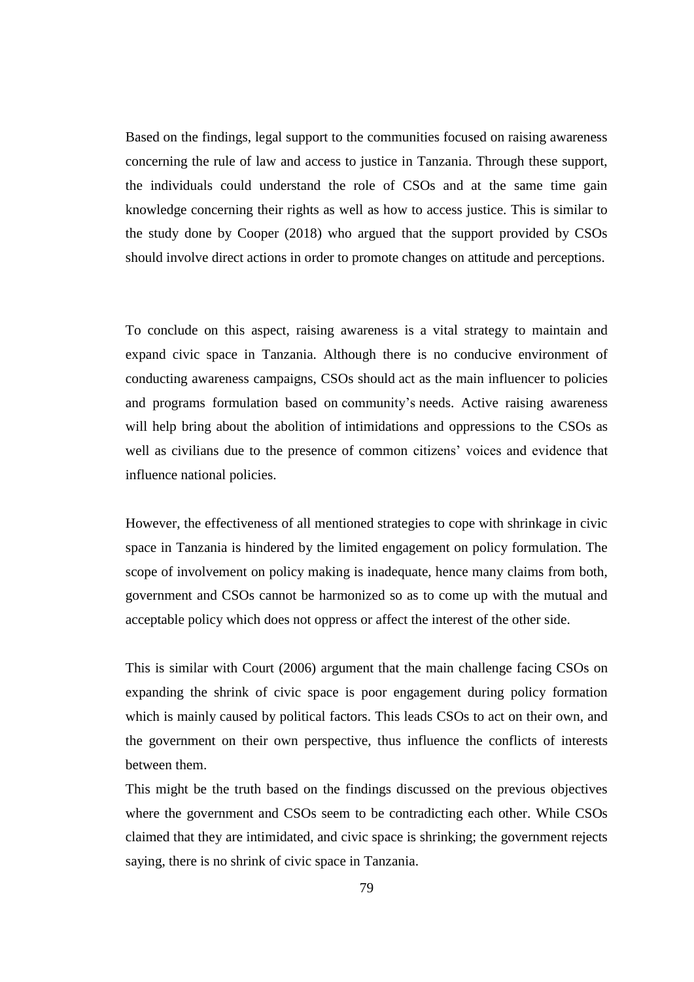Based on the findings, legal support to the communities focused on raising awareness concerning the rule of law and access to justice in Tanzania. Through these support, the individuals could understand the role of CSOs and at the same time gain knowledge concerning their rights as well as how to access justice. This is similar to the study done by Cooper (2018) who argued that the support provided by CSOs should involve direct actions in order to promote changes on attitude and perceptions.

To conclude on this aspect, raising awareness is a vital strategy to maintain and expand civic space in Tanzania. Although there is no conducive environment of conducting awareness campaigns, CSOs should act as the main influencer to policies and programs formulation based on community's needs. Active raising awareness will help bring about the abolition of intimidations and oppressions to the CSOs as well as civilians due to the presence of common citizens' voices and evidence that influence national policies.

However, the effectiveness of all mentioned strategies to cope with shrinkage in civic space in Tanzania is hindered by the limited engagement on policy formulation. The scope of involvement on policy making is inadequate, hence many claims from both, government and CSOs cannot be harmonized so as to come up with the mutual and acceptable policy which does not oppress or affect the interest of the other side.

This is similar with Court (2006) argument that the main challenge facing CSOs on expanding the shrink of civic space is poor engagement during policy formation which is mainly caused by political factors. This leads CSOs to act on their own, and the government on their own perspective, thus influence the conflicts of interests between them.

This might be the truth based on the findings discussed on the previous objectives where the government and CSOs seem to be contradicting each other. While CSOs claimed that they are intimidated, and civic space is shrinking; the government rejects saying, there is no shrink of civic space in Tanzania.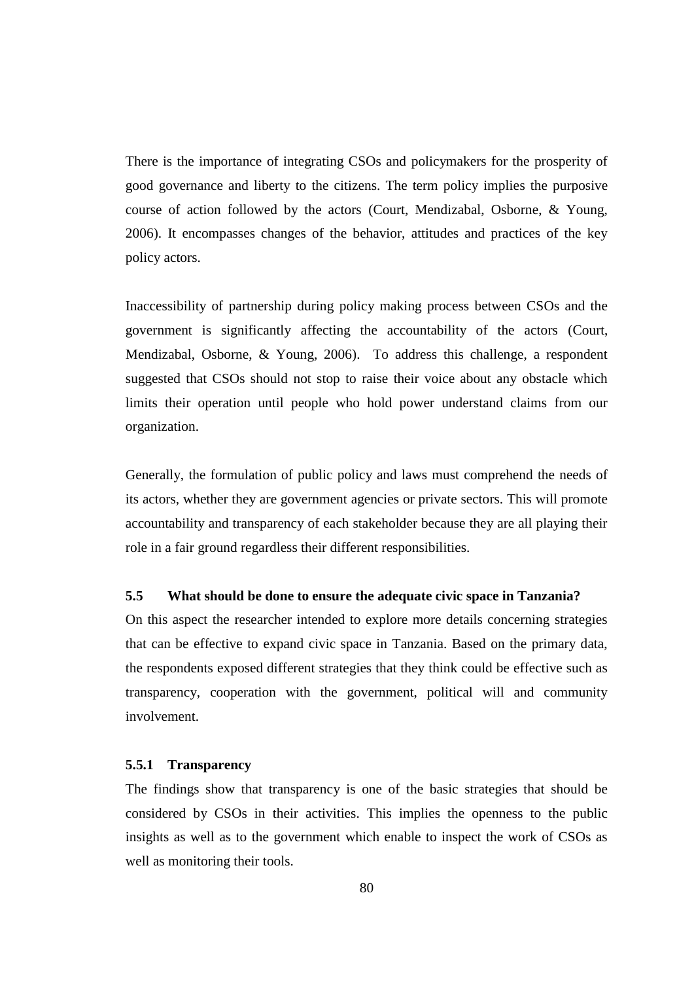There is the importance of integrating CSOs and policymakers for the prosperity of good governance and liberty to the citizens. The term policy implies the purposive course of action followed by the actors (Court, Mendizabal, Osborne, & Young, 2006). It encompasses changes of the behavior, attitudes and practices of the key policy actors.

Inaccessibility of partnership during policy making process between CSOs and the government is significantly affecting the accountability of the actors (Court, Mendizabal, Osborne, & Young, 2006). To address this challenge, a respondent suggested that CSOs should not stop to raise their voice about any obstacle which limits their operation until people who hold power understand claims from our organization.

Generally, the formulation of public policy and laws must comprehend the needs of its actors, whether they are government agencies or private sectors. This will promote accountability and transparency of each stakeholder because they are all playing their role in a fair ground regardless their different responsibilities.

# **5.5 What should be done to ensure the adequate civic space in Tanzania?**

On this aspect the researcher intended to explore more details concerning strategies that can be effective to expand civic space in Tanzania. Based on the primary data, the respondents exposed different strategies that they think could be effective such as transparency, cooperation with the government, political will and community involvement.

#### **5.5.1 Transparency**

The findings show that transparency is one of the basic strategies that should be considered by CSOs in their activities. This implies the openness to the public insights as well as to the government which enable to inspect the work of CSOs as well as monitoring their tools.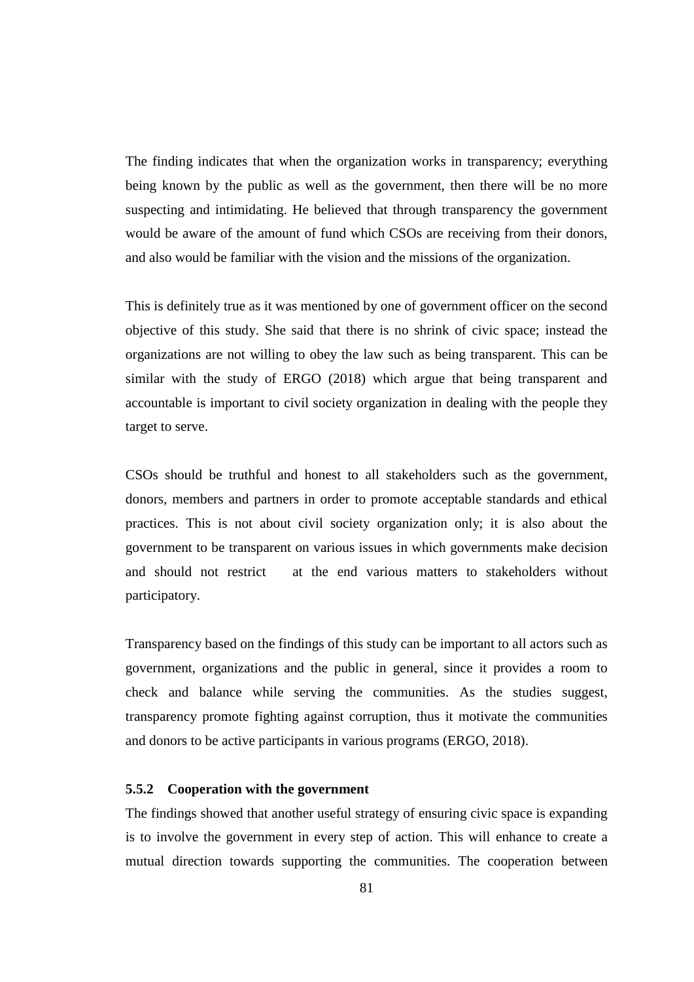The finding indicates that when the organization works in transparency; everything being known by the public as well as the government, then there will be no more suspecting and intimidating. He believed that through transparency the government would be aware of the amount of fund which CSOs are receiving from their donors, and also would be familiar with the vision and the missions of the organization.

This is definitely true as it was mentioned by one of government officer on the second objective of this study. She said that there is no shrink of civic space; instead the organizations are not willing to obey the law such as being transparent. This can be similar with the study of ERGO (2018) which argue that being transparent and accountable is important to civil society organization in dealing with the people they target to serve.

CSOs should be truthful and honest to all stakeholders such as the government, donors, members and partners in order to promote acceptable standards and ethical practices. This is not about civil society organization only; it is also about the government to be transparent on various issues in which governments make decision and should not restrict at the end various matters to stakeholders without participatory.

Transparency based on the findings of this study can be important to all actors such as government, organizations and the public in general, since it provides a room to check and balance while serving the communities. As the studies suggest, transparency promote fighting against corruption, thus it motivate the communities and donors to be active participants in various programs (ERGO, 2018).

## **5.5.2 Cooperation with the government**

The findings showed that another useful strategy of ensuring civic space is expanding is to involve the government in every step of action. This will enhance to create a mutual direction towards supporting the communities. The cooperation between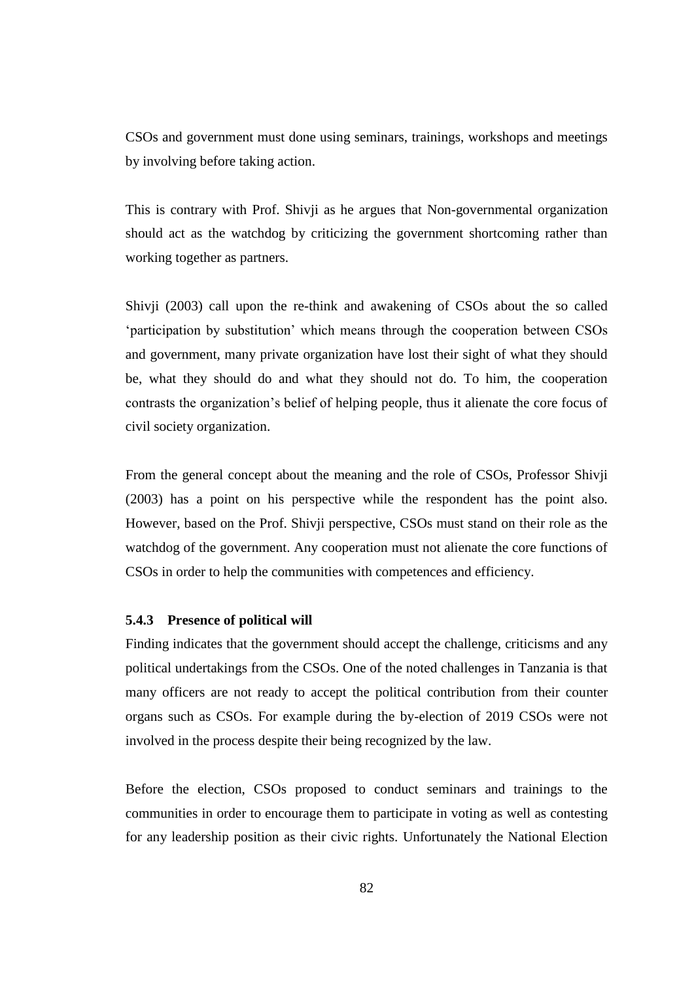CSOs and government must done using seminars, trainings, workshops and meetings by involving before taking action.

This is contrary with Prof. Shivji as he argues that Non-governmental organization should act as the watchdog by criticizing the government shortcoming rather than working together as partners.

Shivji (2003) call upon the re-think and awakening of CSOs about the so called 'participation by substitution' which means through the cooperation between CSOs and government, many private organization have lost their sight of what they should be, what they should do and what they should not do. To him, the cooperation contrasts the organization's belief of helping people, thus it alienate the core focus of civil society organization.

From the general concept about the meaning and the role of CSOs, Professor Shivji (2003) has a point on his perspective while the respondent has the point also. However, based on the Prof. Shivji perspective, CSOs must stand on their role as the watchdog of the government. Any cooperation must not alienate the core functions of CSOs in order to help the communities with competences and efficiency.

## **5.4.3 Presence of political will**

Finding indicates that the government should accept the challenge, criticisms and any political undertakings from the CSOs. One of the noted challenges in Tanzania is that many officers are not ready to accept the political contribution from their counter organs such as CSOs. For example during the by-election of 2019 CSOs were not involved in the process despite their being recognized by the law.

Before the election, CSOs proposed to conduct seminars and trainings to the communities in order to encourage them to participate in voting as well as contesting for any leadership position as their civic rights. Unfortunately the National Election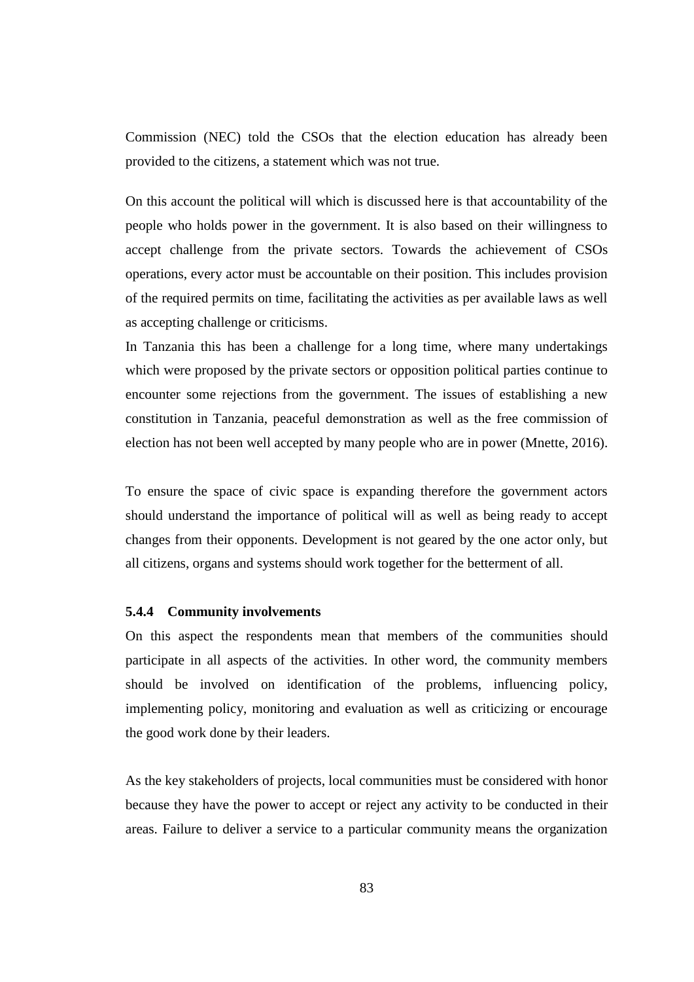Commission (NEC) told the CSOs that the election education has already been provided to the citizens, a statement which was not true.

On this account the political will which is discussed here is that accountability of the people who holds power in the government. It is also based on their willingness to accept challenge from the private sectors. Towards the achievement of CSOs operations, every actor must be accountable on their position. This includes provision of the required permits on time, facilitating the activities as per available laws as well as accepting challenge or criticisms.

In Tanzania this has been a challenge for a long time, where many undertakings which were proposed by the private sectors or opposition political parties continue to encounter some rejections from the government. The issues of establishing a new constitution in Tanzania, peaceful demonstration as well as the free commission of election has not been well accepted by many people who are in power (Mnette, 2016).

To ensure the space of civic space is expanding therefore the government actors should understand the importance of political will as well as being ready to accept changes from their opponents. Development is not geared by the one actor only, but all citizens, organs and systems should work together for the betterment of all.

#### **5.4.4 Community involvements**

On this aspect the respondents mean that members of the communities should participate in all aspects of the activities. In other word, the community members should be involved on identification of the problems, influencing policy, implementing policy, monitoring and evaluation as well as criticizing or encourage the good work done by their leaders.

As the key stakeholders of projects, local communities must be considered with honor because they have the power to accept or reject any activity to be conducted in their areas. Failure to deliver a service to a particular community means the organization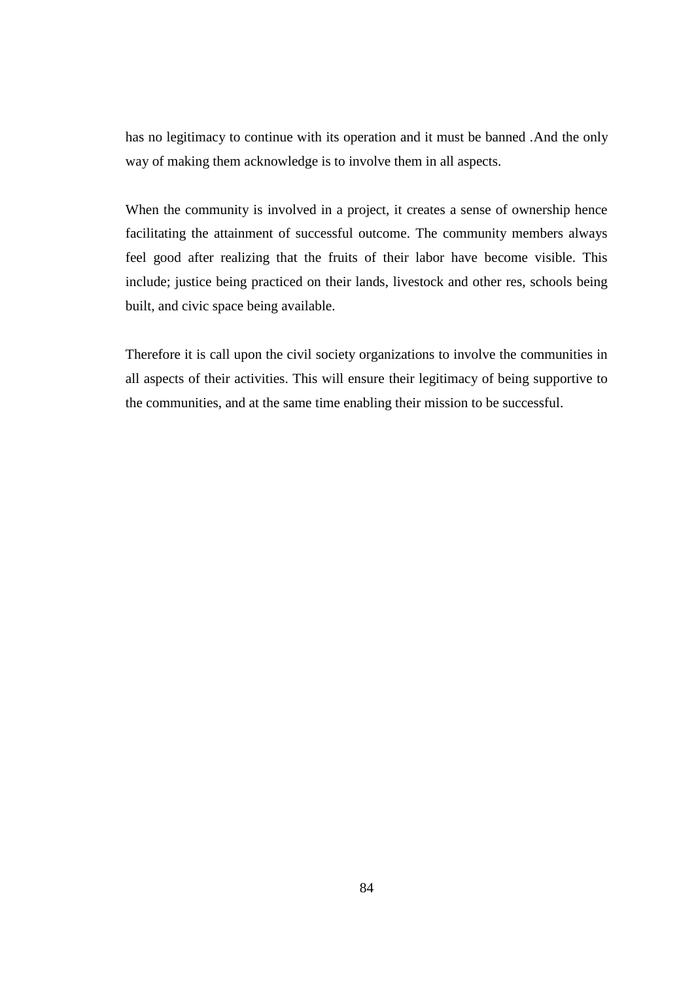has no legitimacy to continue with its operation and it must be banned .And the only way of making them acknowledge is to involve them in all aspects.

When the community is involved in a project, it creates a sense of ownership hence facilitating the attainment of successful outcome. The community members always feel good after realizing that the fruits of their labor have become visible. This include; justice being practiced on their lands, livestock and other res, schools being built, and civic space being available.

Therefore it is call upon the civil society organizations to involve the communities in all aspects of their activities. This will ensure their legitimacy of being supportive to the communities, and at the same time enabling their mission to be successful.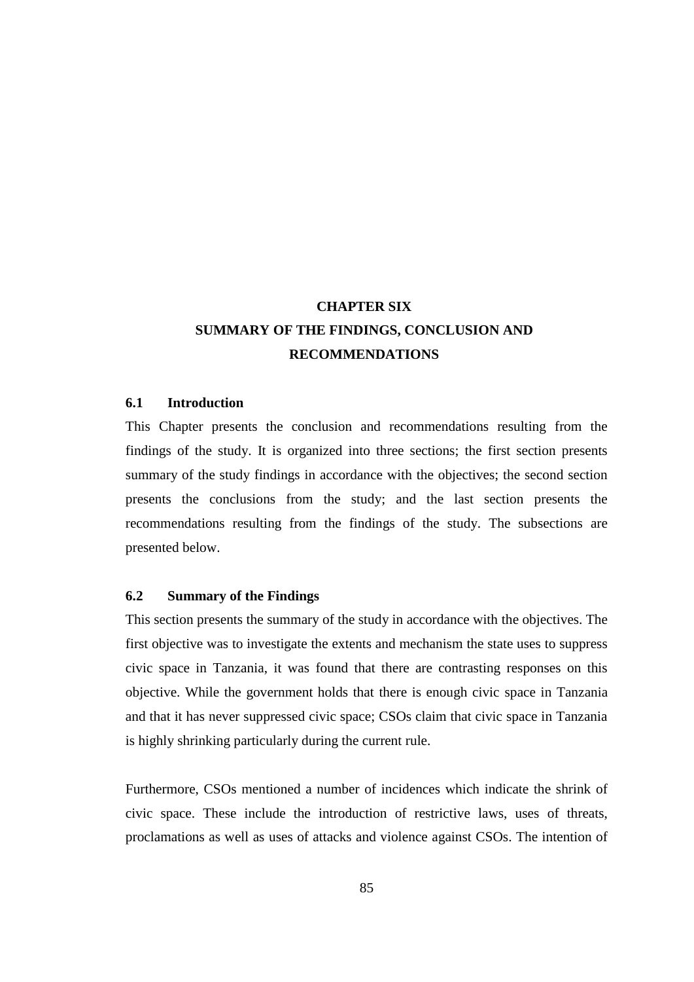# **CHAPTER SIX SUMMARY OF THE FINDINGS, CONCLUSION AND RECOMMENDATIONS**

## **6.1 Introduction**

This Chapter presents the conclusion and recommendations resulting from the findings of the study. It is organized into three sections; the first section presents summary of the study findings in accordance with the objectives; the second section presents the conclusions from the study; and the last section presents the recommendations resulting from the findings of the study. The subsections are presented below.

# **6.2 Summary of the Findings**

This section presents the summary of the study in accordance with the objectives. The first objective was to investigate the extents and mechanism the state uses to suppress civic space in Tanzania, it was found that there are contrasting responses on this objective. While the government holds that there is enough civic space in Tanzania and that it has never suppressed civic space; CSOs claim that civic space in Tanzania is highly shrinking particularly during the current rule.

Furthermore, CSOs mentioned a number of incidences which indicate the shrink of civic space. These include the introduction of restrictive laws, uses of threats, proclamations as well as uses of attacks and violence against CSOs. The intention of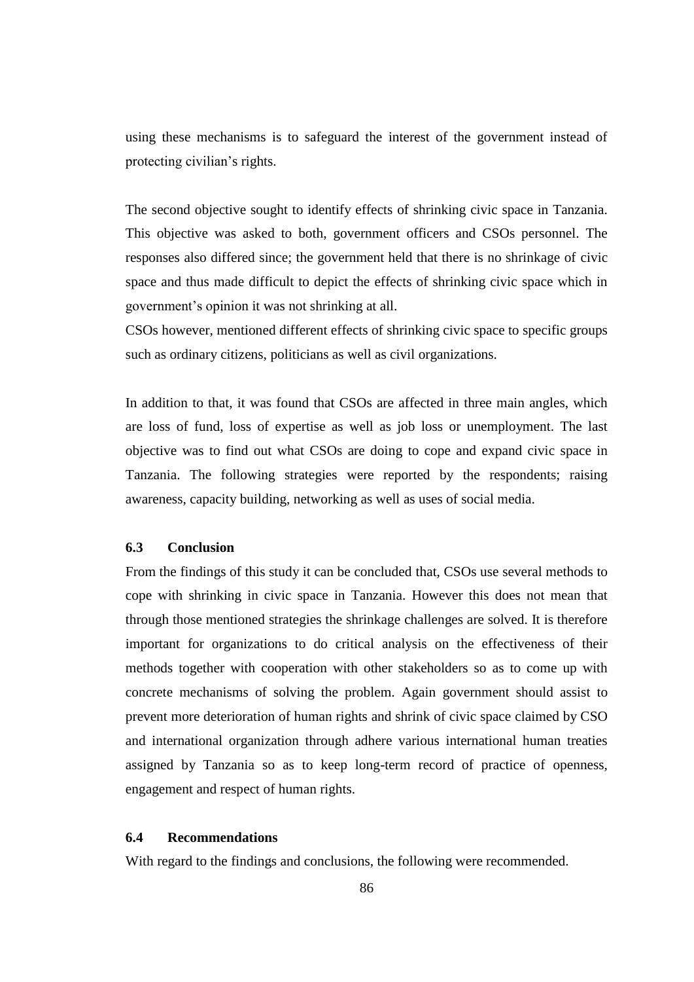using these mechanisms is to safeguard the interest of the government instead of protecting civilian's rights.

The second objective sought to identify effects of shrinking civic space in Tanzania. This objective was asked to both, government officers and CSOs personnel. The responses also differed since; the government held that there is no shrinkage of civic space and thus made difficult to depict the effects of shrinking civic space which in government's opinion it was not shrinking at all.

CSOs however, mentioned different effects of shrinking civic space to specific groups such as ordinary citizens, politicians as well as civil organizations.

In addition to that, it was found that CSOs are affected in three main angles, which are loss of fund, loss of expertise as well as job loss or unemployment. The last objective was to find out what CSOs are doing to cope and expand civic space in Tanzania. The following strategies were reported by the respondents; raising awareness, capacity building, networking as well as uses of social media.

# **6.3 Conclusion**

From the findings of this study it can be concluded that, CSOs use several methods to cope with shrinking in civic space in Tanzania. However this does not mean that through those mentioned strategies the shrinkage challenges are solved. It is therefore important for organizations to do critical analysis on the effectiveness of their methods together with cooperation with other stakeholders so as to come up with concrete mechanisms of solving the problem. Again government should assist to prevent more deterioration of human rights and shrink of civic space claimed by CSO and international organization through adhere various international human treaties assigned by Tanzania so as to keep long-term record of practice of openness, engagement and respect of human rights.

## **6.4 Recommendations**

With regard to the findings and conclusions, the following were recommended.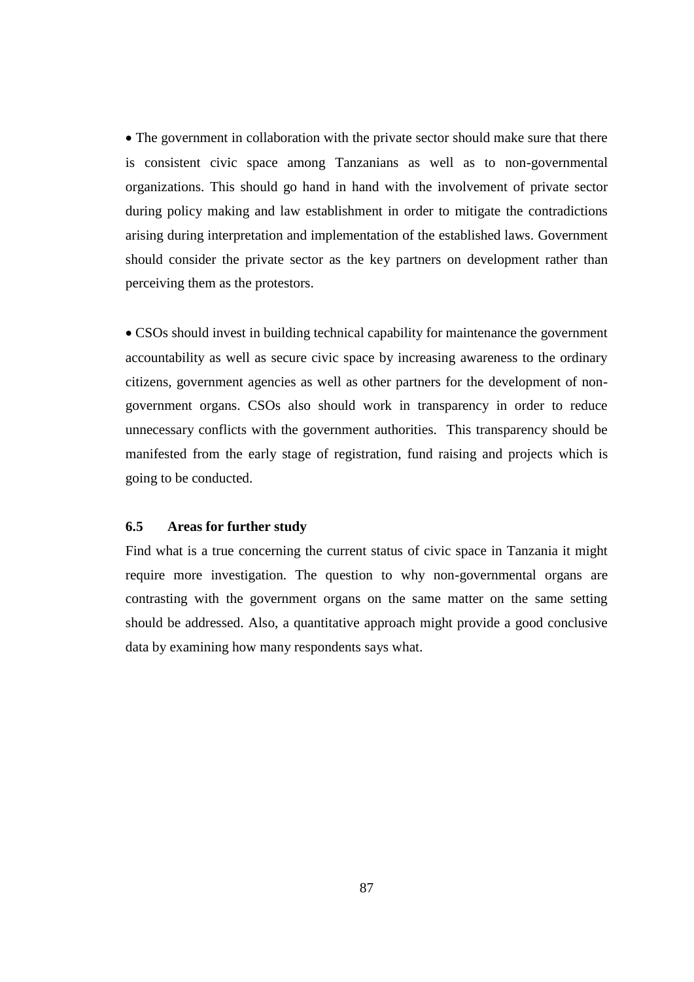• The government in collaboration with the private sector should make sure that there is consistent civic space among Tanzanians as well as to non-governmental organizations. This should go hand in hand with the involvement of private sector during policy making and law establishment in order to mitigate the contradictions arising during interpretation and implementation of the established laws. Government should consider the private sector as the key partners on development rather than perceiving them as the protestors.

 CSOs should invest in building technical capability for maintenance the government accountability as well as secure civic space by increasing awareness to the ordinary citizens, government agencies as well as other partners for the development of nongovernment organs. CSOs also should work in transparency in order to reduce unnecessary conflicts with the government authorities. This transparency should be manifested from the early stage of registration, fund raising and projects which is going to be conducted.

## **6.5 Areas for further study**

Find what is a true concerning the current status of civic space in Tanzania it might require more investigation. The question to why non-governmental organs are contrasting with the government organs on the same matter on the same setting should be addressed. Also, a quantitative approach might provide a good conclusive data by examining how many respondents says what.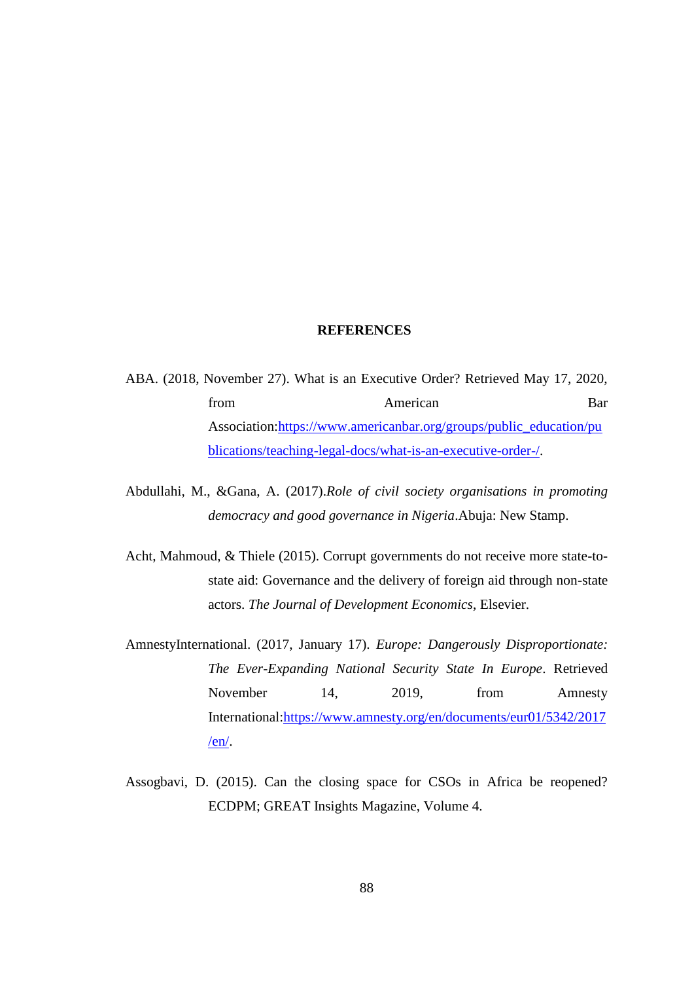#### **REFERENCES**

- ABA. (2018, November 27). What is an Executive Order? Retrieved May 17, 2020, from American Bar Association[:https://www.americanbar.org/groups/public\\_education/pu](https://www.americanbar.org/groups/public_education/publications/teaching-legal-docs/what-is-an-executive-order-/) [blications/teaching-legal-docs/what-is-an-executive-order-/.](https://www.americanbar.org/groups/public_education/publications/teaching-legal-docs/what-is-an-executive-order-/)
- Abdullahi, M., &Gana, A. (2017).*Role of civil society organisations in promoting democracy and good governance in Nigeria*.Abuja: New Stamp.
- Acht, Mahmoud, & Thiele (2015). Corrupt governments do not receive more state-tostate aid: Governance and the delivery of foreign aid through non-state actors. *The Journal of Development Economics*, Elsevier.
- AmnestyInternational. (2017, January 17). *Europe: Dangerously Disproportionate: The Ever-Expanding National Security State In Europe*. Retrieved November 14, 2019, from Amnesty International[:https://www.amnesty.org/en/documents/eur01/5342/2017](https://www.amnesty.org/en/documents/eur01/5342/2017/en/) [/en/.](https://www.amnesty.org/en/documents/eur01/5342/2017/en/)
- Assogbavi, D. (2015). Can the closing space for CSOs in Africa be reopened? ECDPM; GREAT Insights Magazine, Volume 4.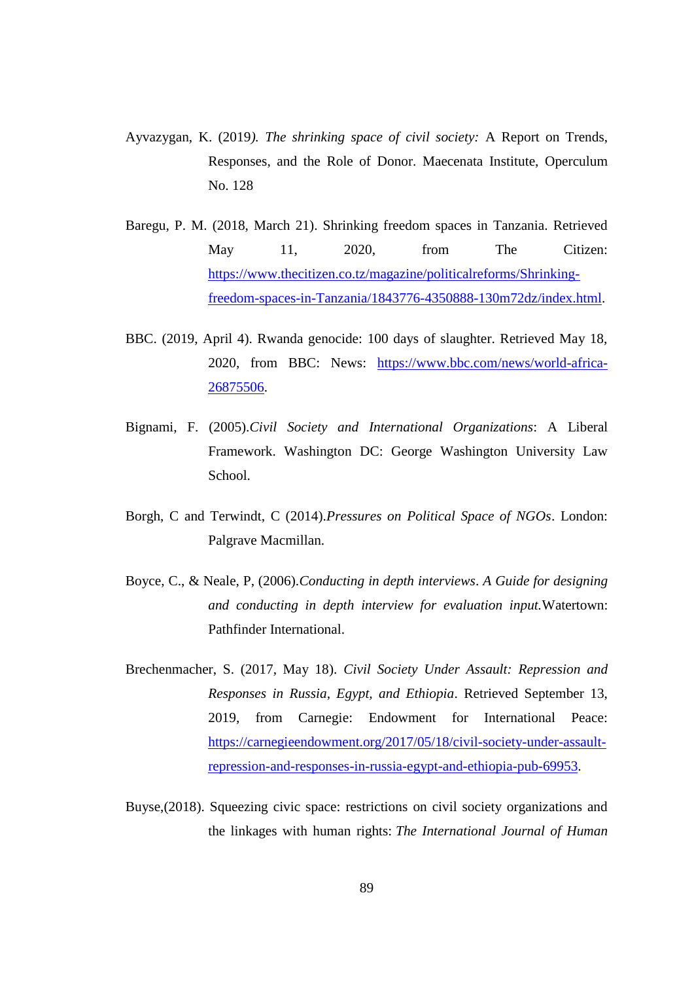- Ayvazygan, K. (2019*). The shrinking space of civil society:* A Report on Trends, Responses, and the Role of Donor. Maecenata Institute, Operculum No. 128
- Baregu, P. M. (2018, March 21). Shrinking freedom spaces in Tanzania. Retrieved May 11, 2020, from The Citizen: [https://www.thecitizen.co.tz/magazine/politicalreforms/Shrinking](https://www.thecitizen.co.tz/magazine/politicalreforms/Shrinking-freedom-spaces-in-Tanzania/1843776-4350888-130m72dz/index.html)[freedom-spaces-in-Tanzania/1843776-4350888-130m72dz/index.html.](https://www.thecitizen.co.tz/magazine/politicalreforms/Shrinking-freedom-spaces-in-Tanzania/1843776-4350888-130m72dz/index.html)
- BBC. (2019, April 4). Rwanda genocide: 100 days of slaughter. Retrieved May 18, 2020, from BBC: News: [https://www.bbc.com/news/world-africa-](https://www.bbc.com/news/world-africa-26875506)[26875506.](https://www.bbc.com/news/world-africa-26875506)
- Bignami, F. (2005).*Civil Society and International Organizations*: A Liberal Framework. Washington DC: George Washington University Law School.
- Borgh, C and Terwindt, C (2014).*Pressures on Political Space of NGOs*. London: Palgrave Macmillan.
- Boyce, C., & Neale, P, (2006).*Conducting in depth interviews*. *A Guide for designing and conducting in depth interview for evaluation input.*Watertown: Pathfinder International.
- Brechenmacher, S. (2017, May 18). *Civil Society Under Assault: Repression and Responses in Russia, Egypt, and Ethiopia*. Retrieved September 13, 2019, from Carnegie: Endowment for International Peace: [https://carnegieendowment.org/2017/05/18/civil-society-under-assault](https://carnegieendowment.org/2017/05/18/civil-society-under-assault-repression-and-responses-in-russia-egypt-and-ethiopia-pub-69953)[repression-and-responses-in-russia-egypt-and-ethiopia-pub-69953.](https://carnegieendowment.org/2017/05/18/civil-society-under-assault-repression-and-responses-in-russia-egypt-and-ethiopia-pub-69953)
- Buyse,(2018). Squeezing civic space: restrictions on civil society organizations and the linkages with human rights: *The International Journal of Human*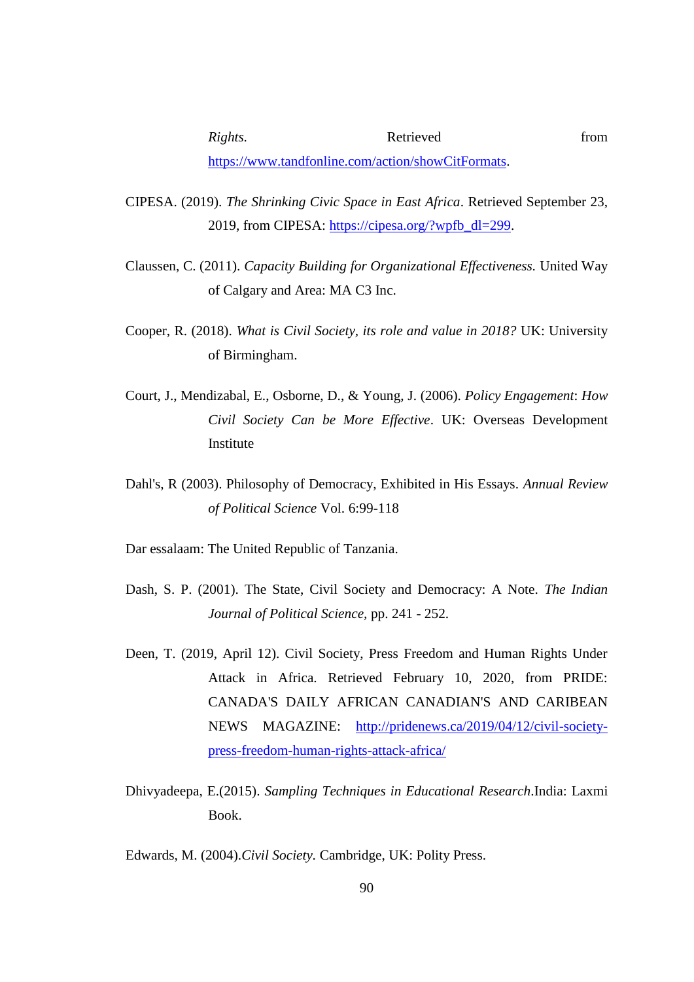- CIPESA. (2019). *The Shrinking Civic Space in East Africa*. Retrieved September 23, 2019, from CIPESA: [https://cipesa.org/?wpfb\\_dl=299.](https://cipesa.org/?wpfb_dl=299)
- Claussen, C. (2011). *Capacity Building for Organizational Effectiveness.* United Way of Calgary and Area: MA C3 Inc.
- Cooper, R. (2018). *What is Civil Society, its role and value in 2018?* UK: University of Birmingham.
- Court, J., Mendizabal, E., Osborne, D., & Young, J. (2006). *Policy Engagement*: *How Civil Society Can be More Effective*. UK: Overseas Development Institute
- Dahl's, R (2003). Philosophy of Democracy, Exhibited in His Essays. *Annual Review of Political Science* Vol. 6:99-118

Dar essalaam: The United Republic of Tanzania.

- Dash, S. P. (2001). The State, Civil Society and Democracy: A Note. *The Indian Journal of Political Science,* pp. 241 - 252.
- Deen, T. (2019, April 12). Civil Society, Press Freedom and Human Rights Under Attack in Africa. Retrieved February 10, 2020, from PRIDE: CANADA'S DAILY AFRICAN CANADIAN'S AND CARIBEAN NEWS MAGAZINE: [http://pridenews.ca/2019/04/12/civil-society](http://pridenews.ca/2019/04/12/civil-society-press-freedom-human-rights-attack-africa/)[press-freedom-human-rights-attack-africa/](http://pridenews.ca/2019/04/12/civil-society-press-freedom-human-rights-attack-africa/)
- Dhivyadeepa, E.(2015). *Sampling Techniques in Educational Research*.India: Laxmi Book.

Edwards, M. (2004).*Civil Society.* Cambridge, UK: Polity Press.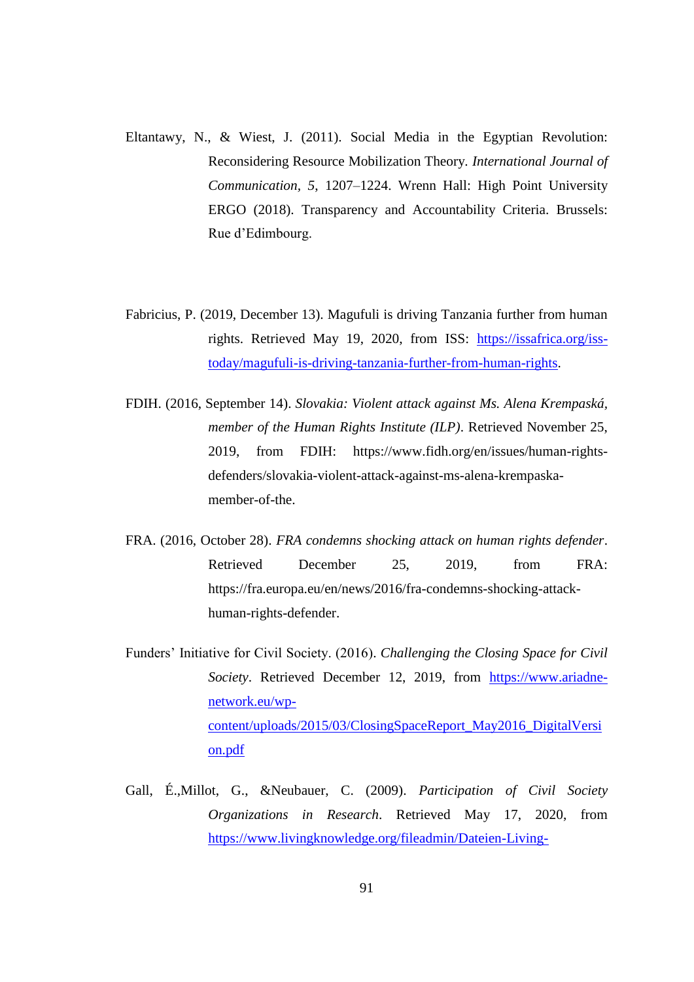- Eltantawy, N., & Wiest, J. (2011). Social Media in the Egyptian Revolution: Reconsidering Resource Mobilization Theory. *International Journal of Communication, 5*, 1207–1224. Wrenn Hall: High Point University ERGO (2018). Transparency and Accountability Criteria. Brussels: Rue d'Edimbourg.
- Fabricius, P. (2019, December 13). Magufuli is driving Tanzania further from human rights. Retrieved May 19, 2020, from ISS: [https://issafrica.org/iss](https://issafrica.org/iss-today/magufuli-is-driving-tanzania-further-from-human-rights)[today/magufuli-is-driving-tanzania-further-from-human-rights.](https://issafrica.org/iss-today/magufuli-is-driving-tanzania-further-from-human-rights)
- FDIH. (2016, September 14). *Slovakia: Violent attack against Ms. Alena Krempaská, member of the Human Rights Institute (ILP)*. Retrieved November 25, 2019, from FDIH: https://www.fidh.org/en/issues/human-rightsdefenders/slovakia-violent-attack-against-ms-alena-krempaskamember-of-the.
- FRA. (2016, October 28). *FRA condemns shocking attack on human rights defender*. Retrieved December 25, 2019, from FRA: https://fra.europa.eu/en/news/2016/fra-condemns-shocking-attackhuman-rights-defender.
- Funders' Initiative for Civil Society. (2016). *Challenging the Closing Space for Civil Society*. Retrieved December 12, 2019, from [https://www.ariadne](https://www.ariadne-network.eu/wp-content/uploads/2015/03/ClosingSpaceReport_May2016_DigitalVersion.pdf)[network.eu/wp](https://www.ariadne-network.eu/wp-content/uploads/2015/03/ClosingSpaceReport_May2016_DigitalVersion.pdf)[content/uploads/2015/03/ClosingSpaceReport\\_May2016\\_DigitalVersi](https://www.ariadne-network.eu/wp-content/uploads/2015/03/ClosingSpaceReport_May2016_DigitalVersion.pdf) [on.pdf](https://www.ariadne-network.eu/wp-content/uploads/2015/03/ClosingSpaceReport_May2016_DigitalVersion.pdf)
- Gall, É.,Millot, G., &Neubauer, C. (2009). *Participation of Civil Society Organizations in Research*. Retrieved May 17, 2020, from [https://www.livingknowledge.org/fileadmin/Dateien-Living-](https://www.livingknowledge.org/fileadmin/Dateien-Living-Knowledge/Library/Project_reports/STACS_Final_Report-Partic.research_2009.pdf)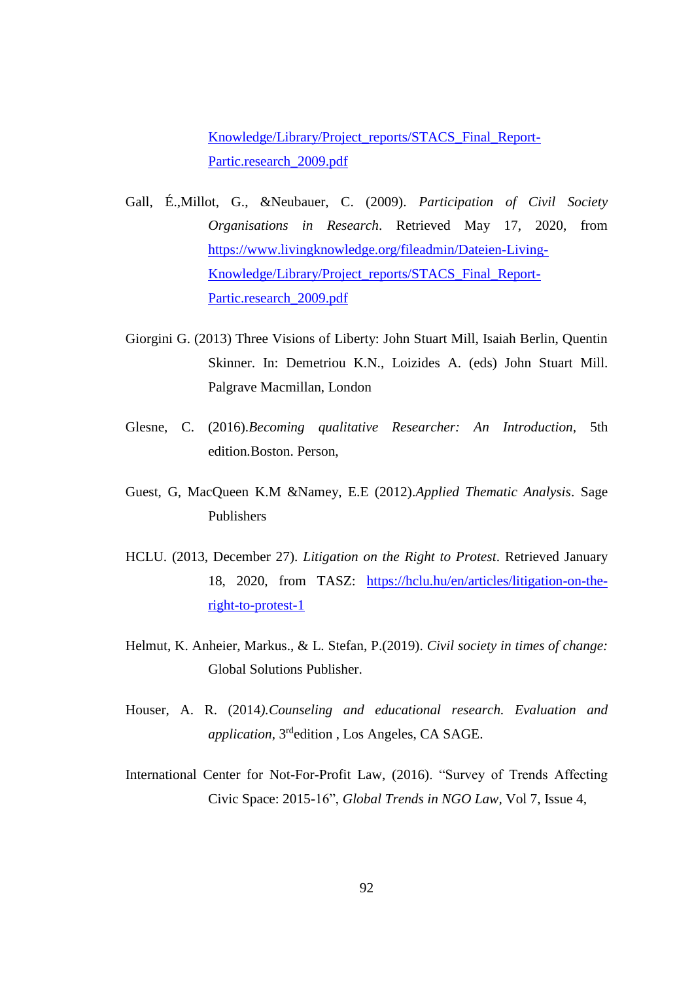[Knowledge/Library/Project\\_reports/STACS\\_Final\\_Report-](https://www.livingknowledge.org/fileadmin/Dateien-Living-Knowledge/Library/Project_reports/STACS_Final_Report-Partic.research_2009.pdf)[Partic.research\\_2009.pdf](https://www.livingknowledge.org/fileadmin/Dateien-Living-Knowledge/Library/Project_reports/STACS_Final_Report-Partic.research_2009.pdf)

- Gall, É.,Millot, G., &Neubauer, C. (2009). *Participation of Civil Society Organisations in Research*. Retrieved May 17, 2020, from [https://www.livingknowledge.org/fileadmin/Dateien-Living-](https://www.livingknowledge.org/fileadmin/Dateien-Living-Knowledge/Library/Project_reports/STACS_Final_Report-Partic.research_2009.pdf)[Knowledge/Library/Project\\_reports/STACS\\_Final\\_Report-](https://www.livingknowledge.org/fileadmin/Dateien-Living-Knowledge/Library/Project_reports/STACS_Final_Report-Partic.research_2009.pdf)[Partic.research\\_2009.pdf](https://www.livingknowledge.org/fileadmin/Dateien-Living-Knowledge/Library/Project_reports/STACS_Final_Report-Partic.research_2009.pdf)
- Giorgini G. (2013) Three Visions of Liberty: John Stuart Mill, Isaiah Berlin, Quentin Skinner. In: Demetriou K.N., Loizides A. (eds) John Stuart Mill. Palgrave Macmillan, London
- Glesne, C. (2016).*Becoming qualitative Researcher: An Introduction,* 5th edition*.*Boston. Person,
- Guest, G, MacQueen K.M &Namey, E.E (2012).*Applied Thematic Analysis*. Sage Publishers
- HCLU. (2013, December 27). *Litigation on the Right to Protest*. Retrieved January 18, 2020, from TASZ: [https://hclu.hu/en/articles/litigation-on-the](https://hclu.hu/en/articles/litigation-on-the-right-to-protest-1)[right-to-protest-1](https://hclu.hu/en/articles/litigation-on-the-right-to-protest-1)
- Helmut, K. Anheier, Markus., & L. Stefan, P.(2019). *Civil society in times of change:*  Global Solutions Publisher.
- Houser, A. R. (2014*).Counseling and educational research. Evaluation and*  application, 3<sup>rd</sup>edition, Los Angeles, CA SAGE.
- International Center for Not-For-Profit Law, (2016). "Survey of Trends Affecting Civic Space: 2015-16", *Global Trends in NGO Law,* Vol 7, Issue 4,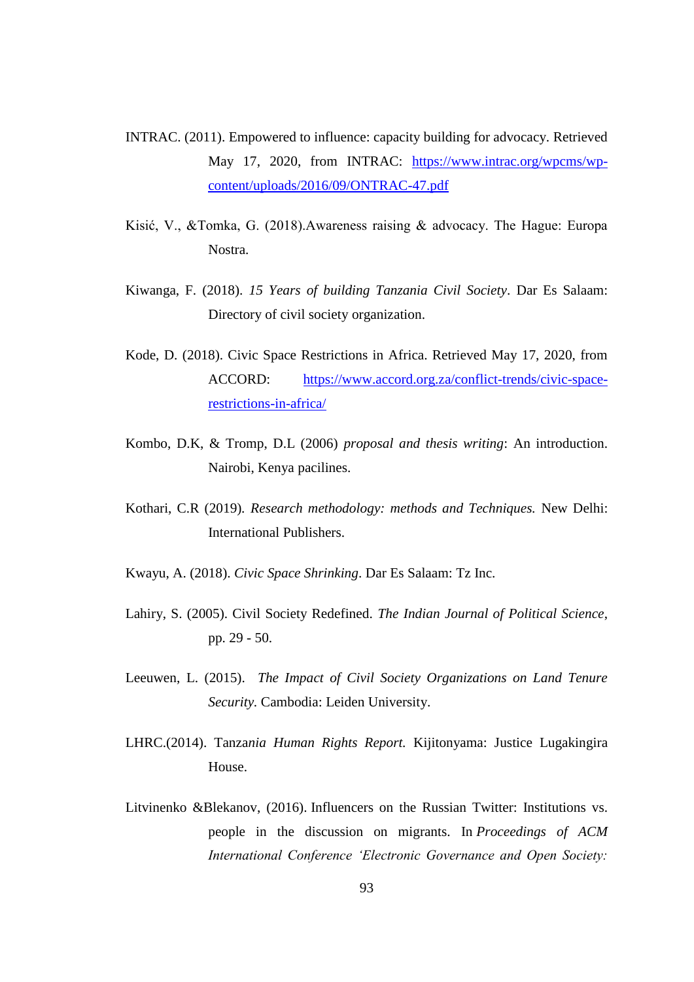- INTRAC. (2011). Empowered to influence: capacity building for advocacy. Retrieved May 17, 2020, from INTRAC: [https://www.intrac.org/wpcms/wp](https://www.intrac.org/wpcms/wp-content/uploads/2016/09/ONTRAC-47.pdf)[content/uploads/2016/09/ONTRAC-47.pdf](https://www.intrac.org/wpcms/wp-content/uploads/2016/09/ONTRAC-47.pdf)
- Kisić, V., &Tomka, G. (2018).Awareness raising & advocacy. The Hague: Europa Nostra.
- Kiwanga, F. (2018). *15 Years of building Tanzania Civil Society*. Dar Es Salaam: Directory of civil society organization.
- Kode, D. (2018). Civic Space Restrictions in Africa. Retrieved May 17, 2020, from ACCORD: [https://www.accord.org.za/conflict-trends/civic-space](https://www.accord.org.za/conflict-trends/civic-space-restrictions-in-africa/)[restrictions-in-africa/](https://www.accord.org.za/conflict-trends/civic-space-restrictions-in-africa/)
- Kombo, D.K, & Tromp, D.L (2006) *proposal and thesis writing*: An introduction. Nairobi, Kenya pacilines.
- Kothari, C.R (2019)*. Research methodology: methods and Techniques.* New Delhi: International Publishers.
- Kwayu, A. (2018). *Civic Space Shrinking*. Dar Es Salaam: Tz Inc.
- Lahiry, S. (2005). Civil Society Redefined. *The Indian Journal of Political Science*, pp. 29 - 50.
- Leeuwen, L. (2015). *The Impact of Civil Society Organizations on Land Tenure Security.* Cambodia: Leiden University.
- LHRC.(2014). Tanza*nia Human Rights Report.* Kijitonyama: Justice Lugakingira House.
- Litvinenko &Blekanov, (2016). Influencers on the Russian Twitter: Institutions vs. people in the discussion on migrants. In *Proceedings of ACM International Conference 'Electronic Governance and Open Society:*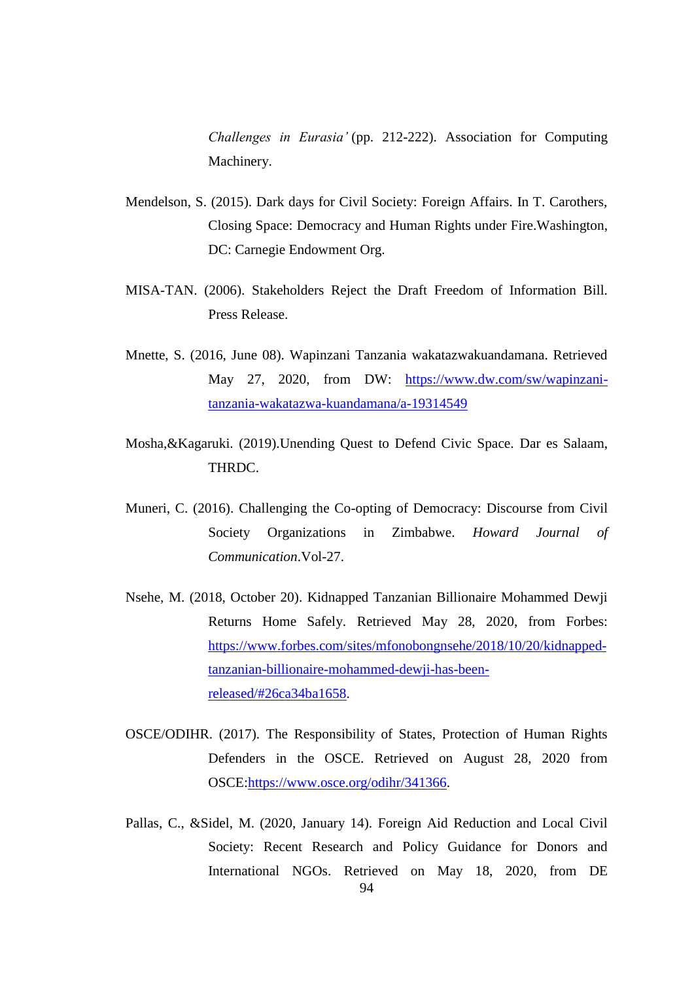*Challenges in Eurasia'* (pp. 212-222). Association for Computing Machinery.

- Mendelson, S. (2015). Dark days for Civil Society: Foreign Affairs. In T. Carothers, Closing Space: Democracy and Human Rights under Fire.Washington, DC: Carnegie Endowment Org.
- MISA-TAN. (2006). Stakeholders Reject the Draft Freedom of Information Bill. Press Release.
- Mnette, S. (2016, June 08). Wapinzani Tanzania wakatazwakuandamana. Retrieved May 27, 2020, from DW: [https://www.dw.com/sw/wapinzani](https://www.dw.com/sw/wapinzani-tanzania-wakatazwa-kuandamana/a-19314549)[tanzania-wakatazwa-kuandamana/a-19314549](https://www.dw.com/sw/wapinzani-tanzania-wakatazwa-kuandamana/a-19314549)
- Mosha,&Kagaruki. (2019).Unending Quest to Defend Civic Space. Dar es Salaam, THRDC.
- Muneri, C. (2016). Challenging the Co-opting of Democracy: Discourse from Civil Society Organizations in Zimbabwe. *Howard Journal of Communication*.Vol-27.
- Nsehe, M. (2018, October 20). Kidnapped Tanzanian Billionaire Mohammed Dewji Returns Home Safely. Retrieved May 28, 2020, from Forbes: [https://www.forbes.com/sites/mfonobongnsehe/2018/10/20/kidnapped](https://www.forbes.com/sites/mfonobongnsehe/2018/10/20/kidnapped-tanzanian-billionaire-mohammed-dewji-has-been-released/#26ca34ba1658)[tanzanian-billionaire-mohammed-dewji-has-been](https://www.forbes.com/sites/mfonobongnsehe/2018/10/20/kidnapped-tanzanian-billionaire-mohammed-dewji-has-been-released/#26ca34ba1658)[released/#26ca34ba1658.](https://www.forbes.com/sites/mfonobongnsehe/2018/10/20/kidnapped-tanzanian-billionaire-mohammed-dewji-has-been-released/#26ca34ba1658)
- OSCE/ODIHR. (2017). The Responsibility of States, Protection of Human Rights Defenders in the OSCE. Retrieved on August 28, 2020 from OSCE[:https://www.osce.org/odihr/341366.](https://www.osce.org/odihr/341366)
- 94 Pallas, C., &Sidel, M. (2020, January 14). Foreign Aid Reduction and Local Civil Society: Recent Research and Policy Guidance for Donors and International NGOs. Retrieved on May 18, 2020, from DE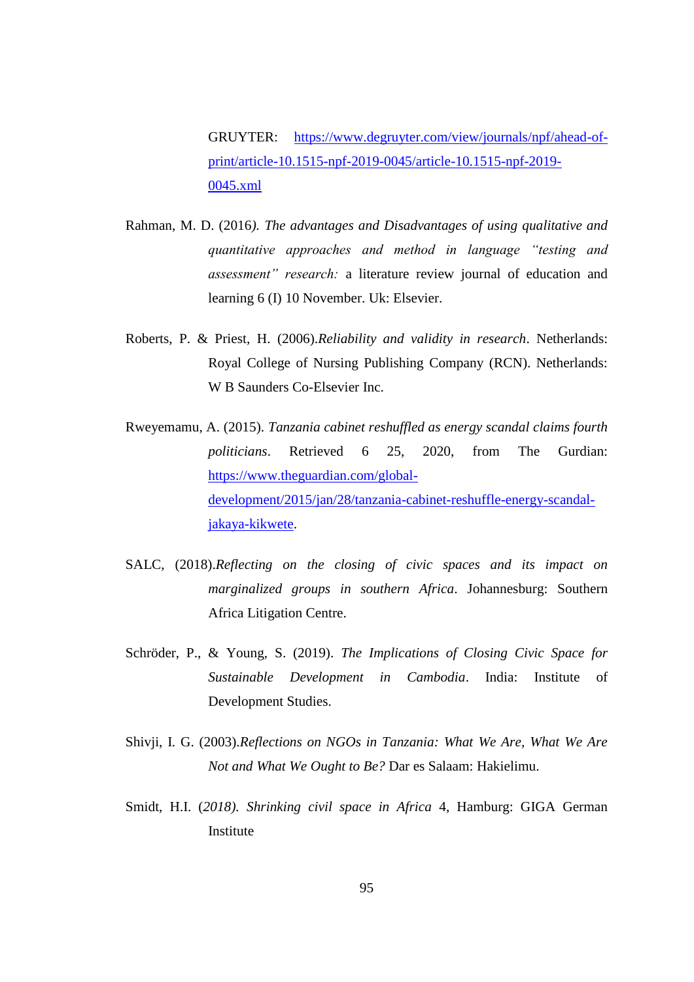GRUYTER: [https://www.degruyter.com/view/journals/npf/ahead-of](https://www.degruyter.com/view/journals/npf/ahead-of-print/article-10.1515-npf-2019-0045/article-10.1515-npf-2019-0045.xml)[print/article-10.1515-npf-2019-0045/article-10.1515-npf-2019-](https://www.degruyter.com/view/journals/npf/ahead-of-print/article-10.1515-npf-2019-0045/article-10.1515-npf-2019-0045.xml) [0045.xml](https://www.degruyter.com/view/journals/npf/ahead-of-print/article-10.1515-npf-2019-0045/article-10.1515-npf-2019-0045.xml)

- Rahman, M. D. (2016*). The advantages and Disadvantages of using qualitative and quantitative approaches and method in language "testing and assessment" research:* a literature review journal of education and learning 6 (I) 10 November. Uk: Elsevier.
- Roberts, P. & Priest, H. (2006).*Reliability and validity in research*. Netherlands: Royal College of Nursing Publishing Company (RCN). Netherlands: W B Saunders Co-Elsevier Inc.
- Rweyemamu, A. (2015). *Tanzania cabinet reshuffled as energy scandal claims fourth politicians*. Retrieved 6 25, 2020, from The Gurdian: [https://www.theguardian.com/global](https://www.theguardian.com/global-development/2015/jan/28/tanzania-cabinet-reshuffle-energy-scandal-jakaya-kikwete)[development/2015/jan/28/tanzania-cabinet-reshuffle-energy-scandal](https://www.theguardian.com/global-development/2015/jan/28/tanzania-cabinet-reshuffle-energy-scandal-jakaya-kikwete)[jakaya-kikwete.](https://www.theguardian.com/global-development/2015/jan/28/tanzania-cabinet-reshuffle-energy-scandal-jakaya-kikwete)
- SALC, (2018).*Reflecting on the closing of civic spaces and its impact on marginalized groups in southern Africa*. Johannesburg: Southern Africa Litigation Centre.
- Schröder, P., & Young, S. (2019). *The Implications of Closing Civic Space for Sustainable Development in Cambodia*. India: Institute of Development Studies.
- Shivji, I. G. (2003).*Reflections on NGOs in Tanzania: What We Are, What We Are Not and What We Ought to Be?* Dar es Salaam: Hakielimu.
- Smidt, H.I. (*2018). Shrinking civil space in Africa* 4, Hamburg: GIGA German Institute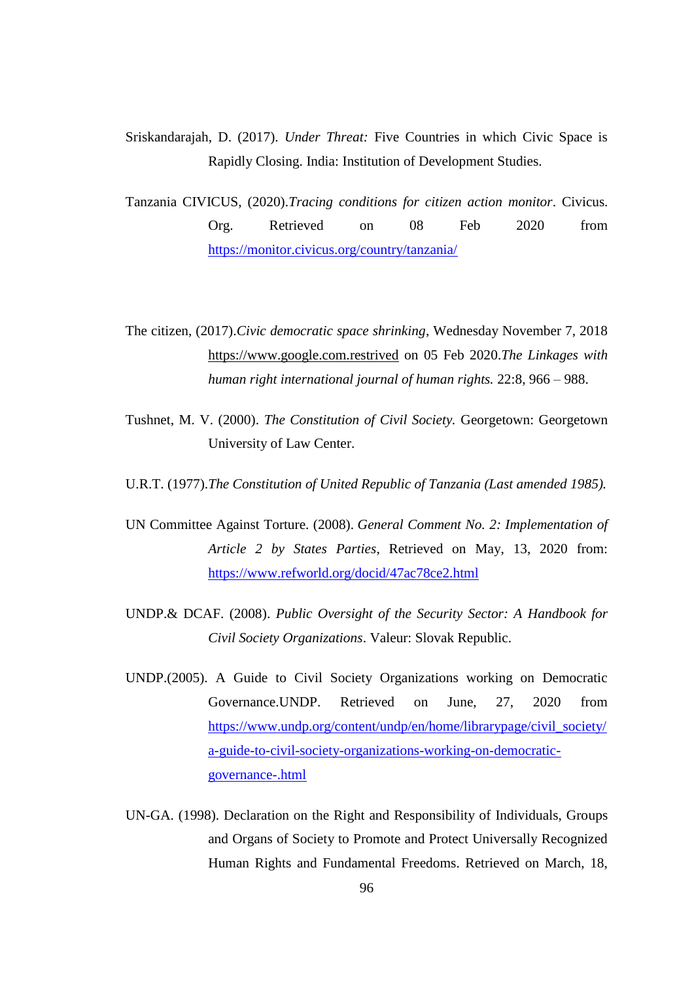- Sriskandarajah, D. (2017). *Under Threat:* Five Countries in which Civic Space is Rapidly Closing. India: Institution of Development Studies.
- Tanzania CIVICUS, (2020).*Tracing conditions for citizen action monitor*. Civicus. Org. Retrieved on 08 Feb 2020 from <https://monitor.civicus.org/country/tanzania/>
- The citizen, (2017).*Civic democratic space shrinking*, Wednesday November 7, 2018 [https://www.google.com.restrived](https://www.google.com.restrived/) on 05 Feb 2020.*The Linkages with human right international journal of human rights.* 22:8, 966 – 988.
- Tushnet, M. V. (2000). *The Constitution of Civil Society.* Georgetown: Georgetown University of Law Center.
- U.R.T. (1977).*The Constitution of United Republic of Tanzania (Last amended 1985).*
- UN Committee Against Torture. (2008). *General Comment No. 2: Implementation of Article 2 by States Parties*, Retrieved on May, 13, 2020 from: <https://www.refworld.org/docid/47ac78ce2.html>
- UNDP.& DCAF. (2008). *Public Oversight of the Security Sector: A Handbook for Civil Society Organizations*. Valeur: Slovak Republic.
- UNDP.(2005). A Guide to Civil Society Organizations working on Democratic Governance.UNDP. Retrieved on June, 27, 2020 from [https://www.undp.org/content/undp/en/home/librarypage/civil\\_society/](https://www.undp.org/content/undp/en/home/librarypage/civil_society/a-guide-to-civil-society-organizations-working-on-democratic-governance-.html) [a-guide-to-civil-society-organizations-working-on-democratic](https://www.undp.org/content/undp/en/home/librarypage/civil_society/a-guide-to-civil-society-organizations-working-on-democratic-governance-.html)[governance-.html](https://www.undp.org/content/undp/en/home/librarypage/civil_society/a-guide-to-civil-society-organizations-working-on-democratic-governance-.html)
- UN-GA. (1998). Declaration on the Right and Responsibility of Individuals, Groups and Organs of Society to Promote and Protect Universally Recognized Human Rights and Fundamental Freedoms. Retrieved on March, 18,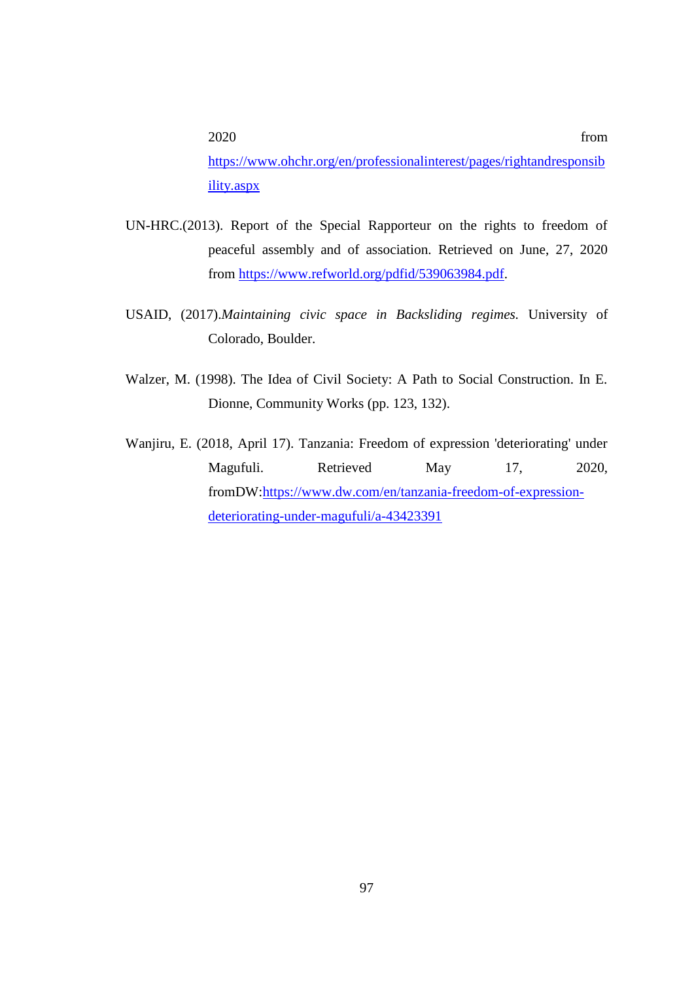2020 from [https://www.ohchr.org/en/professionalinterest/pages/rightandresponsib](https://www.ohchr.org/en/professionalinterest/pages/rightandresponsibility.aspx) [ility.aspx](https://www.ohchr.org/en/professionalinterest/pages/rightandresponsibility.aspx)

- UN-HRC.(2013). Report of the Special Rapporteur on the rights to freedom of peaceful assembly and of association. Retrieved on June, 27, 2020 from [https://www.refworld.org/pdfid/539063984.pdf.](https://www.refworld.org/pdfid/539063984.pdf)
- USAID, (2017).*Maintaining civic space in Backsliding regimes.* University of Colorado, Boulder.
- Walzer, M. (1998). The Idea of Civil Society: A Path to Social Construction. In E. Dionne, Community Works (pp. 123, 132).
- Wanjiru, E. (2018, April 17). Tanzania: Freedom of expression 'deteriorating' under Magufuli. Retrieved May 17, 2020, fromDW[:https://www.dw.com/en/tanzania-freedom-of-expression](https://www.dw.com/en/tanzania-freedom-of-expression-deteriorating-under-magufuli/a-43423391)[deteriorating-under-magufuli/a-43423391](https://www.dw.com/en/tanzania-freedom-of-expression-deteriorating-under-magufuli/a-43423391)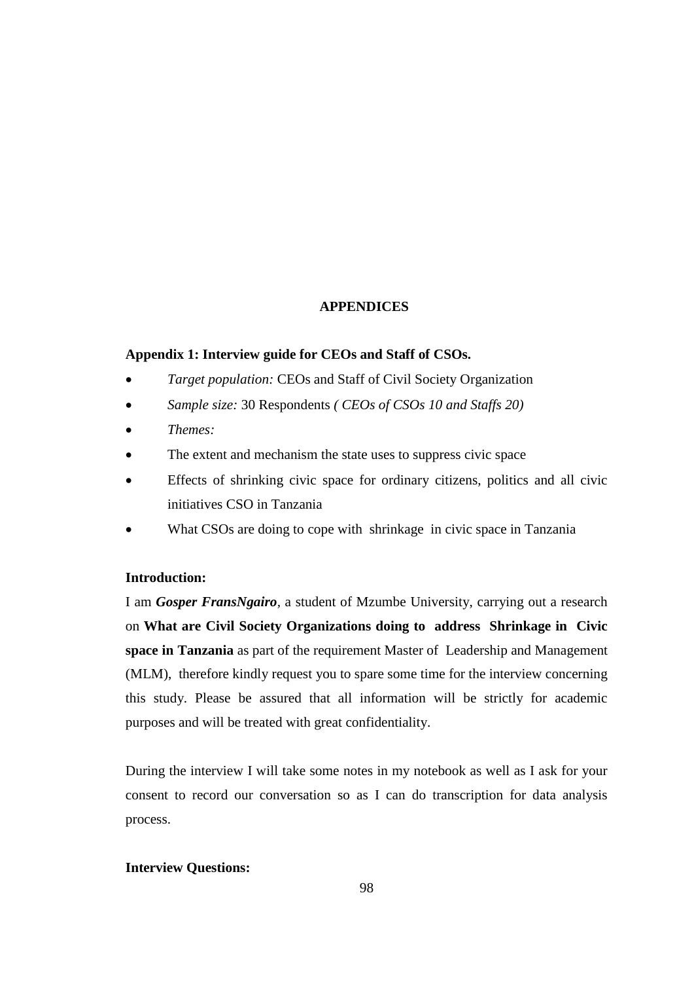## **APPENDICES**

## **Appendix 1: Interview guide for CEOs and Staff of CSOs.**

- *Target population:* CEOs and Staff of Civil Society Organization
- *Sample size:* 30 Respondents *( CEOs of CSOs 10 and Staffs 20)*
- *Themes:*
- The extent and mechanism the state uses to suppress civic space
- Effects of shrinking civic space for ordinary citizens, politics and all civic initiatives CSO in Tanzania
- What CSOs are doing to cope with shrinkage in civic space in Tanzania

## **Introduction:**

I am *Gosper FransNgairo,* a student of Mzumbe University, carrying out a research on **What are Civil Society Organizations doing to address Shrinkage in Civic space in Tanzania** as part of the requirement Master of Leadership and Management (MLM), therefore kindly request you to spare some time for the interview concerning this study. Please be assured that all information will be strictly for academic purposes and will be treated with great confidentiality.

During the interview I will take some notes in my notebook as well as I ask for your consent to record our conversation so as I can do transcription for data analysis process.

#### **Interview Questions:**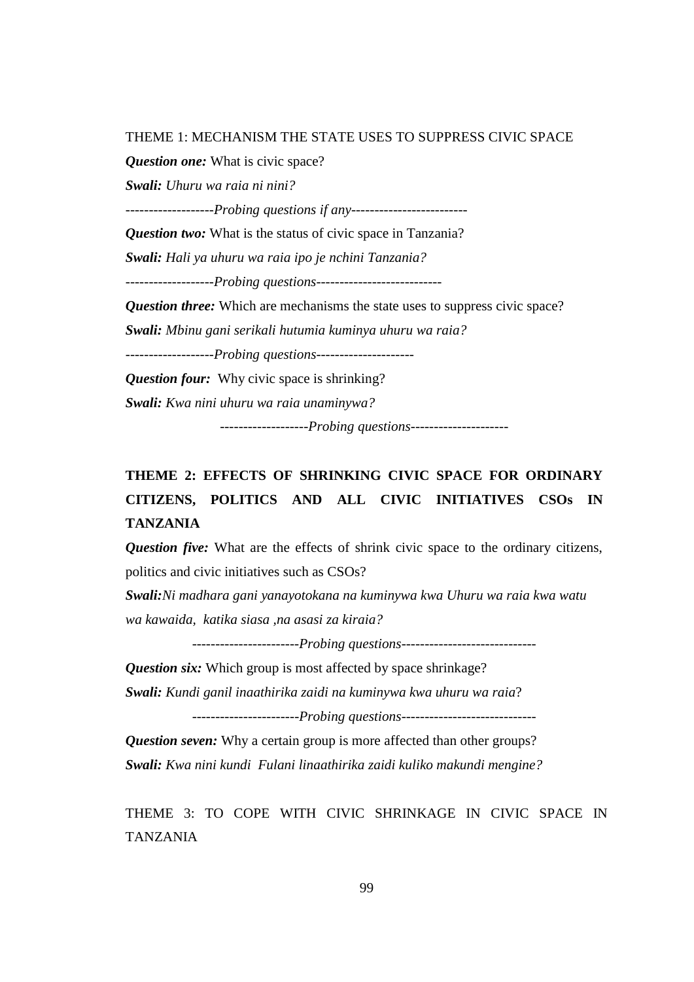THEME 1: MECHANISM THE STATE USES TO SUPPRESS CIVIC SPACE

*Question one:* What is civic space?

*Swali: Uhuru wa raia ni nini?*

-------------------*Probing questions if any*-------------------------

*Question two:* What is the status of civic space in Tanzania?

*Swali: Hali ya uhuru wa raia ipo je nchini Tanzania?*

-------------------*Probing questions*---------------------------

*Question three:* Which are mechanisms the state uses to suppress civic space?

*Swali: Mbinu gani serikali hutumia kuminya uhuru wa raia?*

-------------------*Probing questions*---------------------

*Question four:* Why civic space is shrinking?

*Swali: Kwa nini uhuru wa raia unaminywa?*

-------------------*Probing questions*---------------------

## **THEME 2: EFFECTS OF SHRINKING CIVIC SPACE FOR ORDINARY CITIZENS, POLITICS AND ALL CIVIC INITIATIVES CSOs IN TANZANIA**

**Question five:** What are the effects of shrink civic space to the ordinary citizens, politics and civic initiatives such as CSOs?

*Swali:Ni madhara gani yanayotokana na kuminywa kwa Uhuru wa raia kwa watu wa kawaida, katika siasa ,na asasi za kiraia?*

*-----------------------Probing questions-----------------------------*

*Question six:* Which group is most affected by space shrinkage?

*Swali: Kundi ganil inaathirika zaidi na kuminywa kwa uhuru wa raia*?

-----------------------*Probing questions*-----------------------------

*Question seven:* Why a certain group is more affected than other groups? *Swali: Kwa nini kundi Fulani linaathirika zaidi kuliko makundi mengine?*

THEME 3: TO COPE WITH CIVIC SHRINKAGE IN CIVIC SPACE IN TANZANIA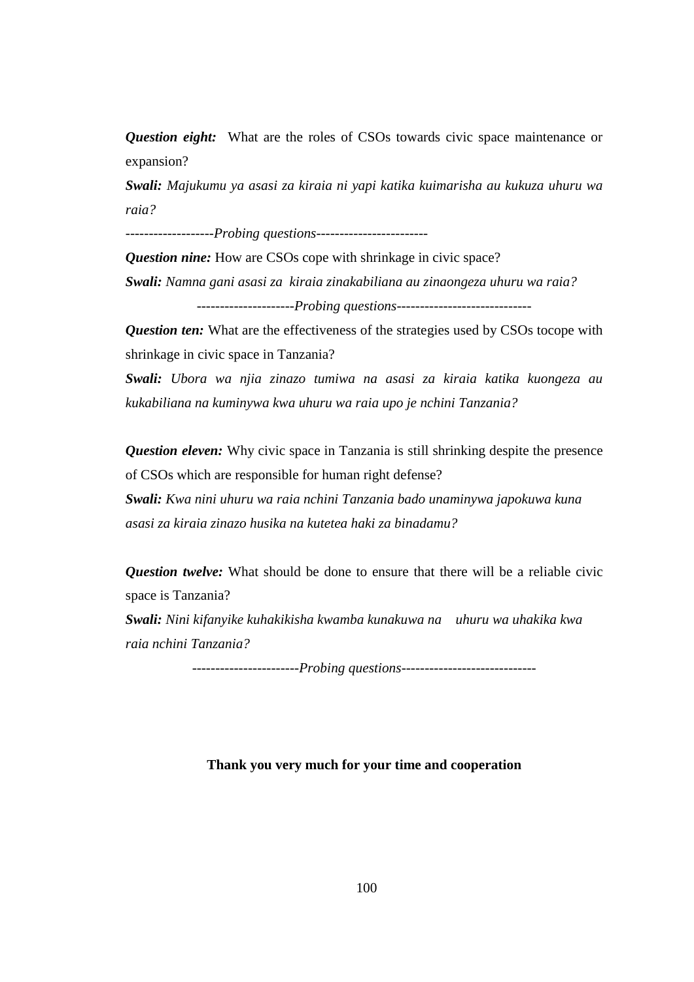*Question eight:* What are the roles of CSOs towards civic space maintenance or expansion?

*Swali: Majukumu ya asasi za kiraia ni yapi katika kuimarisha au kukuza uhuru wa raia?*

-------------------*Probing questions*------------------------

*Question nine:* How are CSOs cope with shrinkage in civic space?

*Swali: Namna gani asasi za kiraia zinakabiliana au zinaongeza uhuru wa raia?*

---------------------*Probing questions*-----------------------------

*Question ten:* What are the effectiveness of the strategies used by CSOs tocope with shrinkage in civic space in Tanzania?

*Swali: Ubora wa njia zinazo tumiwa na asasi za kiraia katika kuongeza au kukabiliana na kuminywa kwa uhuru wa raia upo je nchini Tanzania?*

*Question eleven:* Why civic space in Tanzania is still shrinking despite the presence of CSOs which are responsible for human right defense?

*Swali: Kwa nini uhuru wa raia nchini Tanzania bado unaminywa japokuwa kuna asasi za kiraia zinazo husika na kutetea haki za binadamu?*

*Question twelve:* What should be done to ensure that there will be a reliable civic space is Tanzania?

*Swali: Nini kifanyike kuhakikisha kwamba kunakuwa na uhuru wa uhakika kwa raia nchini Tanzania?* 

-----------------------*Probing questions*-----------------------------

#### **Thank you very much for your time and cooperation**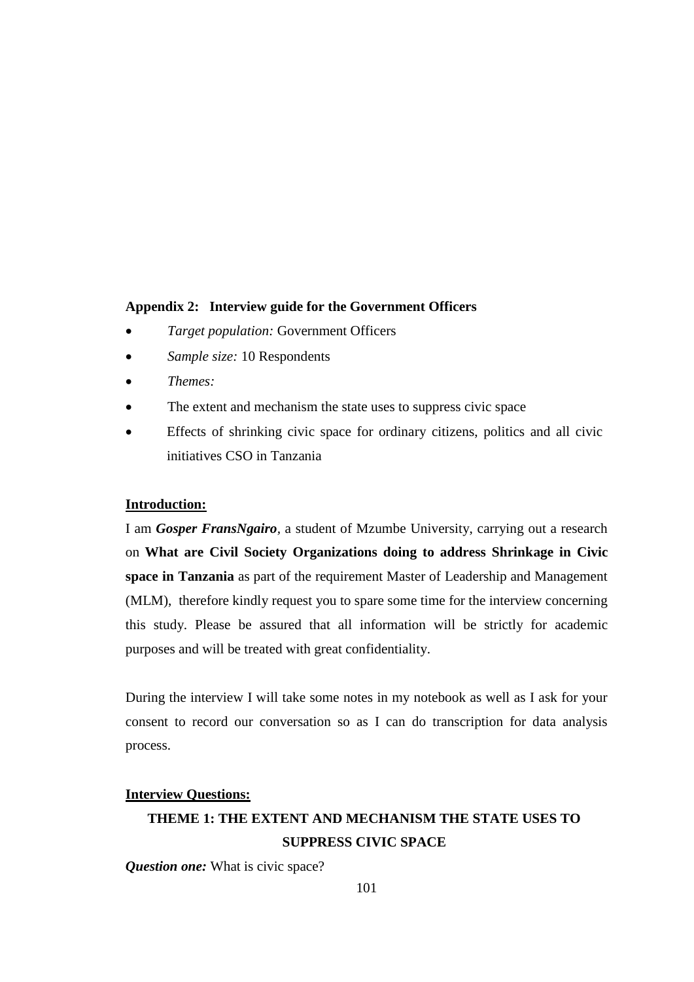## **Appendix 2: Interview guide for the Government Officers**

- *Target population:* Government Officers
- *Sample size:* 10 Respondents
- *Themes:*
- The extent and mechanism the state uses to suppress civic space
- Effects of shrinking civic space for ordinary citizens, politics and all civic initiatives CSO in Tanzania

#### **Introduction:**

I am *Gosper FransNgairo,* a student of Mzumbe University, carrying out a research on **What are Civil Society Organizations doing to address Shrinkage in Civic space in Tanzania** as part of the requirement Master of Leadership and Management (MLM), therefore kindly request you to spare some time for the interview concerning this study. Please be assured that all information will be strictly for academic purposes and will be treated with great confidentiality.

During the interview I will take some notes in my notebook as well as I ask for your consent to record our conversation so as I can do transcription for data analysis process.

### **Interview Questions:**

## **THEME 1: THE EXTENT AND MECHANISM THE STATE USES TO SUPPRESS CIVIC SPACE**

*Question one:* What is civic space?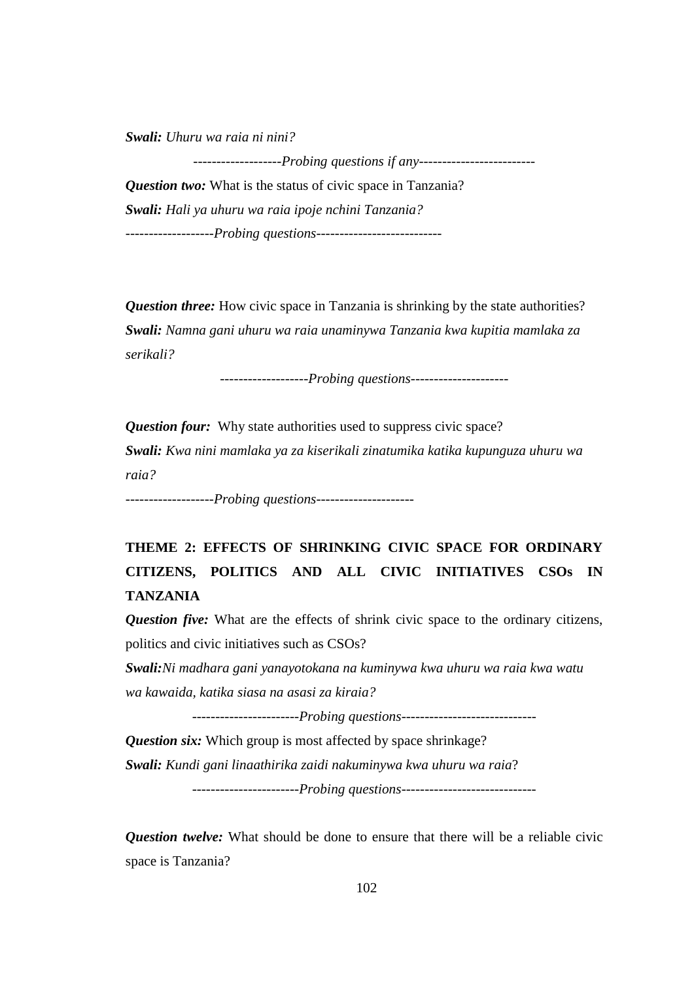*Swali: Uhuru wa raia ni nini?*

-------------------*Probing questions if any*------------------------- *Question two:* What is the status of civic space in Tanzania? *Swali: Hali ya uhuru wa raia ipoje nchini Tanzania?* -------------------*Probing questions*---------------------------

*Question three:* How civic space in Tanzania is shrinking by the state authorities? *Swali: Namna gani uhuru wa raia unaminywa Tanzania kwa kupitia mamlaka za serikali?*

-------------------*Probing questions*---------------------

*Question four:* Why state authorities used to suppress civic space? *Swali: Kwa nini mamlaka ya za kiserikali zinatumika katika kupunguza uhuru wa raia?*

-------------------*Probing questions*---------------------

# **THEME 2: EFFECTS OF SHRINKING CIVIC SPACE FOR ORDINARY CITIZENS, POLITICS AND ALL CIVIC INITIATIVES CSOs IN TANZANIA**

*Question five:* What are the effects of shrink civic space to the ordinary citizens, politics and civic initiatives such as CSOs?

*Swali:Ni madhara gani yanayotokana na kuminywa kwa uhuru wa raia kwa watu wa kawaida, katika siasa na asasi za kiraia?*

*-----------------------Probing questions-----------------------------*

*Question six:* Which group is most affected by space shrinkage? *Swali: Kundi gani linaathirika zaidi nakuminywa kwa uhuru wa raia*? -----------------------*Probing questions*-----------------------------

*Question twelve:* What should be done to ensure that there will be a reliable civic space is Tanzania?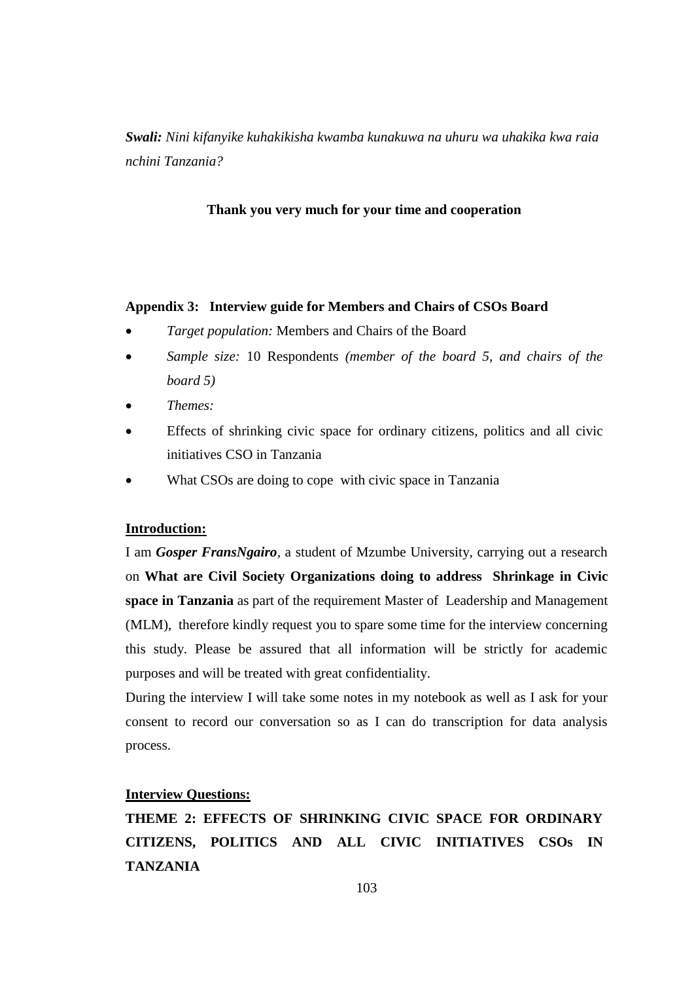*Swali: Nini kifanyike kuhakikisha kwamba kunakuwa na uhuru wa uhakika kwa raia nchini Tanzania?* 

#### **Thank you very much for your time and cooperation**

#### **Appendix 3: Interview guide for Members and Chairs of CSOs Board**

- *Target population:* Members and Chairs of the Board
- *Sample size:* 10 Respondents *(member of the board 5, and chairs of the board 5)*
- *Themes:*
- Effects of shrinking civic space for ordinary citizens, politics and all civic initiatives CSO in Tanzania
- What CSOs are doing to cope with civic space in Tanzania

## **Introduction:**

I am *Gosper FransNgairo,* a student of Mzumbe University, carrying out a research on **What are Civil Society Organizations doing to address Shrinkage in Civic space in Tanzania** as part of the requirement Master of Leadership and Management (MLM), therefore kindly request you to spare some time for the interview concerning this study. Please be assured that all information will be strictly for academic purposes and will be treated with great confidentiality.

During the interview I will take some notes in my notebook as well as I ask for your consent to record our conversation so as I can do transcription for data analysis process.

### **Interview Questions:**

**THEME 2: EFFECTS OF SHRINKING CIVIC SPACE FOR ORDINARY CITIZENS, POLITICS AND ALL CIVIC INITIATIVES CSOs IN TANZANIA**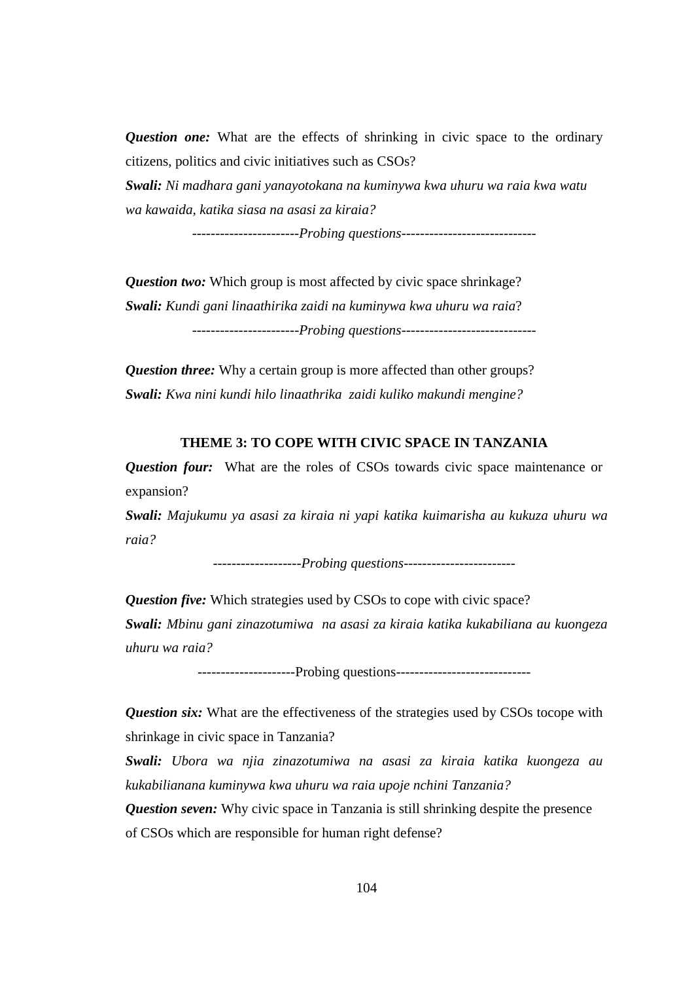*Question one:* What are the effects of shrinking in civic space to the ordinary citizens, politics and civic initiatives such as CSOs?

*Swali: Ni madhara gani yanayotokana na kuminywa kwa uhuru wa raia kwa watu wa kawaida, katika siasa na asasi za kiraia?*

*-----------------------Probing questions-----------------------------*

*Question two:* Which group is most affected by civic space shrinkage? *Swali: Kundi gani linaathirika zaidi na kuminywa kwa uhuru wa raia*? -----------------------*Probing questions*-----------------------------

*Question three:* Why a certain group is more affected than other groups? *Swali: Kwa nini kundi hilo linaathrika zaidi kuliko makundi mengine?*

#### **THEME 3: TO COPE WITH CIVIC SPACE IN TANZANIA**

*Question four:* What are the roles of CSOs towards civic space maintenance or expansion?

*Swali: Majukumu ya asasi za kiraia ni yapi katika kuimarisha au kukuza uhuru wa raia?*

-------------------*Probing questions*------------------------

*Question five:* Which strategies used by CSOs to cope with civic space?

*Swali: Mbinu gani zinazotumiwa na asasi za kiraia katika kukabiliana au kuongeza uhuru wa raia?*

---------------------Probing questions-----------------------------

*Question six:* What are the effectiveness of the strategies used by CSOs tocope with shrinkage in civic space in Tanzania?

*Swali: Ubora wa njia zinazotumiwa na asasi za kiraia katika kuongeza au kukabilianana kuminywa kwa uhuru wa raia upoje nchini Tanzania?*

*Question seven:* Why civic space in Tanzania is still shrinking despite the presence of CSOs which are responsible for human right defense?